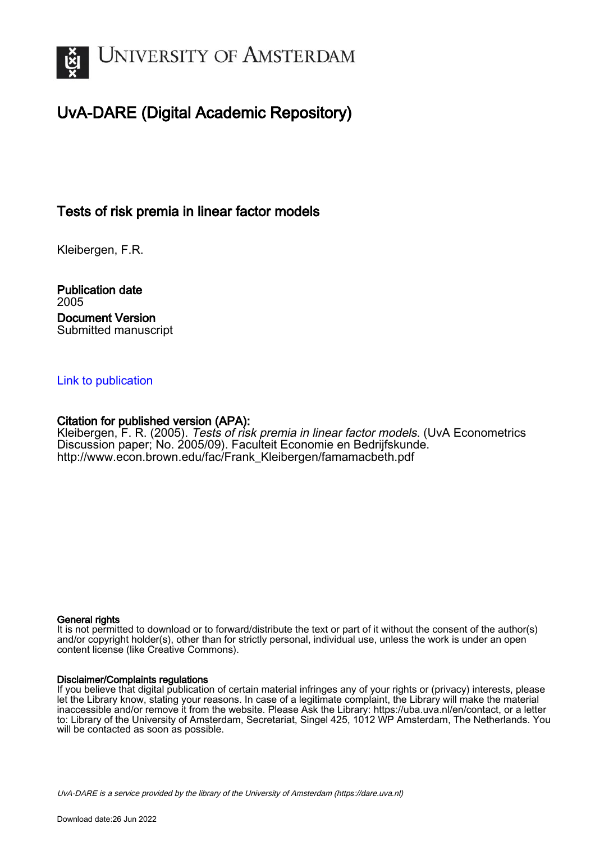

## UvA-DARE (Digital Academic Repository)

## Tests of risk premia in linear factor models

Kleibergen, F.R.

Publication date 2005 Document Version Submitted manuscript

#### [Link to publication](https://dare.uva.nl/personal/pure/en/publications/tests-of-risk-premia-in-linear-factor-models(c6bc162e-de55-4dac-b608-9f826ff2627e).html)

#### Citation for published version (APA):

Kleibergen, F. R. (2005). Tests of risk premia in linear factor models. (UvA Econometrics Discussion paper; No. 2005/09). Faculteit Economie en Bedrijfskunde. [http://www.econ.brown.edu/fac/Frank\\_Kleibergen/famamacbeth.pdf](http://www.econ.brown.edu/fac/Frank_Kleibergen/famamacbeth.pdf)

#### General rights

It is not permitted to download or to forward/distribute the text or part of it without the consent of the author(s) and/or copyright holder(s), other than for strictly personal, individual use, unless the work is under an open content license (like Creative Commons).

#### Disclaimer/Complaints regulations

If you believe that digital publication of certain material infringes any of your rights or (privacy) interests, please let the Library know, stating your reasons. In case of a legitimate complaint, the Library will make the material inaccessible and/or remove it from the website. Please Ask the Library: https://uba.uva.nl/en/contact, or a letter to: Library of the University of Amsterdam, Secretariat, Singel 425, 1012 WP Amsterdam, The Netherlands. You will be contacted as soon as possible.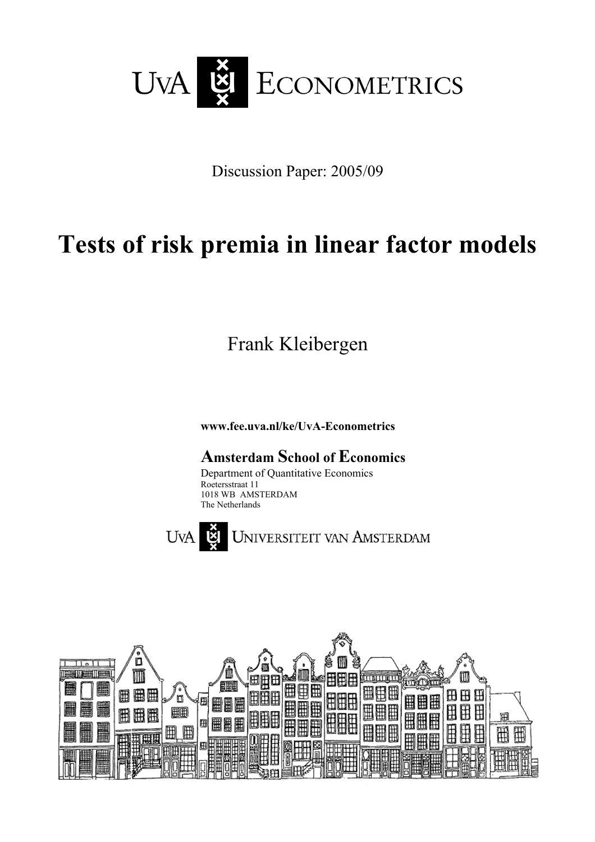

Discussion Paper: 2005/09

# **Tests of risk premia in linear factor models**

Frank Kleibergen

**www.fee.uva.nl/ke/UvA-Econometrics** 

## **Amsterdam School of Economics**

Department of Quantitative Economics Roetersstraat 11 1018 WB AMSTERDAM The Netherlands



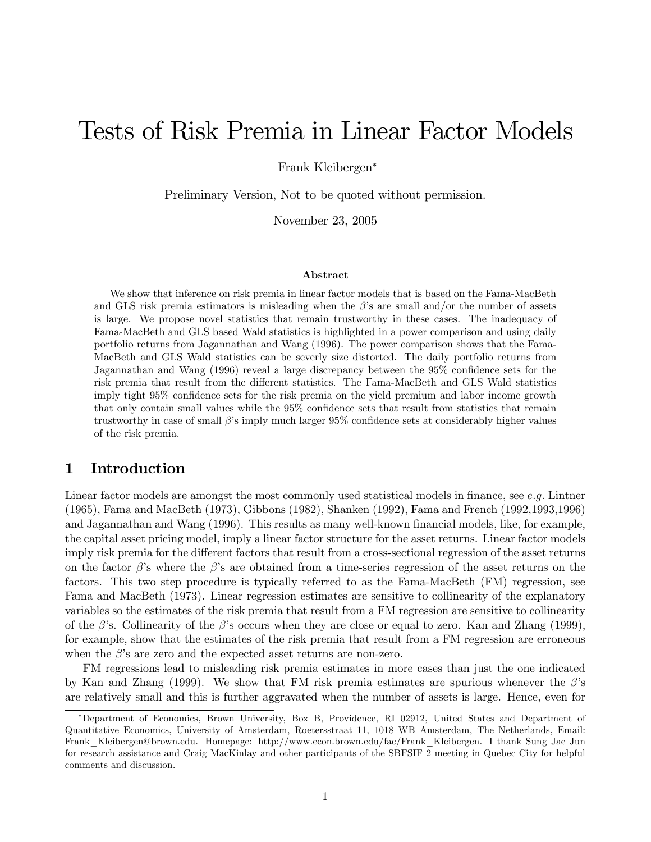## Tests of Risk Premia in Linear Factor Models

Frank Kleibergen<sup>∗</sup>

Preliminary Version, Not to be quoted without permission.

November 23, 2005

#### Abstract

We show that inference on risk premia in linear factor models that is based on the Fama-MacBeth and GLS risk premia estimators is misleading when the  $\beta$ 's are small and/or the number of assets is large. We propose novel statistics that remain trustworthy in these cases. The inadequacy of Fama-MacBeth and GLS based Wald statistics is highlighted in a power comparison and using daily portfolio returns from Jagannathan and Wang (1996). The power comparison shows that the Fama-MacBeth and GLS Wald statistics can be severly size distorted. The daily portfolio returns from Jagannathan and Wang (1996) reveal a large discrepancy between the 95% confidence sets for the risk premia that result from the different statistics. The Fama-MacBeth and GLS Wald statistics imply tight 95% confidence sets for the risk premia on the yield premium and labor income growth that only contain small values while the 95% confidence sets that result from statistics that remain trustworthy in case of small β's imply much larger 95% confidence sets at considerably higher values of the risk premia.

#### 1 Introduction

Linear factor models are amongst the most commonly used statistical models in finance, see e.g. Lintner (1965), Fama and MacBeth (1973), Gibbons (1982), Shanken (1992), Fama and French (1992,1993,1996) and Jagannathan and Wang (1996). This results as many well-known financial models, like, for example, the capital asset pricing model, imply a linear factor structure for the asset returns. Linear factor models imply risk premia for the different factors that result from a cross-sectional regression of the asset returns on the factor  $\beta$ 's where the  $\beta$ 's are obtained from a time-series regression of the asset returns on the factors. This two step procedure is typically referred to as the Fama-MacBeth (FM) regression, see Fama and MacBeth (1973). Linear regression estimates are sensitive to collinearity of the explanatory variables so the estimates of the risk premia that result from a FM regression are sensitive to collinearity of the  $\beta$ 's. Collinearity of the  $\beta$ 's occurs when they are close or equal to zero. Kan and Zhang (1999), for example, show that the estimates of the risk premia that result from a FM regression are erroneous when the  $\beta$ 's are zero and the expected asset returns are non-zero.

FM regressions lead to misleading risk premia estimates in more cases than just the one indicated by Kan and Zhang (1999). We show that FM risk premia estimates are spurious whenever the  $\beta$ 's are relatively small and this is further aggravated when the number of assets is large. Hence, even for

<sup>∗</sup>Department of Economics, Brown University, Box B, Providence, RI 02912, United States and Department of Quantitative Economics, University of Amsterdam, Roetersstraat 11, 1018 WB Amsterdam, The Netherlands, Email: Frank\_Kleibergen@brown.edu. Homepage: http://www.econ.brown.edu/fac/Frank\_Kleibergen. I thank Sung Jae Jun for research assistance and Craig MacKinlay and other participants of the SBFSIF 2 meeting in Quebec City for helpful comments and discussion.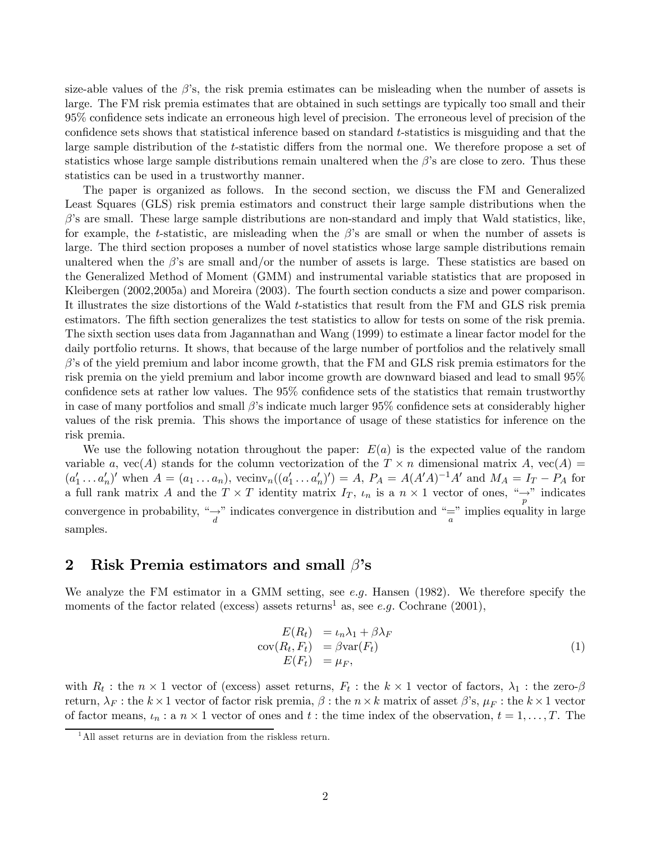size-able values of the  $\beta$ 's, the risk premia estimates can be misleading when the number of assets is large. The FM risk premia estimates that are obtained in such settings are typically too small and their 95% confidence sets indicate an erroneous high level of precision. The erroneous level of precision of the confidence sets shows that statistical inference based on standard t-statistics is misguiding and that the large sample distribution of the t-statistic differs from the normal one. We therefore propose a set of statistics whose large sample distributions remain unaltered when the  $\beta$ 's are close to zero. Thus these statistics can be used in a trustworthy manner.

The paper is organized as follows. In the second section, we discuss the FM and Generalized Least Squares (GLS) risk premia estimators and construct their large sample distributions when the  $\beta$ 's are small. These large sample distributions are non-standard and imply that Wald statistics, like, for example, the t-statistic, are misleading when the  $\beta$ 's are small or when the number of assets is large. The third section proposes a number of novel statistics whose large sample distributions remain unaltered when the  $\beta$ 's are small and/or the number of assets is large. These statistics are based on the Generalized Method of Moment (GMM) and instrumental variable statistics that are proposed in Kleibergen (2002,2005a) and Moreira (2003). The fourth section conducts a size and power comparison. It illustrates the size distortions of the Wald t-statistics that result from the FM and GLS risk premia estimators. The fifth section generalizes the test statistics to allow for tests on some of the risk premia. The sixth section uses data from Jagannathan and Wang (1999) to estimate a linear factor model for the daily portfolio returns. It shows, that because of the large number of portfolios and the relatively small  $\beta$ 's of the yield premium and labor income growth, that the FM and GLS risk premia estimators for the risk premia on the yield premium and labor income growth are downward biased and lead to small 95% confidence sets at rather low values. The 95% confidence sets of the statistics that remain trustworthy in case of many portfolios and small  $\beta$ 's indicate much larger 95% confidence sets at considerably higher values of the risk premia. This shows the importance of usage of these statistics for inference on the risk premia.

We use the following notation throughout the paper:  $E(a)$  is the expected value of the random variable a,  $vec(A)$  stands for the column vectorization of the  $T \times n$  dimensional matrix A,  $vec(A)$  =  $(a'_1 \ldots a'_n)'$  when  $A = (a_1 \ldots a_n)$ , vecinv<sub>n</sub> $((a'_1 \ldots a'_n)') = A$ ,  $P_A = A(A'A)^{-1}A'$  and  $M_A = I_T - P_A$  for a full rank matrix A and the  $T \times T$  identity matrix  $I_T$ ,  $\iota_n$  is a  $n \times 1$  vector of ones,  $\frac{\iota_n}{p}$  indicates convergence in probability, " $\rightarrow$ " indicates convergence in distribution and "=" implies equality in large samples.

#### 2 Risk Premia estimators and small  $\beta$ 's

We analyze the FM estimator in a GMM setting, see e.g. Hansen (1982). We therefore specify the moments of the factor related (excess) assets returns<sup>1</sup> as, see e.g. Cochrane (2001),

$$
E(R_t) = \iota_n \lambda_1 + \beta \lambda_F
$$
  
\n
$$
cov(R_t, F_t) = \beta var(F_t)
$$
  
\n
$$
E(F_t) = \mu_F,
$$
\n(1)

with  $R_t$ : the  $n \times 1$  vector of (excess) asset returns,  $F_t$ : the  $k \times 1$  vector of factors,  $\lambda_1$ : the zero- $\beta$ return,  $\lambda_F$ : the  $k \times 1$  vector of factor risk premia,  $\beta$ : the  $n \times k$  matrix of asset  $\beta$ 's,  $\mu_F$ : the  $k \times 1$  vector of factor means,  $\iota_n$ : a  $n \times 1$  vector of ones and  $t$ : the time index of the observation,  $t = 1, \ldots, T$ . The

<sup>&</sup>lt;sup>1</sup>All asset returns are in deviation from the riskless return.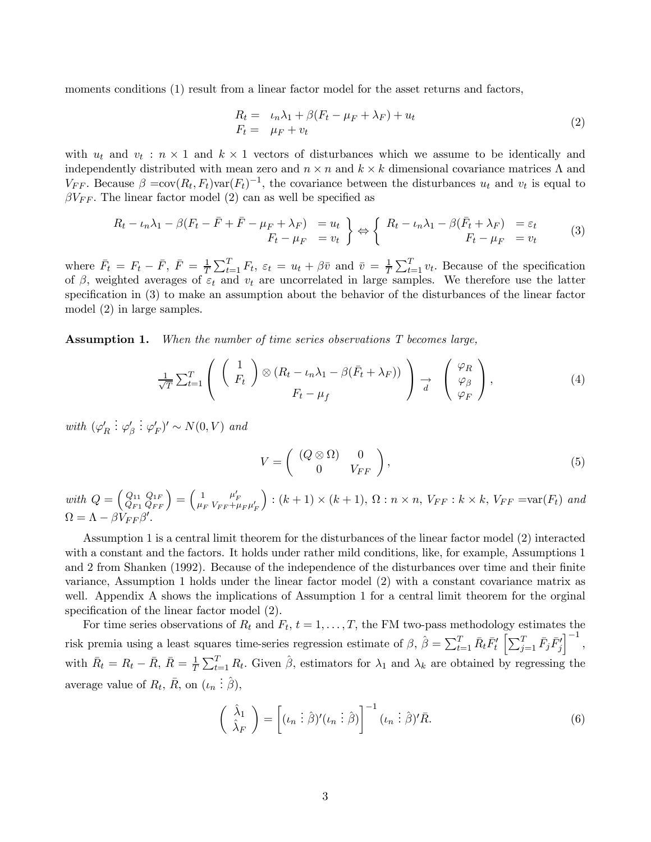moments conditions (1) result from a linear factor model for the asset returns and factors,

$$
R_t = \mu_n \lambda_1 + \beta (F_t - \mu_F + \lambda_F) + u_t
$$
  
\n
$$
F_t = \mu_F + v_t
$$
\n(2)

with  $u_t$  and  $v_t : n \times 1$  and  $k \times 1$  vectors of disturbances which we assume to be identically and independently distributed with mean zero and  $n \times n$  and  $k \times k$  dimensional covariance matrices  $\Lambda$  and  $V_{FF}$ . Because  $\beta = \text{cov}(R_t, F_t) \text{var}(F_t)^{-1}$ , the covariance between the disturbances  $u_t$  and  $v_t$  is equal to  $\beta V_{FF}$ . The linear factor model (2) can as well be specified as

$$
R_t - \iota_n \lambda_1 - \beta (F_t - \bar{F} + \bar{F} - \mu_F + \lambda_F) = u_t
$$
  
\n
$$
F_t - \mu_F = v_t
$$
\n
$$
\Leftrightarrow \left\{ R_t - \iota_n \lambda_1 - \beta (\bar{F}_t + \lambda_F) = \varepsilon_t
$$
  
\n
$$
F_t - \mu_F = v_t
$$
\n(3)

where  $\bar{F}_t = F_t - \bar{F}, \ \bar{F} = \frac{1}{T} \sum_{t=1}^T F_t, \ \varepsilon_t = u_t + \beta \bar{v}$  and  $\bar{v} = \frac{1}{T} \sum_{t=1}^T v_t$ . Because of the specification of  $\beta$ , weighted averages of  $\varepsilon_t$  and  $v_t$  are uncorrelated in large samples. We therefore use the latter specification in (3) to make an assumption about the behavior of the disturbances of the linear factor model (2) in large samples.

Assumption 1. When the number of time series observations T becomes large,

$$
\frac{1}{\sqrt{T}} \sum_{t=1}^{T} \left( \begin{array}{c} 1 \\ F_t \end{array} \right) \otimes (R_t - \iota_n \lambda_1 - \beta(\bar{F}_t + \lambda_F)) \bigg) \rightarrow \left( \begin{array}{c} \varphi_R \\ \varphi_\beta \\ \varphi_F \end{array} \right), \tag{4}
$$

with  $(\varphi_R')$  $\vdots \varphi'_{\beta}$  $\colon \varphi_F')' \sim N(0, V)$  and

$$
V = \left( \begin{array}{cc} (Q \otimes \Omega) & 0 \\ 0 & V_{FF} \end{array} \right), \tag{5}
$$

with  $Q = \begin{pmatrix} Q_{11} \\ Q_{21} \end{pmatrix}$  $Q_{F1}$  $\left(\begin{smallmatrix} Q_{1F}\ Q_{FF} \end{smallmatrix}\right) = \left(\begin{smallmatrix} 1\ \mu_I \end{smallmatrix}\right)$  $\mu_F^{}$  $\mu_F' \over \nu_{FF} + \mu_F \mu_F'$  $\bigg): (k+1) \times (k+1), \Omega : n \times n, V_{FF} : k \times k, V_{FF} = \text{var}(F_t) \text{ and }$  $\Omega = \Lambda - \beta V_{FF} \beta'.$ 

Assumption 1 is a central limit theorem for the disturbances of the linear factor model (2) interacted with a constant and the factors. It holds under rather mild conditions, like, for example, Assumptions 1 and 2 from Shanken (1992). Because of the independence of the disturbances over time and their finite variance, Assumption 1 holds under the linear factor model (2) with a constant covariance matrix as well. Appendix A shows the implications of Assumption 1 for a central limit theorem for the orginal specification of the linear factor model (2).

For time series observations of  $R_t$  and  $F_t$ ,  $t = 1, \ldots, T$ , the FM two-pass methodology estimates the risk premia using a least squares time-series regression estimate of  $\beta$ ,  $\hat{\beta} = \sum_{t=1}^{T} \bar{R}_t \bar{F}_t' \left[ \sum_{j=1}^{T} \bar{F}_j \bar{F}_j' \right]$  $\big]^{-1}$ , with  $\bar{R}_t = R_t - \bar{R}, \ \bar{R} = \frac{1}{T} \sum_{t=1}^T R_t$ . Given  $\hat{\beta}$ , estimators for  $\lambda_1$  and  $\lambda_k$  are obtained by regressing the average value of  $R_t$ ,  $\overline{R}$ , on  $(\iota_n : \hat{\beta})$ ,

$$
\begin{pmatrix}\n\hat{\lambda}_1 \\
\hat{\lambda}_F\n\end{pmatrix} = \begin{bmatrix}\n(\iota_n \vdots \hat{\beta})'(\iota_n \vdots \hat{\beta})\n\end{bmatrix}^{-1} (\iota_n \vdots \hat{\beta})' \bar{R}.
$$
\n(6)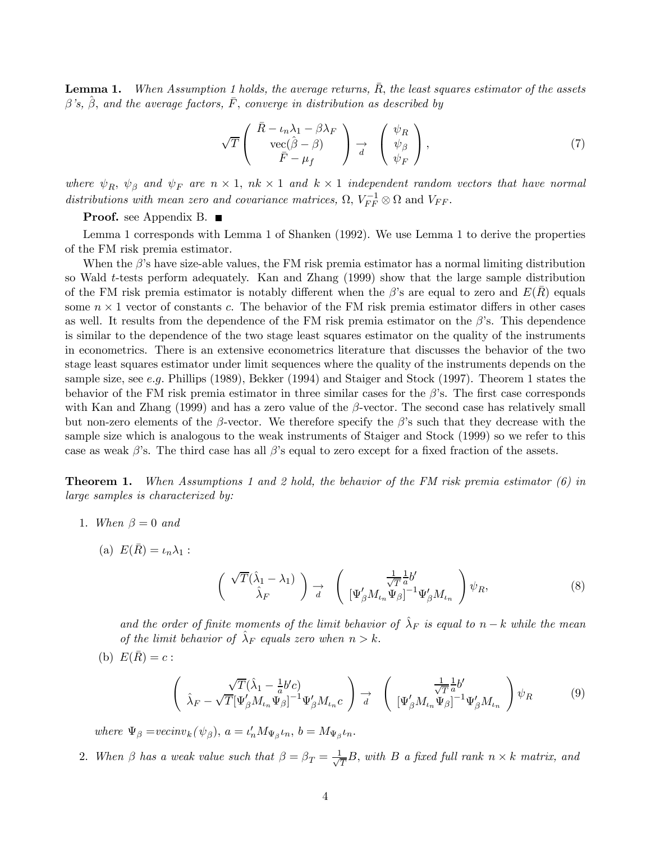**Lemma 1.** When Assumption 1 holds, the average returns,  $\overline{R}$ , the least squares estimator of the assets  $\beta$ 's,  $\beta$ , and the average factors, F, converge in distribution as described by

$$
\sqrt{T}\begin{pmatrix}\n\bar{R} - \iota_n \lambda_1 - \beta \lambda_F \\
\operatorname{vec}(\hat{\beta} - \beta) \\
\bar{F} - \mu_f\n\end{pmatrix} \xrightarrow{d} \begin{pmatrix}\n\psi_R \\
\psi_\beta \\
\psi_F\n\end{pmatrix},
$$
\n(7)

where  $\psi_R$ ,  $\psi_\beta$  and  $\psi_F$  are  $n \times 1$ ,  $nk \times 1$  and  $k \times 1$  independent random vectors that have normal distributions with mean zero and covariance matrices,  $\Omega$ ,  $V_{FF}^{-1} \otimes \Omega$  and  $V_{FF}$ .

**Proof.** see Appendix B. ■

Lemma 1 corresponds with Lemma 1 of Shanken (1992). We use Lemma 1 to derive the properties of the FM risk premia estimator.

When the  $\beta$ 's have size-able values, the FM risk premia estimator has a normal limiting distribution so Wald t-tests perform adequately. Kan and Zhang (1999) show that the large sample distribution of the FM risk premia estimator is notably different when the  $\beta$ 's are equal to zero and  $E(R)$  equals some  $n \times 1$  vector of constants c. The behavior of the FM risk premia estimator differs in other cases as well. It results from the dependence of the FM risk premia estimator on the  $\beta$ 's. This dependence is similar to the dependence of the two stage least squares estimator on the quality of the instruments in econometrics. There is an extensive econometrics literature that discusses the behavior of the two stage least squares estimator under limit sequences where the quality of the instruments depends on the sample size, see e.g. Phillips (1989), Bekker (1994) and Staiger and Stock (1997). Theorem 1 states the behavior of the FM risk premia estimator in three similar cases for the  $\beta$ 's. The first case corresponds with Kan and Zhang (1999) and has a zero value of the  $\beta$ -vector. The second case has relatively small but non-zero elements of the β-vector. We therefore specify the β's such that they decrease with the sample size which is analogous to the weak instruments of Staiger and Stock (1999) so we refer to this case as weak  $\beta$ 's. The third case has all  $\beta$ 's equal to zero except for a fixed fraction of the assets.

**Theorem 1.** When Assumptions 1 and 2 hold, the behavior of the FM risk premia estimator (6) in large samples is characterized by:

- 1. When  $\beta = 0$  and
	- (a)  $E(\bar{R}) = \iota_n \lambda_1$ :

$$
\begin{pmatrix}\n\sqrt{T}(\hat{\lambda}_1 - \lambda_1) \\
\hat{\lambda}_F\n\end{pmatrix} \xrightarrow[d]{} \begin{pmatrix}\n\frac{1}{\sqrt{T}} \frac{1}{a} b' \\
[\Psi_{\beta} M_{\iota_n} \Psi_{\beta}]^{-1} \Psi_{\beta} M_{\iota_n}\n\end{pmatrix} \psi_R,
$$
\n(8)

and the order of finite moments of the limit behavior of  $\hat{\lambda}_F$  is equal to n – k while the mean of the limit behavior of  $\hat{\lambda}_F$  equals zero when  $n > k$ .

$$
(b) E(\overline{R}) = c:
$$

$$
\begin{pmatrix}\n\sqrt{T}(\hat{\lambda}_1 - \frac{1}{a}b'c) \\
\hat{\lambda}_F - \sqrt{T}[\Psi_{\beta}'M_{\iota_n}\Psi_{\beta}]^{-1}\Psi_{\beta}'M_{\iota_n}c\n\end{pmatrix} \xrightarrow[d]{} \begin{pmatrix}\n\frac{1}{\sqrt{T}}\frac{1}{a}b' \\
[\Psi_{\beta}'M_{\iota_n}\Psi_{\beta}]^{-1}\Psi_{\beta}'M_{\iota_n}\n\end{pmatrix}\psi_R
$$
\n(9)

where  $\Psi_{\beta} = vecinv_k(\psi_{\beta}), a = \iota'_n M_{\Psi_{\beta}} \iota_n, b = M_{\Psi_{\beta}} \iota_n.$ 

2. When  $\beta$  has a weak value such that  $\beta = \beta_T = \frac{1}{\sqrt{T}}B$ , with B a fixed full rank  $n \times k$  matrix, and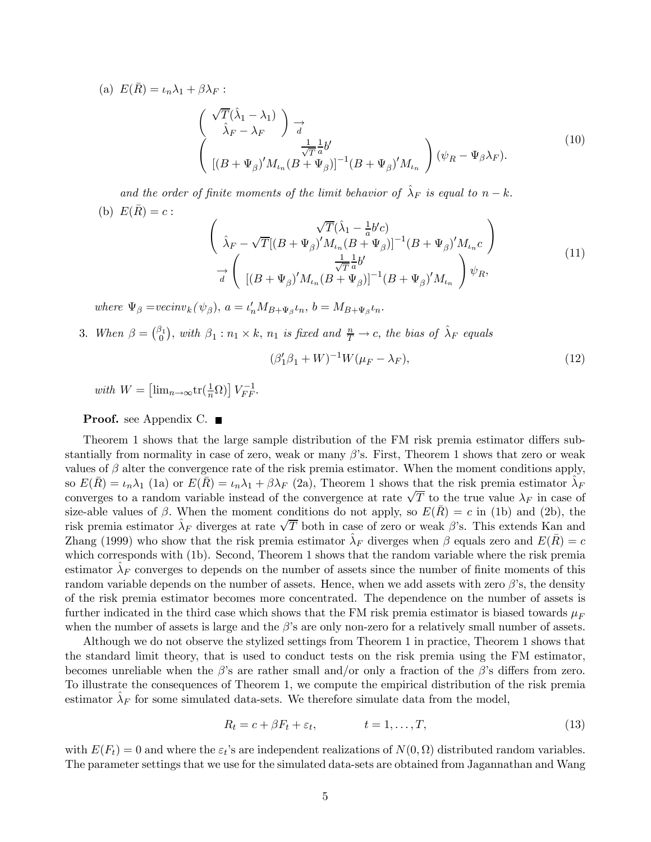(a)  $E(\bar{R}) = \iota_n \lambda_1 + \beta \lambda_F$ :

$$
\begin{pmatrix}\n\sqrt{T}(\hat{\lambda}_1 - \lambda_1) \\
\hat{\lambda}_F - \lambda_F\n\end{pmatrix} \underset{d}{\rightarrow} \frac{1}{\sqrt{T}} \frac{1}{a} b' \\
[(B + \Psi_{\beta})' M_{\iota_n} (B + \Psi_{\beta})]^{-1} (B + \Psi_{\beta})' M_{\iota_n}\n\end{pmatrix} (\psi_R - \Psi_{\beta} \lambda_F).
$$
\n(10)

and the order of finite moments of the limit behavior of  $\hat{\lambda}_F$  is equal to  $n - k$ . (b)  $E(\bar{R}) = c$ :

$$
\begin{pmatrix}\n\sqrt{T}(\hat{\lambda}_1 - \frac{1}{a}b'c) \\
\hat{\lambda}_F - \sqrt{T}[(B + \Psi_{\beta})'M_{\iota_n}(B + \Psi_{\beta})]^{-1}(B + \Psi_{\beta})'M_{\iota_n}c\n\end{pmatrix}\n\rightarrow\n\begin{pmatrix}\n\frac{1}{\sqrt{T}}\frac{1}{a}b' \\
[(B + \Psi_{\beta})'M_{\iota_n}(B + \Psi_{\beta})]^{-1}(B + \Psi_{\beta})'M_{\iota_n}\n\end{pmatrix}\psi_R,
$$
\n(11)

where  $\Psi_{\beta} = vecinv_k(\psi_{\beta}), a = \iota'_n M_{B+\Psi_{\beta}} \iota_n, b = M_{B+\Psi_{\beta}} \iota_n.$ 

3. When  $\beta = \begin{pmatrix} \beta_1 \\ 0 \end{pmatrix}$ , with  $\beta_1 : n_1 \times k$ ,  $n_1$  is fixed and  $\frac{n}{T} \to c$ , the bias of  $\hat{\lambda}_F$  equals

$$
(\beta_1' \beta_1 + W)^{-1} W(\mu_F - \lambda_F), \tag{12}
$$

with  $W = \left[\lim_{n \to \infty} tr\left(\frac{1}{n}\Omega\right)\right] V_{FF}^{-1}$ .

#### **Proof.** see Appendix C. ■

Theorem 1 shows that the large sample distribution of the FM risk premia estimator differs substantially from normality in case of zero, weak or many  $\beta$ 's. First, Theorem 1 shows that zero or weak values of  $\beta$  alter the convergence rate of the risk premia estimator. When the moment conditions apply, so  $E(R) = \iota_n \lambda_1$  (1a) or  $E(R) = \iota_n \lambda_1 + \beta \lambda_F$  (2a), Theorem 1 shows that the risk premia estimator  $\lambda_F$ converges to a random variable instead of the convergence at rate  $\sqrt{T}$  to the true value  $\lambda_F$  in case of size-able values of  $\beta$ . When the moment conditions do not apply, so  $E(\overline{R}) = c$  in (1b) and (2b), the risk premia estimator  $\hat{\lambda}_F$  diverges at rate  $\sqrt{T}$  both in case of zero or weak  $\beta$ 's. This extends Kan and Zhang (1999) who show that the risk premia estimator  $\lambda_F$  diverges when  $\beta$  equals zero and  $E(\bar{R}) = c$ which corresponds with (1b). Second, Theorem 1 shows that the random variable where the risk premia estimator  $\lambda_F$  converges to depends on the number of assets since the number of finite moments of this random variable depends on the number of assets. Hence, when we add assets with zero  $\beta$ 's, the density of the risk premia estimator becomes more concentrated. The dependence on the number of assets is further indicated in the third case which shows that the FM risk premia estimator is biased towards  $\mu_F$ when the number of assets is large and the  $\beta$ 's are only non-zero for a relatively small number of assets.

Although we do not observe the stylized settings from Theorem 1 in practice, Theorem 1 shows that the standard limit theory, that is used to conduct tests on the risk premia using the FM estimator, becomes unreliable when the  $\beta$ 's are rather small and/or only a fraction of the  $\beta$ 's differs from zero. To illustrate the consequences of Theorem 1, we compute the empirical distribution of the risk premia estimator  $\lambda_F$  for some simulated data-sets. We therefore simulate data from the model,

$$
R_t = c + \beta F_t + \varepsilon_t, \qquad t = 1, \dots, T,
$$
\n(13)

with  $E(F_t)=0$  and where the  $\varepsilon_t$ 's are independent realizations of  $N(0, \Omega)$  distributed random variables. The parameter settings that we use for the simulated data-sets are obtained from Jagannathan and Wang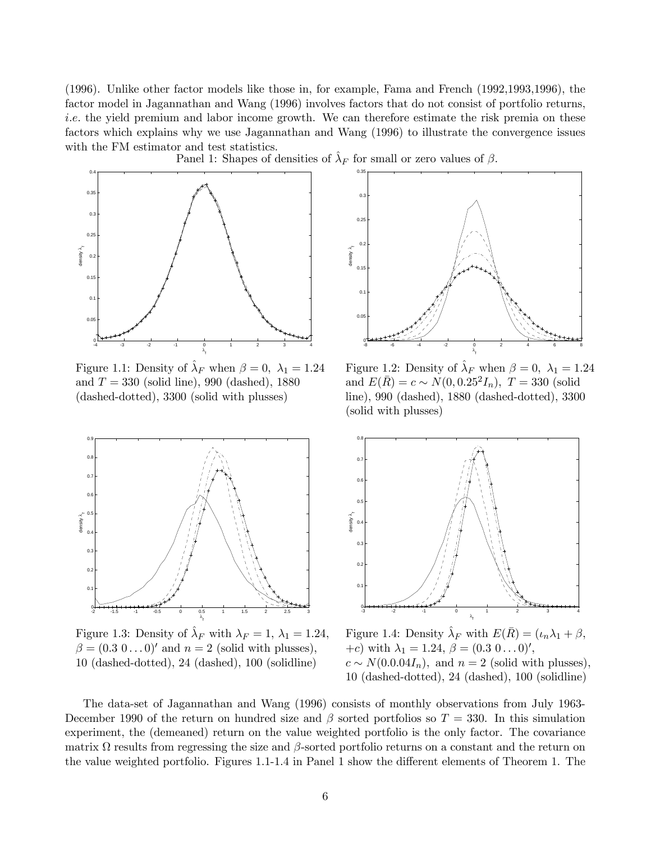(1996). Unlike other factor models like those in, for example, Fama and French (1992,1993,1996), the factor model in Jagannathan and Wang (1996) involves factors that do not consist of portfolio returns, i.e. the yield premium and labor income growth. We can therefore estimate the risk premia on these factors which explains why we use Jagannathan and Wang (1996) to illustrate the convergence issues with the FM estimator and test statistics.



Figure 1.1: Density of  $\hat{\lambda}_F$  when  $\beta = 0$ ,  $\lambda_1 = 1.24$  Figure 1.2: Density of  $\hat{\lambda}_F$  when  $\beta = 0$ ,  $\lambda_1 = 1.24$ and  $T = 330$  (solid line), 990 (dashed), 1880 and  $E(\bar{R}) = c \sim N(0, 0.25^2 I_n)$ ,  $T = 330$  (solid (dashed-dotted), 3300 (solid with plusses) line), 990 (dashed), 1880 (dashed-dotted), 330



Figure 1.3: Density of  $\hat{\lambda}_F$  with  $\lambda_F = 1$ ,  $\lambda_1 = 1.24$ , Figure 1.4: Density  $\hat{\lambda}_F$  with  $E(\bar{R}) = (\iota_n \lambda_1 + \beta, \iota_n \lambda_2 + \beta, \iota_n \lambda_3 + \beta, \iota_n \lambda_4 + \beta, \iota_n \lambda_5 + \beta, \iota_n \lambda_6 + \beta, \iota_n \lambda_7 + \beta, \iota_n \lambda_8 + \beta, \iota_n \lambda_9 + \beta, \iota_n \lambda_1 + \$  $\beta = (0.3 \ 0 \dots 0)'$  and  $n = 2$  (solid with plusses), 10 (dashed-dotted), 24 (dashed), 100 (solidline)  $c \sim N(0.0.04I_n)$ , and  $n = 2$  (solid with plusses).



 $\mu$ line), 990 (dashed), 1880 (dashed-dotted), 3300 (solid with plusses)



+c) with  $\lambda_1 = 1.24, \beta = (0.3 \ 0 \dots 0)$ ', 10 (dashed-dotted), 24 (dashed), 100 (solidline)

The data-set of Jagannathan and Wang (1996) consists of monthly observations from July 1963- December 1990 of the return on hundred size and  $\beta$  sorted portfolios so  $T = 330$ . In this simulation experiment, the (demeaned) return on the value weighted portfolio is the only factor. The covariance matrix  $\Omega$  results from regressing the size and  $\beta$ -sorted portfolio returns on a constant and the return on the value weighted portfolio. Figures 1.1-1.4 in Panel 1 show the different elements of Theorem 1. The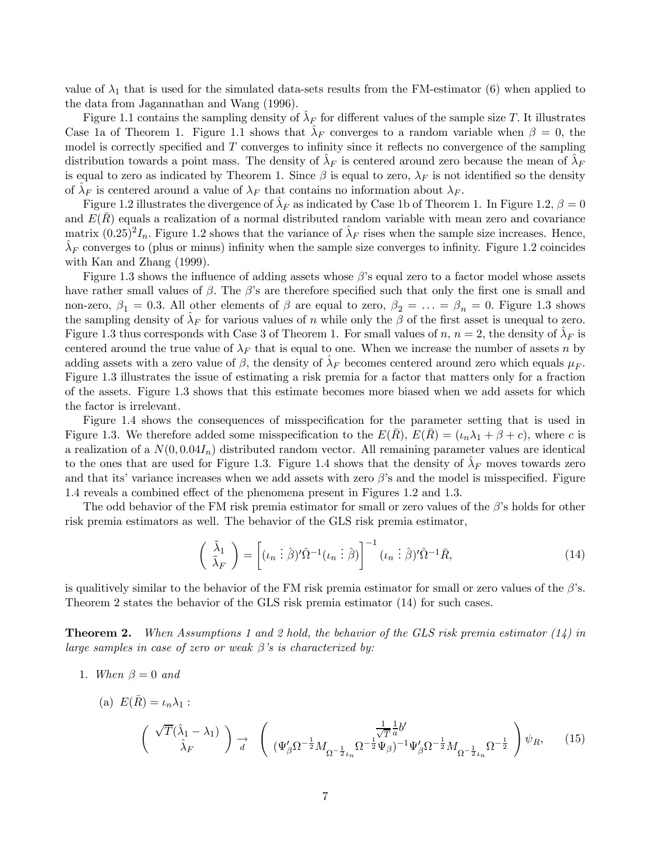value of  $\lambda_1$  that is used for the simulated data-sets results from the FM-estimator (6) when applied to the data from Jagannathan and Wang (1996).

Figure 1.1 contains the sampling density of  $\lambda_F$  for different values of the sample size T. It illustrates Case 1a of Theorem 1. Figure 1.1 shows that  $\lambda_F$  converges to a random variable when  $\beta = 0$ , the model is correctly specified and  $T$  converges to infinity since it reflects no convergence of the sampling distribution towards a point mass. The density of  $\lambda_F$  is centered around zero because the mean of  $\lambda_F$ is equal to zero as indicated by Theorem 1. Since  $\beta$  is equal to zero,  $\lambda_F$  is not identified so the density of  $\lambda_F$  is centered around a value of  $\lambda_F$  that contains no information about  $\lambda_F$ .

Figure 1.2 illustrates the divergence of  $\lambda_F$  as indicated by Case 1b of Theorem 1. In Figure 1.2,  $\beta = 0$ and  $E(\bar{R})$  equals a realization of a normal distributed random variable with mean zero and covariance matrix  $(0.25)^2 I_n$ . Figure 1.2 shows that the variance of  $\hat{\lambda}_F$  rises when the sample size increases. Hence,  $\lambda_F$  converges to (plus or minus) infinity when the sample size converges to infinity. Figure 1.2 coincides with Kan and Zhang (1999).

Figure 1.3 shows the influence of adding assets whose  $\beta$ 's equal zero to a factor model whose assets have rather small values of  $\beta$ . The  $\beta$ 's are therefore specified such that only the first one is small and non-zero,  $\beta_1 = 0.3$ . All other elements of  $\beta$  are equal to zero,  $\beta_2 = \ldots = \beta_n = 0$ . Figure 1.3 shows the sampling density of  $\lambda_F$  for various values of n while only the  $\beta$  of the first asset is unequal to zero. Figure 1.3 thus corresponds with Case 3 of Theorem 1. For small values of n,  $n = 2$ , the density of  $\lambda_F$  is centered around the true value of  $\lambda_F$  that is equal to one. When we increase the number of assets n by adding assets with a zero value of  $\beta$ , the density of  $\lambda_F$  becomes centered around zero which equals  $\mu_F$ . Figure 1.3 illustrates the issue of estimating a risk premia for a factor that matters only for a fraction of the assets. Figure 1.3 shows that this estimate becomes more biased when we add assets for which the factor is irrelevant.

Figure 1.4 shows the consequences of misspecification for the parameter setting that is used in Figure 1.3. We therefore added some misspecification to the  $E(\overline{R})$ ,  $E(\overline{R})=(\iota_n\lambda_1 + \beta + c)$ , where c is a realization of a  $N(0, 0.04I_n)$  distributed random vector. All remaining parameter values are identical to the ones that are used for Figure 1.3. Figure 1.4 shows that the density of  $\lambda_F$  moves towards zero and that its' variance increases when we add assets with zero  $\beta$ 's and the model is misspecified. Figure 1.4 reveals a combined effect of the phenomena present in Figures 1.2 and 1.3.

The odd behavior of the FM risk premia estimator for small or zero values of the  $\beta$ 's holds for other risk premia estimators as well. The behavior of the GLS risk premia estimator,

$$
\begin{pmatrix}\n\tilde{\lambda}_1 \\
\tilde{\lambda}_F\n\end{pmatrix} = \begin{bmatrix}\n(\iota_n \vdots \hat{\beta})' \hat{\Omega}^{-1} (\iota_n \vdots \hat{\beta})\n\end{bmatrix}^{-1} (\iota_n \vdots \hat{\beta})' \hat{\Omega}^{-1} \bar{R},
$$
\n(14)

is qualitively similar to the behavior of the FM risk premia estimator for small or zero values of the  $\beta$ 's. Theorem 2 states the behavior of the GLS risk premia estimator (14) for such cases.

**Theorem 2.** When Assumptions 1 and 2 hold, the behavior of the GLS risk premia estimator  $(14)$  in large samples in case of zero or weak  $\beta$ 's is characterized by:

1. When  $\beta = 0$  and

(a) 
$$
E(\bar{R}) = \iota_n \lambda_1
$$
:  
\n
$$
\begin{pmatrix}\n\sqrt{T}(\hat{\lambda}_1 - \lambda_1) \\
\hat{\lambda}_F\n\end{pmatrix} \xrightarrow[d]{} \begin{pmatrix}\n\frac{1}{\sqrt{T}} \frac{1}{a} b' \\
(\Psi'_{\beta} \Omega^{-\frac{1}{2}} M_{\Omega^{-\frac{1}{2}} \iota_n} \Omega^{-\frac{1}{2}} \Psi_{\beta})^{-1} \Psi'_{\beta} \Omega^{-\frac{1}{2}} M_{\Omega^{-\frac{1}{2}} \iota_n} \Omega^{-\frac{1}{2}}\n\end{pmatrix} \psi_R,
$$
\n(15)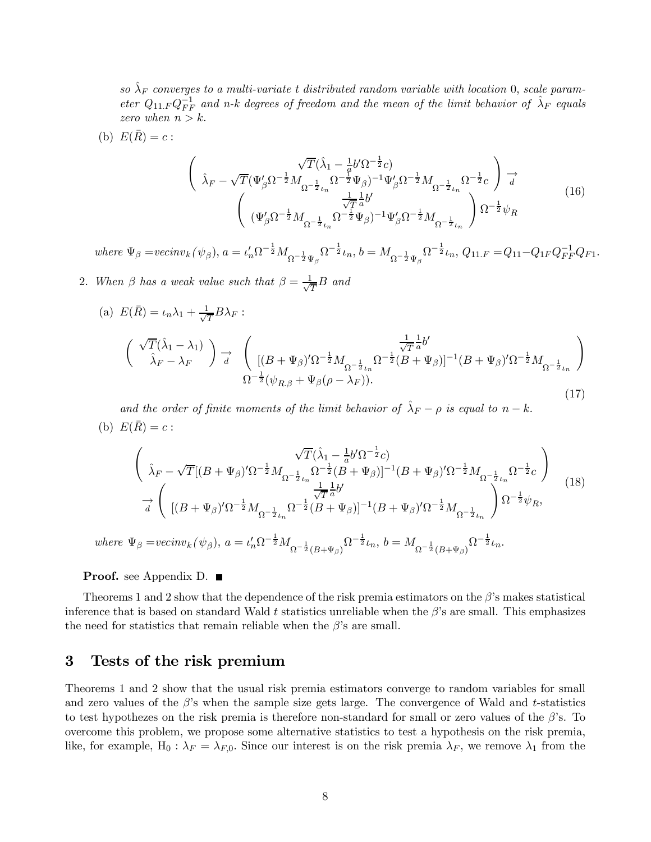so  $\hat{\lambda}_F$  converges to a multi-variate t distributed random variable with location 0, scale parameter  $Q_{11,F}Q_{FF}^{-1}$  and n-k degrees of freedom and the mean of the limit behavior of  $\hat{\lambda}_F$  equals zero when  $n > k$ .

(b) 
$$
E(\bar{R}) = c
$$
:  
\n
$$
\begin{pmatrix}\n\hat{\lambda}_F - \sqrt{T} (\Psi'_{\beta} \Omega^{-\frac{1}{2}} M_{\Omega^{-\frac{1}{2}} L_n} \Omega^{-\frac{1}{2}} \Psi_{\beta})^{-1} \Psi'_{\beta} \Omega^{-\frac{1}{2}} M_{\Omega^{-\frac{1}{2}} L_n} \Omega^{-\frac{1}{2}} c\n\end{pmatrix} \xrightarrow[\n(\Psi'_{\beta} \Omega^{-\frac{1}{2}} M_{\Omega^{-\frac{1}{2}} L_n} \Omega^{-\frac{1}{2}} \Psi_{\beta})^{-1} \Psi'_{\beta} \Omega^{-\frac{1}{2}} M_{\Omega^{-\frac{1}{2}} L_n} \Omega^{-\frac{1}{2}} \psi_R\n\end{pmatrix} \Omega^{-\frac{1}{2}} \psi_R
$$
\n(16)

 $where \ \Psi_{\beta}=vecinv_k(\psi_{\beta}), \ a=\iota_n'\Omega^{-\frac{1}{2}}M_{\Omega^{-\frac{1}{2}}\Psi_{\beta}}\Omega^{-\frac{1}{2}}\iota_n, \ b=M_{\Omega^{-\frac{1}{2}}\Psi_{\beta}}\Omega^{-\frac{1}{2}}\iota_n, \ Q_{11.F}=Q_{11}-Q_{1F}Q_{FF}^{-1}Q_{F1}.$ 

2. When  $\beta$  has a weak value such that  $\beta = \frac{1}{\sqrt{T}}B$  and

(a) 
$$
E(\bar{R}) = \iota_n \lambda_1 + \frac{1}{\sqrt{T}} B \lambda_F
$$
:  
\n
$$
\begin{pmatrix}\n\sqrt{T}(\hat{\lambda}_1 - \lambda_1) \\
\hat{\lambda}_F - \lambda_F\n\end{pmatrix} \xrightarrow[d]{} \begin{pmatrix}\n\frac{1}{\sqrt{T}} \frac{1}{a} b' \\
[(B + \Psi_\beta)' \Omega^{-\frac{1}{2}} M_{\Omega^{-\frac{1}{2}} \iota_n} \Omega^{-\frac{1}{2}} (B + \Psi_\beta)]^{-1} (B + \Psi_\beta)' \Omega^{-\frac{1}{2}} M_{\Omega^{-\frac{1}{2}} \iota_n}\n\end{pmatrix}
$$
\n
$$
\Omega^{-\frac{1}{2}} (\psi_{R,\beta} + \Psi_\beta (\rho - \lambda_F)).
$$
\n(17)

and the order of finite moments of the limit behavior of  $\hat{\lambda}_F - \rho$  is equal to  $n - k$ . (b)  $E(\bar{R}) = c$ :

$$
\begin{pmatrix}\n\sqrt{T}(\hat{\lambda}_{1} - \frac{1}{a}b'\Omega^{-\frac{1}{2}}c) \\
\hat{\lambda}_{F} - \sqrt{T}[(B + \Psi_{\beta})'\Omega^{-\frac{1}{2}}M_{\Omega^{-\frac{1}{2}}\iota_{n}}\Omega^{-\frac{1}{2}}(B + \Psi_{\beta})]^{-1}(B + \Psi_{\beta})'\Omega^{-\frac{1}{2}}M_{\Omega^{-\frac{1}{2}}\iota_{n}}\Omega^{-\frac{1}{2}}c\n\end{pmatrix}\n\rightarrow\n\frac{1}{d}\n\begin{pmatrix}\n[(B + \Psi_{\beta})'\Omega^{-\frac{1}{2}}M_{\Omega^{-\frac{1}{2}}\iota_{n}}\Omega^{-\frac{1}{2}}dB + \Psi_{\beta})]^{-1}(B + \Psi_{\beta})'\Omega^{-\frac{1}{2}}M_{\Omega^{-\frac{1}{2}}\iota_{n}}\n\end{pmatrix}\n\Omega^{-\frac{1}{2}}\psi_{R},
$$
\n(18)

where  $\Psi_{\beta} = vecinv_k(\psi_{\beta}), \ a = \iota'_n \Omega^{-\frac{1}{2}} M_{\Omega^{-\frac{1}{2}}(B+\Psi_{\beta})} \Omega^{-\frac{1}{2}} \iota_n, \ b = M_{\Omega^{-\frac{1}{2}}(B+\Psi_{\beta})} \Omega^{-\frac{1}{2}} \iota_n.$ 

**Proof.** see Appendix D.  $\blacksquare$ 

Theorems 1 and 2 show that the dependence of the risk premia estimators on the  $\beta$ 's makes statistical inference that is based on standard Wald t statistics unreliable when the  $\beta$ 's are small. This emphasizes the need for statistics that remain reliable when the  $\beta$ 's are small.

#### 3 Tests of the risk premium

Theorems 1 and 2 show that the usual risk premia estimators converge to random variables for small and zero values of the  $\beta$ 's when the sample size gets large. The convergence of Wald and t-statistics to test hypothezes on the risk premia is therefore non-standard for small or zero values of the  $\beta$ 's. To overcome this problem, we propose some alternative statistics to test a hypothesis on the risk premia, like, for example,  $H_0: \lambda_F = \lambda_{F,0}$ . Since our interest is on the risk premia  $\lambda_F$ , we remove  $\lambda_1$  from the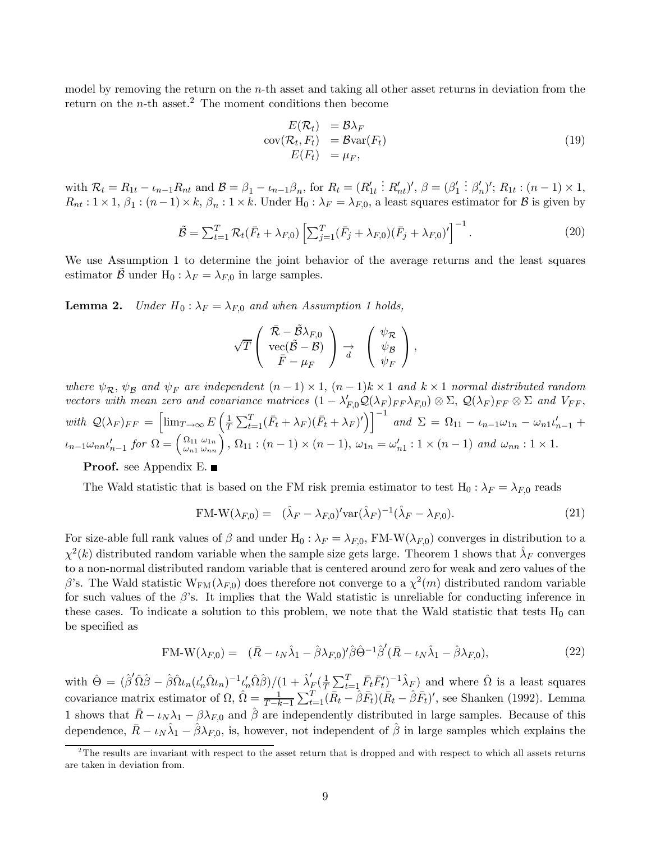model by removing the return on the  $n$ -th asset and taking all other asset returns in deviation from the return on the  $n$ -th asset.<sup>2</sup> The moment conditions then become

$$
E(\mathcal{R}_t) = \mathcal{B}\lambda_F
$$
  
\n
$$
cov(\mathcal{R}_t, F_t) = \mathcal{B}var(F_t)
$$
  
\n
$$
E(F_t) = \mu_F,
$$
\n(19)

with  $\mathcal{R}_t = R_{1t} - \iota_{n-1} R_{nt}$  and  $\mathcal{B} = \beta_1 - \iota_{n-1} \beta_n$ , for  $R_t = (R'_{1t})$ :  $R'_{nt}$ ',  $\beta = (\beta'_1)$  $\vdots \beta'_n$ ';  $R_{1t} : (n-1) \times 1$ ,  $R_{nt}: 1 \times 1, \beta_1: (n-1) \times k, \beta_n: 1 \times k$ . Under  $H_0: \lambda_F = \lambda_{F,0}$ , a least squares estimator for B is given by

$$
\tilde{\mathcal{B}} = \sum_{t=1}^{T} \mathcal{R}_t (\bar{F}_t + \lambda_{F,0}) \left[ \sum_{j=1}^{T} (\bar{F}_j + \lambda_{F,0}) (\bar{F}_j + \lambda_{F,0})' \right]^{-1}.
$$
\n(20)

We use Assumption 1 to determine the joint behavior of the average returns and the least squares estimator B under H<sub>0</sub> :  $\lambda_F = \lambda_{F,0}$  in large samples.

**Lemma 2.** Under  $H_0: \lambda_F = \lambda_{F,0}$  and when Assumption 1 holds,

$$
\sqrt{T}\left(\begin{array}{c}\bar{\mathcal{R}}-\tilde{\mathcal{B}}\lambda_{F,0}\\ {\rm vec}(\tilde{\mathcal{B}}-\mathcal{B})\\ \bar{F}-\mu_F\end{array}\right)\underset{d}{\rightarrow}\left(\begin{array}{c}\psi_{\mathcal{R}}\\ \psi_{\mathcal{B}}\\ \psi_F\end{array}\right),
$$

where  $\psi_{\mathcal{R}}, \psi_{\mathcal{B}}$  and  $\psi_F$  are independent  $(n-1) \times 1$ ,  $(n-1)k \times 1$  and  $k \times 1$  normal distributed random vectors with mean zero and covariance matrices  $(1 - \lambda'_{F,0} Q(\lambda_F)_{FF} \lambda_{F,0}) \otimes \Sigma$ ,  $Q(\lambda_F)_{FF} \otimes \Sigma$  and  $V_{FF}$ , with  $\mathcal{Q}(\lambda_F)_{FF} = \left[\lim_{T\to\infty} E\left(\frac{1}{T}\right)\right]$  $\frac{1}{T} \sum_{t=1}^{T} (\bar{F}_t + \lambda_F) (\bar{F}_t + \lambda_F)' \Big) \Big]^{-1}$  and  $\Sigma = \Omega_{11} - \iota_{n-1} \omega_{1n} - \omega_{n1} \iota'_{n-1} +$  $\iota_{n-1}\omega_{nn}\iota'_{n-1}$  for  $\Omega = \begin{pmatrix} \Omega_{11} \\ \omega_{n1} \end{pmatrix}$  $\omega_{n1}$  $\omega_{\omega_{nn}}^{(1)}$ ,  $\Omega_{11}$ :  $(n-1) \times (n-1)$ ,  $\omega_{1n} = \omega'_{n1}$ :  $1 \times (n-1)$  and  $\omega_{nn}$ :  $1 \times 1$ .

**Proof.** see Appendix E.

The Wald statistic that is based on the FM risk premia estimator to test  $H_0: \lambda_F = \lambda_{F,0}$  reads

$$
FM-W(\lambda_{F,0}) = (\hat{\lambda}_F - \lambda_{F,0})'\text{var}(\hat{\lambda}_F)^{-1}(\hat{\lambda}_F - \lambda_{F,0}).
$$
\n(21)

For size-able full rank values of  $\beta$  and under H<sub>0</sub> :  $\lambda_F = \lambda_{F,0}$ , FM-W( $\lambda_{F,0}$ ) converges in distribution to a  $\chi^2(k)$  distributed random variable when the sample size gets large. Theorem 1 shows that  $\lambda_F$  converges to a non-normal distributed random variable that is centered around zero for weak and zero values of the β's. The Wald statistic  $W_{FM}(\lambda_{F,0})$  does therefore not converge to a  $\chi^2(m)$  distributed random variable for such values of the  $\beta$ 's. It implies that the Wald statistic is unreliable for conducting inference in these cases. To indicate a solution to this problem, we note that the Wald statistic that tests  $H_0$  can be specified as

$$
FM-W(\lambda_{F,0}) = (\bar{R} - \iota_N \hat{\lambda}_1 - \hat{\beta} \lambda_{F,0})' \hat{\beta} \hat{\Theta}^{-1} \hat{\beta}' (\bar{R} - \iota_N \hat{\lambda}_1 - \hat{\beta} \lambda_{F,0}), \qquad (22)
$$

with  $\hat{\Theta} = (\hat{\beta}'\hat{\Omega}\hat{\beta} - \hat{\beta}\hat{\Omega}\iota_n(\iota'_n\hat{\Omega}\iota_n)^{-1}\iota'_n\hat{\Omega}\hat{\beta})/(1 + \hat{\lambda}'_{F}(\frac{1}{T}\sum_{t=1}^{T}\bar{F}_t\bar{F}'_t)^{-1}\hat{\lambda}_F)$  and where  $\hat{\Omega}$  is a least squares covariance matrix estimator of  $\Omega$ ,  $\hat{\Omega} = \frac{1}{T-k-1} \sum_{t=1}^{T} (\bar{R}_t - \hat{\beta} \bar{F}_t)(\bar{R}_t - \hat{\beta} \bar{F}_t)'$ , see Shanken (1992). Lemma 1 shows that  $\bar{R} - \iota_N \lambda_1 - \beta \lambda_{F,0}$  and  $\hat{\beta}$  are independently distributed in large samples. Because of this dependence,  $\bar{R} - \iota_N \hat{\lambda}_1 - \hat{\beta} \lambda_{F,0}$ , is, however, not independent of  $\hat{\beta}$  in large samples which explains the

 $2<sup>2</sup>$ The results are invariant with respect to the asset return that is dropped and with respect to which all assets returns are taken in deviation from.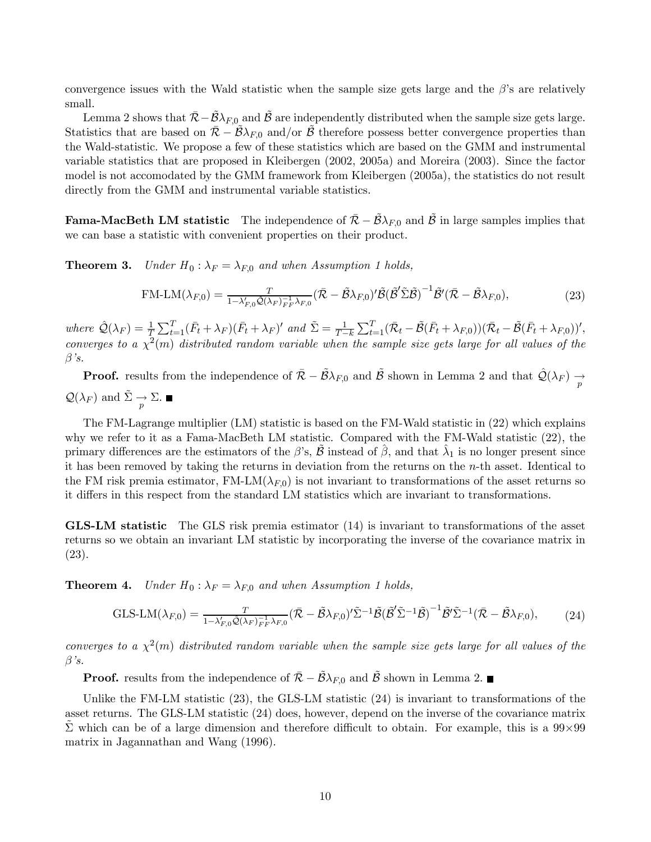convergence issues with the Wald statistic when the sample size gets large and the  $\beta$ 's are relatively small.

Lemma 2 shows that  $\mathcal{R} - \mathcal{B} \lambda_{F,0}$  and B are independently distributed when the sample size gets large. Statistics that are based on  $\mathcal{R} - \mathcal{B}\lambda_{F,0}$  and/or B therefore possess better convergence properties than the Wald-statistic. We propose a few of these statistics which are based on the GMM and instrumental variable statistics that are proposed in Kleibergen (2002, 2005a) and Moreira (2003). Since the factor model is not accomodated by the GMM framework from Kleibergen (2005a), the statistics do not result directly from the GMM and instrumental variable statistics.

**Fama-MacBeth LM statistic** The independence of  $\bar{\mathcal{R}} - \mathcal{B}\lambda_{F,0}$  and  $\bar{\mathcal{B}}$  in large samples implies that we can base a statistic with convenient properties on their product.

**Theorem 3.** Under  $H_0: \lambda_F = \lambda_{F,0}$  and when Assumption 1 holds,

$$
\text{FM-LM}(\lambda_{F,0}) = \frac{T}{1 - \lambda'_{F,0} \hat{\mathcal{Q}}(\lambda_F)_{F,0}^{-1} \lambda_{F,0}} (\bar{\mathcal{R}} - \tilde{\mathcal{B}}\lambda_{F,0})' \tilde{\mathcal{B}} (\tilde{\mathcal{B}}' \tilde{\Sigma} \tilde{\mathcal{B}})^{-1} \tilde{\mathcal{B}}' (\bar{\mathcal{R}} - \tilde{\mathcal{B}}\lambda_{F,0}), \tag{23}
$$

where  $\hat{\mathcal{Q}}(\lambda_F) = \frac{1}{T} \sum_{t=1}^T (\bar{F}_t + \lambda_F) (\bar{F}_t + \lambda_F)'$  and  $\tilde{\Sigma} = \frac{1}{T-k} \sum_{t=1}^T (\bar{\mathcal{R}}_t - \tilde{\mathcal{B}}(\bar{F}_t + \lambda_{F,0})) (\bar{\mathcal{R}}_t - \tilde{\mathcal{B}}(\bar{F}_t + \lambda_{F,0}))'$ , converges to a  $\chi^2(m)$  distributed random variable when the sample size gets large for all values of the  $\beta$ 's.

**Proof.** results from the independence of  $\overline{\mathcal{R}} - \widetilde{\mathcal{B}} \lambda_{F,0}$  and  $\widetilde{\mathcal{B}}$  shown in Lemma 2 and that  $\mathcal{Q}(\lambda_F) \rightarrow$  $\mathcal{Q}(\lambda_F)$  and  $\tilde{\Sigma} \to \Sigma$ .

The FM-Lagrange multiplier (LM) statistic is based on the FM-Wald statistic in (22) which explains why we refer to it as a Fama-MacBeth LM statistic. Compared with the FM-Wald statistic (22), the primary differences are the estimators of the  $\beta$ 's,  $\beta$  instead of  $\beta$ , and that  $\lambda_1$  is no longer present since it has been removed by taking the returns in deviation from the returns on the n-th asset. Identical to the FM risk premia estimator, FM-LM( $\lambda_{F,0}$ ) is not invariant to transformations of the asset returns so it differs in this respect from the standard LM statistics which are invariant to transformations.

GLS-LM statistic The GLS risk premia estimator (14) is invariant to transformations of the asset returns so we obtain an invariant LM statistic by incorporating the inverse of the covariance matrix in (23).

**Theorem 4.** Under  $H_0: \lambda_F = \lambda_{F,0}$  and when Assumption 1 holds,

$$
\text{GLS-LM}(\lambda_{F,0}) = \frac{T}{1 - \lambda'_{F,0} \hat{\mathcal{Q}}(\lambda_F)_{F^F}^{-1} \lambda_{F,0}} (\bar{\mathcal{R}} - \tilde{\mathcal{B}} \lambda_{F,0})' \tilde{\Sigma}^{-1} \tilde{\mathcal{B}} (\tilde{\mathcal{B}}' \tilde{\Sigma}^{-1} \tilde{\mathcal{B}})^{-1} \tilde{\mathcal{B}}' \tilde{\Sigma}^{-1} (\bar{\mathcal{R}} - \tilde{\mathcal{B}} \lambda_{F,0}), \tag{24}
$$

converges to a  $\chi^2(m)$  distributed random variable when the sample size gets large for all values of the  $\beta$ 's.

**Proof.** results from the independence of  $\overline{\mathcal{R}} - \overline{\mathcal{B}} \lambda_{F,0}$  and  $\overline{\mathcal{B}}$  shown in Lemma 2. ■

Unlike the FM-LM statistic  $(23)$ , the GLS-LM statistic  $(24)$  is invariant to transformations of the asset returns. The GLS-LM statistic (24) does, however, depend on the inverse of the covariance matrix  $\Sigma$  which can be of a large dimension and therefore difficult to obtain. For example, this is a 99×99 matrix in Jagannathan and Wang (1996).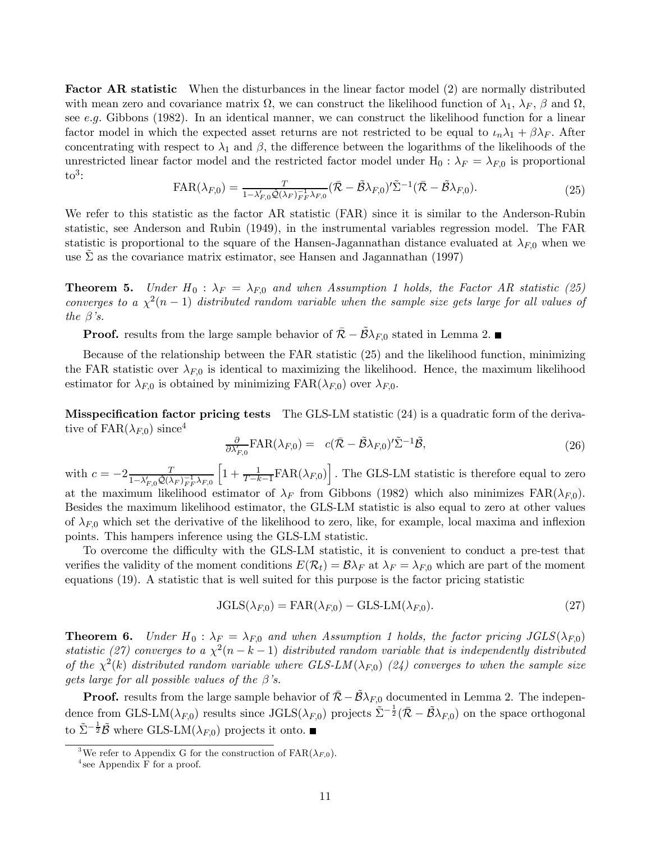**Factor AR statistic** When the disturbances in the linear factor model (2) are normally distributed with mean zero and covariance matrix  $\Omega$ , we can construct the likelihood function of  $\lambda_1$ ,  $\lambda_F$ ,  $\beta$  and  $\Omega$ , see e.g. Gibbons (1982). In an identical manner, we can construct the likelihood function for a linear factor model in which the expected asset returns are not restricted to be equal to  $\iota_n\lambda_1 + \beta\lambda_F$ . After concentrating with respect to  $\lambda_1$  and  $\beta$ , the difference between the logarithms of the likelihoods of the unrestricted linear factor model and the restricted factor model under  $H_0$ :  $\lambda_F = \lambda_{F,0}$  is proportional  $\mathrm{to}^3$ :

$$
FAR(\lambda_{F,0}) = \frac{T}{1 - \lambda'_{F,0} \hat{\mathcal{Q}}(\lambda_F)_{FF}^{-1} \lambda_{F,0}} (\bar{\mathcal{R}} - \tilde{\mathcal{B}} \lambda_{F,0})' \tilde{\Sigma}^{-1} (\bar{\mathcal{R}} - \tilde{\mathcal{B}} \lambda_{F,0}).
$$
\n(25)

We refer to this statistic as the factor AR statistic (FAR) since it is similar to the Anderson-Rubin statistic, see Anderson and Rubin (1949), in the instrumental variables regression model. The FAR statistic is proportional to the square of the Hansen-Jagannathan distance evaluated at  $\lambda_{F,0}$  when we use  $\Sigma$  as the covariance matrix estimator, see Hansen and Jagannathan (1997)

**Theorem 5.** Under  $H_0$ :  $\lambda_F = \lambda_{F,0}$  and when Assumption 1 holds, the Factor AR statistic (25) converges to a  $\chi^2(n-1)$  distributed random variable when the sample size gets large for all values of the  $\beta$ 's.

**Proof.** results from the large sample behavior of  $\overline{R} - \overline{B}\lambda_{F,0}$  stated in Lemma 2. ■

Because of the relationship between the FAR statistic (25) and the likelihood function, minimizing the FAR statistic over  $\lambda_{F,0}$  is identical to maximizing the likelihood. Hence, the maximum likelihood estimator for  $\lambda_{F,0}$  is obtained by minimizing  $FAR(\lambda_{F,0})$  over  $\lambda_{F,0}$ .

Misspecification factor pricing tests The GLS-LM statistic (24) is a quadratic form of the derivative of  $FAR(\lambda_{F,0})$  since<sup>4</sup>

$$
\frac{\partial}{\partial \lambda'_{F,0}} \text{FAR}(\lambda_{F,0}) = c(\bar{\mathcal{R}} - \tilde{\mathcal{B}}\lambda_{F,0})' \tilde{\Sigma}^{-1} \tilde{\mathcal{B}}, \tag{26}
$$

with  $c = -2 \frac{T}{1 - \lambda_{F,0}' \hat{\mathcal{Q}}(\lambda_F)_{FF}^{-1} \lambda_{F,0}}$  $\left[1+\frac{1}{T-k-1}\text{FAR}(\lambda_{F,0})\right]$ . The GLS-LM statistic is therefore equal to zero at the maximum likelihood estimator of  $\lambda_F$  from Gibbons (1982) which also minimizes  $FAR(\lambda_{F,0})$ . Besides the maximum likelihood estimator, the GLS-LM statistic is also equal to zero at other values of  $\lambda_{F,0}$  which set the derivative of the likelihood to zero, like, for example, local maxima and inflexion points. This hampers inference using the GLS-LM statistic.

To overcome the difficulty with the GLS-LM statistic, it is convenient to conduct a pre-test that verifies the validity of the moment conditions  $E(\mathcal{R}_t) = \mathcal{B}\lambda_F$  at  $\lambda_F = \lambda_{F,0}$  which are part of the moment equations (19). A statistic that is well suited for this purpose is the factor pricing statistic

$$
JGLS(\lambda_{F,0}) = FAR(\lambda_{F,0}) - GLS-LM(\lambda_{F,0}).
$$
\n(27)

**Theorem 6.** Under  $H_0: \lambda_F = \lambda_{F,0}$  and when Assumption 1 holds, the factor pricing  $JGLS(\lambda_{F,0})$ statistic (27) converges to a  $\chi^2(n-k-1)$  distributed random variable that is independently distributed of the  $\chi^2(k)$  distributed random variable where GLS-LM( $\lambda_{F,0}$ ) (24) converges to when the sample size gets large for all possible values of the  $\beta$ 's.

**Proof.** results from the large sample behavior of  $\overline{R} - \widetilde{B}\lambda_{F,0}$  documented in Lemma 2. The independence from GLS-LM( $\lambda_{F,0}$ ) results since JGLS( $\lambda_{F,0}$ ) projects  $\tilde{\Sigma}^{-\frac{1}{2}}(\bar{\mathcal{R}} - \tilde{\mathcal{B}}\lambda_{F,0})$  on the space orthogonal to  $\tilde{\Sigma}^{-\frac{1}{2}}\tilde{\mathcal{B}}$  where GLS-LM( $\lambda_{F,0}$ ) projects it onto.

<sup>&</sup>lt;sup>3</sup>We refer to Appendix G for the construction of  $FAR(\lambda_{F,0})$ .

 $4$  see Appendix F for a proof.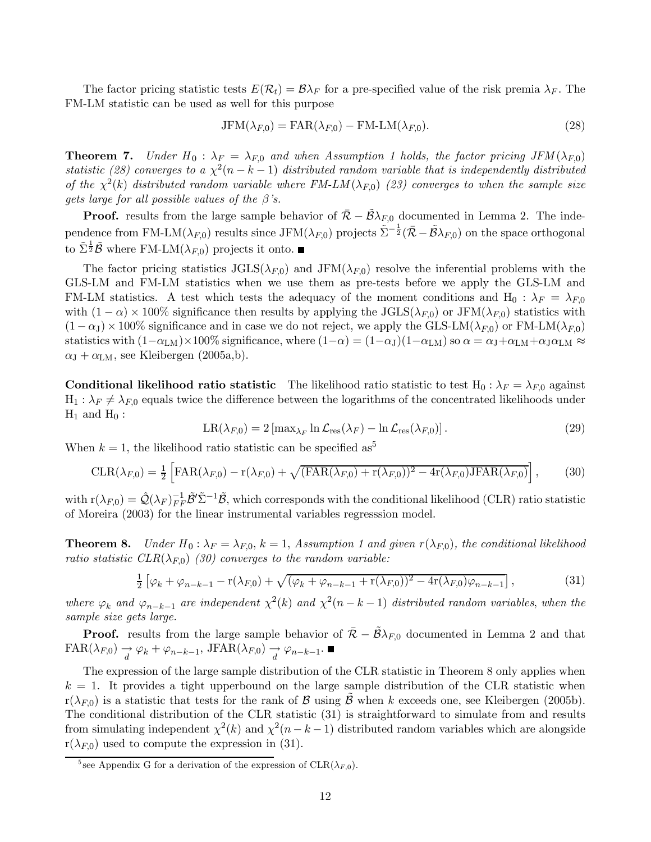The factor pricing statistic tests  $E(\mathcal{R}_t) = \mathcal{B}\lambda_F$  for a pre-specified value of the risk premia  $\lambda_F$ . The FM-LM statistic can be used as well for this purpose

$$
JFM(\lambda_{F,0}) = FAR(\lambda_{F,0}) - FM-LM(\lambda_{F,0}).
$$
\n(28)

**Theorem 7.** Under  $H_0$ :  $\lambda_F = \lambda_{F,0}$  and when Assumption 1 holds, the factor pricing JFM ( $\lambda_{F,0}$ ) statistic (28) converges to a  $\chi^2(n-k-1)$  distributed random variable that is independently distributed of the  $\chi^2(k)$  distributed random variable where  $FM-LM(\lambda_{F,0})$  (23) converges to when the sample size gets large for all possible values of the  $\beta$ 's.

**Proof.** results from the large sample behavior of  $\bar{\mathcal{R}} - \bar{\mathcal{B}}\lambda_{F,0}$  documented in Lemma 2. The independence from FM-LM( $\lambda_{F,0}$ ) results since JFM( $\lambda_{F,0}$ ) projects  $\tilde{\Sigma}^{-\frac{1}{2}}(\bar{\mathcal{R}} - \tilde{\mathcal{B}}\lambda_{F,0})$  on the space orthogonal to  $\tilde{\Sigma}^{\frac{1}{2}}\tilde{\mathcal{B}}$  where FM-LM( $\lambda_{F,0}$ ) projects it onto.

The factor pricing statistics  $JGLS(\lambda_{F,0})$  and  $JFM(\lambda_{F,0})$  resolve the inferential problems with the GLS-LM and FM-LM statistics when we use them as pre-tests before we apply the GLS-LM and FM-LM statistics. A test which tests the adequacy of the moment conditions and H<sub>0</sub> :  $\lambda_F = \lambda_{F,0}$ with  $(1 - \alpha) \times 100\%$  significance then results by applying the JGLS( $\lambda_{F,0}$ ) or JFM( $\lambda_{F,0}$ ) statistics with  $(1 - \alpha_J) \times 100\%$  significance and in case we do not reject, we apply the GLS-LM( $\lambda_{F,0}$ ) or FM-LM( $\lambda_{F,0}$ ) statistics with  $(1-\alpha_{LM})\times100\%$  significance, where  $(1-\alpha) = (1-\alpha_{J})(1-\alpha_{LM})$  so  $\alpha = \alpha_{J}+\alpha_{LM}+\alpha_{J}\alpha_{LM} \approx$  $\alpha_{\text{J}} + \alpha_{\text{LM}}$ , see Kleibergen (2005a,b).

**Conditional likelihood ratio statistic** The likelihood ratio statistic to test H<sub>0</sub> :  $\lambda_F = \lambda_{F,0}$  against  $H_1: \lambda_F \neq \lambda_{F,0}$  equals twice the difference between the logarithms of the concentrated likelihoods under  $H_1$  and  $H_0$ :

$$
LR(\lambda_{F,0}) = 2 \left[ \max_{\lambda_F} \ln \mathcal{L}_{\text{res}}(\lambda_F) - \ln \mathcal{L}_{\text{res}}(\lambda_{F,0}) \right]. \tag{29}
$$

When  $k = 1$ , the likelihood ratio statistic can be specified as<sup>5</sup>

$$
\text{CLR}(\lambda_{F,0}) = \frac{1}{2} \left[ \text{FAR}(\lambda_{F,0}) - \mathbf{r}(\lambda_{F,0}) + \sqrt{(\text{FAR}(\lambda_{F,0}) + \mathbf{r}(\lambda_{F,0}))^2 - 4\mathbf{r}(\lambda_{F,0}) \cdot \text{JFAR}(\lambda_{F,0})} \right],\tag{30}
$$

with  $r(\lambda_{F,0}) = \hat{\mathcal{Q}}(\lambda_F)_{FF}^{-1} \tilde{\mathcal{B}}' \tilde{\Sigma}^{-1} \tilde{\mathcal{B}},$  which corresponds with the conditional likelihood (CLR) ratio statistic of Moreira (2003) for the linear instrumental variables regresssion model.

**Theorem 8.** Under  $H_0: \lambda_F = \lambda_{F,0}$ ,  $k = 1$ , Assumption 1 and given  $r(\lambda_{F,0})$ , the conditional likelihood ratio statistic  $CLR(\lambda_{F,0})$  (30) converges to the random variable:

$$
\frac{1}{2} \left[ \varphi_k + \varphi_{n-k-1} - r(\lambda_{F,0}) + \sqrt{(\varphi_k + \varphi_{n-k-1} + r(\lambda_{F,0}))^2 - 4r(\lambda_{F,0})\varphi_{n-k-1}} \right],
$$
\n(31)

where  $\varphi_k$  and  $\varphi_{n-k-1}$  are independent  $\chi^2(k)$  and  $\chi^2(n-k-1)$  distributed random variables, when the sample size gets large.

**Proof.** results from the large sample behavior of  $\overline{R} - \overline{B}\lambda_{F,0}$  documented in Lemma 2 and that  $FAR(\lambda_{F,0}) \rightarrow \varphi_k + \varphi_{n-k-1}, \text{JFAR}(\lambda_{F,0}) \rightarrow \varphi_{n-k-1}.$ 

The expression of the large sample distribution of the CLR statistic in Theorem 8 only applies when  $k = 1$ . It provides a tight upperbound on the large sample distribution of the CLR statistic when  $r(\lambda_{F,0})$  is a statistic that tests for the rank of B using B when k exceeds one, see Kleibergen (2005b). The conditional distribution of the CLR statistic (31) is straightforward to simulate from and results from simulating independent  $\chi^2(k)$  and  $\chi^2(n-k-1)$  distributed random variables which are alongside  $r(\lambda_{F,0})$  used to compute the expression in (31).

<sup>&</sup>lt;sup>5</sup> see Appendix G for a derivation of the expression of  $CLR(\lambda_{F,0})$ .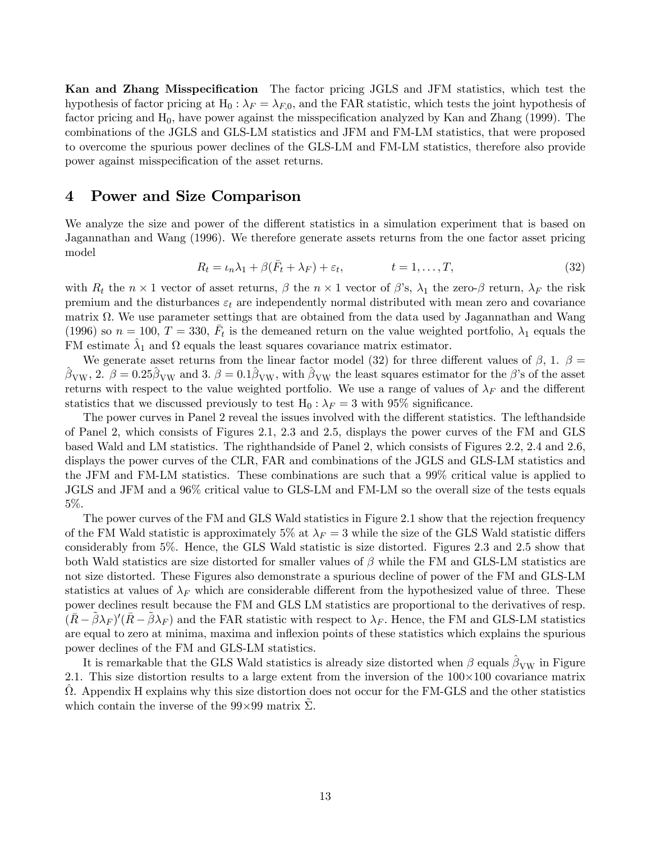Kan and Zhang Misspecification The factor pricing JGLS and JFM statistics, which test the hypothesis of factor pricing at H<sub>0</sub> :  $\lambda_F = \lambda_{F,0}$ , and the FAR statistic, which tests the joint hypothesis of factor pricing and  $H_0$ , have power against the misspecification analyzed by Kan and Zhang (1999). The combinations of the JGLS and GLS-LM statistics and JFM and FM-LM statistics, that were proposed to overcome the spurious power declines of the GLS-LM and FM-LM statistics, therefore also provide power against misspecification of the asset returns.

#### 4 Power and Size Comparison

We analyze the size and power of the different statistics in a simulation experiment that is based on Jagannathan and Wang (1996). We therefore generate assets returns from the one factor asset pricing model

$$
R_t = \iota_n \lambda_1 + \beta(\bar{F}_t + \lambda_F) + \varepsilon_t, \qquad t = 1, \dots, T,
$$
\n(32)

with  $R_t$  the  $n \times 1$  vector of asset returns,  $\beta$  the  $n \times 1$  vector of  $\beta$ 's,  $\lambda_1$  the zero- $\beta$  return,  $\lambda_F$  the risk premium and the disturbances  $\varepsilon_t$  are independently normal distributed with mean zero and covariance matrix  $\Omega$ . We use parameter settings that are obtained from the data used by Jagannathan and Wang (1996) so  $n = 100$ ,  $T = 330$ ,  $F_t$  is the demeaned return on the value weighted portfolio,  $\lambda_1$  equals the FM estimate  $\lambda_1$  and  $\Omega$  equals the least squares covariance matrix estimator.

We generate asset returns from the linear factor model (32) for three different values of  $\beta$ , 1.  $\beta =$  $\beta_{\text{VW}}$ , 2.  $\beta = 0.25 \beta_{\text{VW}}$  and 3.  $\beta = 0.1 \beta_{\text{VW}}$ , with  $\beta_{\text{VW}}$  the least squares estimator for the  $\beta$ 's of the asset returns with respect to the value weighted portfolio. We use a range of values of  $\lambda_F$  and the different statistics that we discussed previously to test  $H_0: \lambda_F = 3$  with 95% significance.

The power curves in Panel 2 reveal the issues involved with the different statistics. The lefthandside of Panel 2, which consists of Figures 2.1, 2.3 and 2.5, displays the power curves of the FM and GLS based Wald and LM statistics. The righthandside of Panel 2, which consists of Figures 2.2, 2.4 and 2.6, displays the power curves of the CLR, FAR and combinations of the JGLS and GLS-LM statistics and the JFM and FM-LM statistics. These combinations are such that a 99% critical value is applied to JGLS and JFM and a 96% critical value to GLS-LM and FM-LM so the overall size of the tests equals 5%.

The power curves of the FM and GLS Wald statistics in Figure 2.1 show that the rejection frequency of the FM Wald statistic is approximately 5% at  $\lambda_F = 3$  while the size of the GLS Wald statistic differs considerably from 5%. Hence, the GLS Wald statistic is size distorted. Figures 2.3 and 2.5 show that both Wald statistics are size distorted for smaller values of  $\beta$  while the FM and GLS-LM statistics are not size distorted. These Figures also demonstrate a spurious decline of power of the FM and GLS-LM statistics at values of  $\lambda_F$  which are considerable different from the hypothesized value of three. These power declines result because the FM and GLS LM statistics are proportional to the derivatives of resp.  $(\bar{R}-\tilde{\beta}\lambda_F)'(\bar{R}-\tilde{\beta}\lambda_F)$  and the FAR statistic with respect to  $\lambda_F$ . Hence, the FM and GLS-LM statistics are equal to zero at minima, maxima and inflexion points of these statistics which explains the spurious power declines of the FM and GLS-LM statistics.

It is remarkable that the GLS Wald statistics is already size distorted when  $\beta$  equals  $\beta_{\rm VW}$  in Figure 2.1. This size distortion results to a large extent from the inversion of the  $100\times100$  covariance matrix  $\Omega$ . Appendix H explains why this size distortion does not occur for the FM-GLS and the other statistics which contain the inverse of the  $99\times99$  matrix  $\Sigma$ .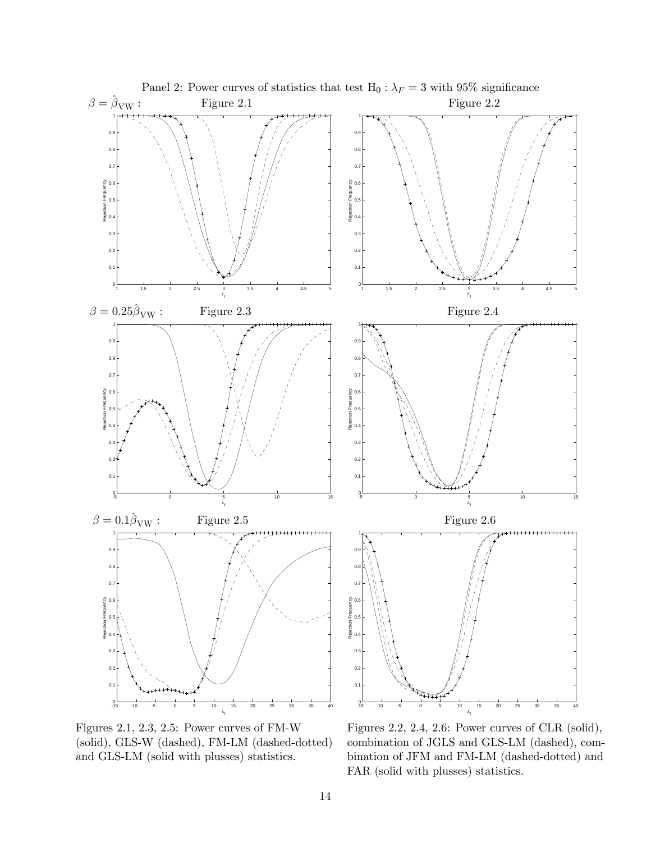

Figures 2.1, 2.3, 2.5: Power curves of FM-W Figures 2.2, 2.4, 2.6: Power curves of CLR (solid), (solid), GLS-W (dashed), FM-LM (dashed-dotted) combination of JGLS and GLS-LM (dashed), comand GLS-LM (solid with plusses) statistics. bination of JFM and FM-LM (dashed-dotted) and FAR (solid with plusses) statistics.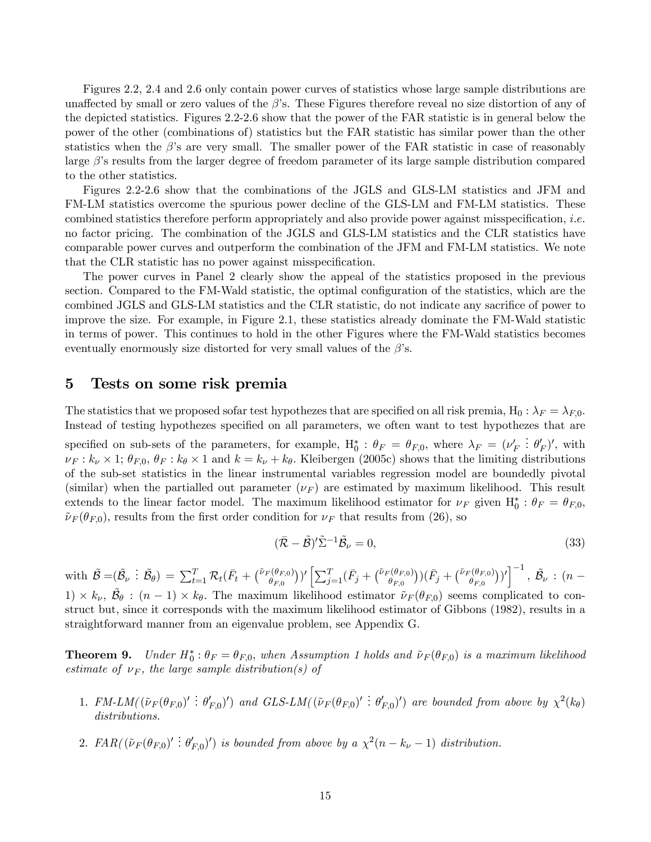Figures 2.2, 2.4 and 2.6 only contain power curves of statistics whose large sample distributions are unaffected by small or zero values of the  $\beta$ 's. These Figures therefore reveal no size distortion of any of the depicted statistics. Figures 2.2-2.6 show that the power of the FAR statistic is in general below the power of the other (combinations of) statistics but the FAR statistic has similar power than the other statistics when the  $\beta$ 's are very small. The smaller power of the FAR statistic in case of reasonably large  $\beta$ 's results from the larger degree of freedom parameter of its large sample distribution compared to the other statistics.

Figures 2.2-2.6 show that the combinations of the JGLS and GLS-LM statistics and JFM and FM-LM statistics overcome the spurious power decline of the GLS-LM and FM-LM statistics. These combined statistics therefore perform appropriately and also provide power against misspecification, i.e. no factor pricing. The combination of the JGLS and GLS-LM statistics and the CLR statistics have comparable power curves and outperform the combination of the JFM and FM-LM statistics. We note that the CLR statistic has no power against misspecification.

The power curves in Panel 2 clearly show the appeal of the statistics proposed in the previous section. Compared to the FM-Wald statistic, the optimal configuration of the statistics, which are the combined JGLS and GLS-LM statistics and the CLR statistic, do not indicate any sacrifice of power to improve the size. For example, in Figure 2.1, these statistics already dominate the FM-Wald statistic in terms of power. This continues to hold in the other Figures where the FM-Wald statistics becomes eventually enormously size distorted for very small values of the  $\beta$ 's.

#### 5 Tests on some risk premia

The statistics that we proposed sofar test hypothezes that are specified on all risk premia, H<sub>0</sub> :  $\lambda_F = \lambda_{F,0}$ . Instead of testing hypothezes specified on all parameters, we often want to test hypothezes that are

specified on sub-sets of the parameters, for example,  $H_0^*$  :  $\theta_F = \theta_{F,0}$ , where  $\lambda_F = (\nu_F')$ :  $\theta'_F)'$ , with  $\nu_F : k_\nu \times 1$ ;  $\theta_{F,0}, \theta_F : k_\theta \times 1$  and  $k = k_\nu + k_\theta$ . Kleibergen (2005c) shows that the limiting distributions of the sub-set statistics in the linear instrumental variables regression model are boundedly pivotal (similar) when the partialled out parameter  $(\nu_F)$  are estimated by maximum likelihood. This result extends to the linear factor model. The maximum likelihood estimator for  $\nu_F$  given  $H_0^*$ :  $\theta_F = \theta_{F,0}$ ,  $\tilde{\nu}_F(\theta_{F,0})$ , results from the first order condition for  $\nu_F$  that results from (26), so

$$
(\bar{\mathcal{R}} - \tilde{\mathcal{B}})' \tilde{\Sigma}^{-1} \tilde{\mathcal{B}}_{\nu} = 0, \tag{33}
$$

with  $\tilde{\mathcal{B}} = (\tilde{\mathcal{B}}_{\nu} : \tilde{\mathcal{B}}_{\theta}) = \sum_{t=1}^{T} \mathcal{R}_t (\bar{F}_t + {\{\tilde{\nu}_F(\theta_{F,0}) \choose \theta_{F,0}}})' \left[ \sum_{j=1}^{T} (\bar{F}_j + {\{\tilde{\nu}_F(\theta_{F,0}) \choose \theta_{F,0}}}) (\bar{F}_j + {\{\tilde{\nu}_F(\theta_{F,0}) \choose \theta_{F,0}}})' \right]^{-1}, \tilde{\mathcal{B}}_{\nu} : (n - \nu)$  $1) \times k_{\nu}$ ,  $\tilde{\mathcal{B}}_{\theta}$ :  $(n-1) \times k_{\theta}$ . The maximum likelihood estimator  $\tilde{\nu}_F(\theta_{F,0})$  seems complicated to construct but, since it corresponds with the maximum likelihood estimator of Gibbons (1982), results in a straightforward manner from an eigenvalue problem, see Appendix G.

**Theorem 9.** Under  $H_0^*$ :  $\theta_F = \theta_{F,0}$ , when Assumption 1 holds and  $\tilde{\nu}_F(\theta_{F,0})$  is a maximum likelihood estimate of  $\nu_F$ , the large sample distribution(s) of

- 1.  $FM\text{-}LM((\tilde{\nu}_F(\theta_{F,0})'\colon \theta'_{F,0})')$  and  $GLS\text{-}LM((\tilde{\nu}_F(\theta_{F,0})'\colon \theta'_{F,0})')$  are bounded from above by  $\chi^2(k_\theta)$ distributions.
- 2.  $FAR((\tilde{\nu}_F(\theta_{F,0})': \theta'_{F,0})')$  is bounded from above by a  $\chi^2(n-k_{\nu}-1)$  distribution.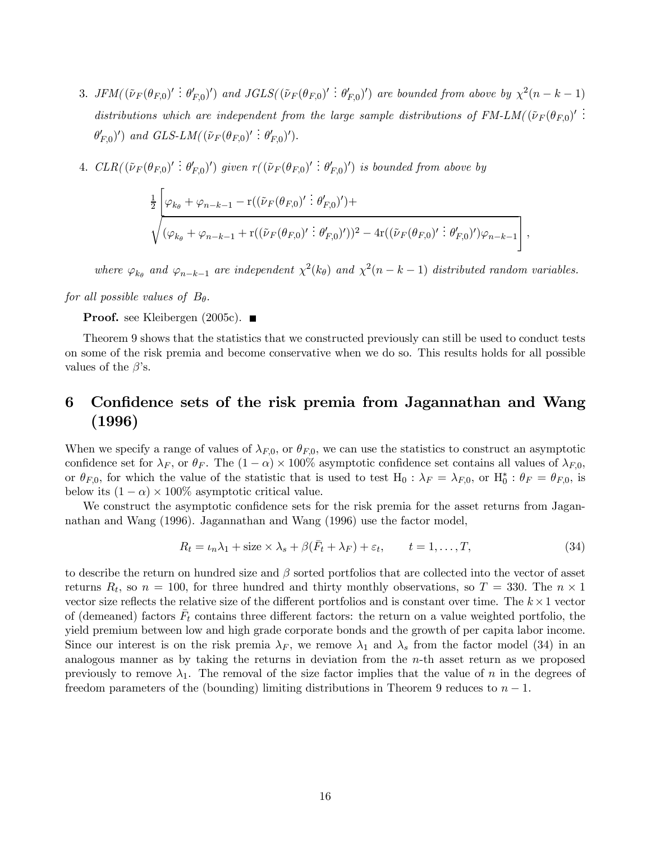- 3. JFM( $(\tilde{\nu}_F(\theta_{F,0})' : \theta'_{F,0})'$ ) and JGLS( $(\tilde{\nu}_F(\theta_{F,0})' : \theta'_{F,0})'$ ) are bounded from above by  $\chi^2(n-k-1)$ distributions which are independent from the large sample distributions of  $FM-LM((\tilde{\nu}_F(\theta_{F,0}))^T)$ .  $\theta'_{F,0}$ ') and GLS-LM( $(\tilde{\nu}_F(\theta_{F,0})' : \theta'_{F,0})'$ ).
- 4.  $CLR((\tilde{\nu}_F(\theta_{F,0})': \theta'_{F,0})')$  given  $r((\tilde{\nu}_F(\theta_{F,0})': \theta'_{F,0})')$  is bounded from above by

$$
\frac{1}{2} \left[ \varphi_{k_{\theta}} + \varphi_{n-k-1} - r((\tilde{\nu}_F(\theta_{F,0})': \theta'_{F,0})') + \sqrt{(\varphi_{k_{\theta}} + \varphi_{n-k-1} + r((\tilde{\nu}_F(\theta_{F,0})': \theta'_{F,0})'))^2 - 4r((\tilde{\nu}_F(\theta_{F,0})': \theta'_{F,0})')\varphi_{n-k-1}} \right],
$$

where  $\varphi_{k_0}$  and  $\varphi_{n-k-1}$  are independent  $\chi^2(k_\theta)$  and  $\chi^2(n-k-1)$  distributed random variables.

for all possible values of  $B_{\theta}$ .

**Proof.** see Kleibergen  $(2005c)$ .

Theorem 9 shows that the statistics that we constructed previously can still be used to conduct tests on some of the risk premia and become conservative when we do so. This results holds for all possible values of the  $\beta$ 's.

## 6 Confidence sets of the risk premia from Jagannathan and Wang (1996)

When we specify a range of values of  $\lambda_{F,0}$ , or  $\theta_{F,0}$ , we can use the statistics to construct an asymptotic confidence set for  $\lambda_F$ , or  $\theta_F$ . The  $(1 - \alpha) \times 100\%$  asymptotic confidence set contains all values of  $\lambda_{F,0}$ , or  $\theta_{F,0}$ , for which the value of the statistic that is used to test  $H_0$ :  $\lambda_F = \lambda_{F,0}$ , or  $H_0^*$ :  $\theta_F = \theta_{F,0}$ , is below its  $(1 - \alpha) \times 100\%$  asymptotic critical value.

We construct the asymptotic confidence sets for the risk premia for the asset returns from Jagannathan and Wang (1996). Jagannathan and Wang (1996) use the factor model,

$$
R_t = \iota_n \lambda_1 + \text{size} \times \lambda_s + \beta(\bar{F}_t + \lambda_F) + \varepsilon_t, \qquad t = 1, \dots, T,
$$
\n(34)

to describe the return on hundred size and  $\beta$  sorted portfolios that are collected into the vector of asset returns  $R_t$ , so  $n = 100$ , for three hundred and thirty monthly observations, so  $T = 330$ . The  $n \times 1$ vector size reflects the relative size of the different portfolios and is constant over time. The  $k \times 1$  vector of (demeaned) factors  $F_t$  contains three different factors: the return on a value weighted portfolio, the yield premium between low and high grade corporate bonds and the growth of per capita labor income. Since our interest is on the risk premia  $\lambda_F$ , we remove  $\lambda_1$  and  $\lambda_s$  from the factor model (34) in an analogous manner as by taking the returns in deviation from the n-th asset return as we proposed previously to remove  $\lambda_1$ . The removal of the size factor implies that the value of n in the degrees of freedom parameters of the (bounding) limiting distributions in Theorem 9 reduces to  $n-1$ .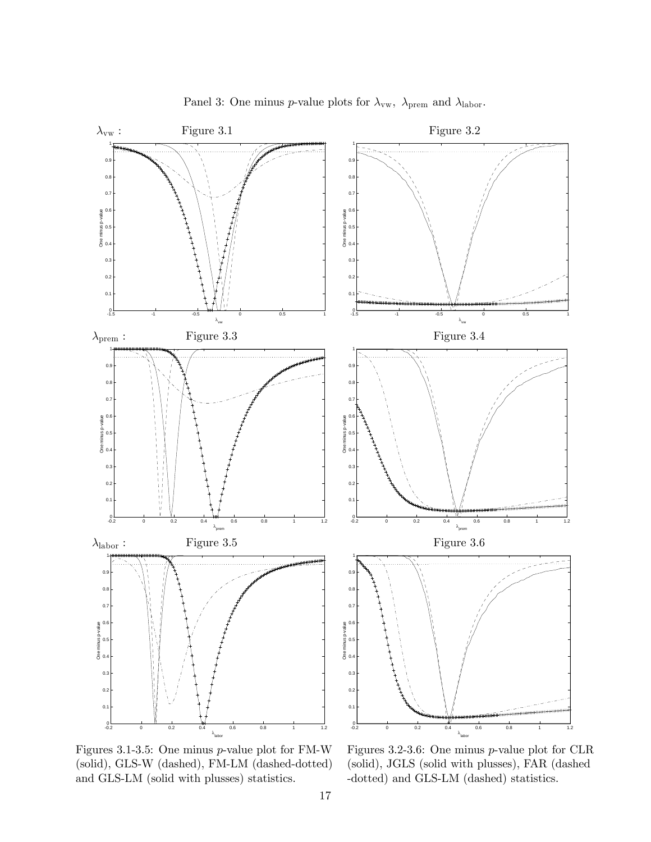

Panel 3: One minus *p*-value plots for  $\lambda_{vw}$ ,  $\lambda_{\text{prem}}$  and  $\lambda_{\text{labor}}$ .

(solid), GLS-W (dashed), FM-LM (dashed-dotted) (solid), JGLS (solid with plusses), FAR (dashed and GLS-LM (solid with plusses) statistics. -dotted) and GLS-LM (dashed) statistics.

Figures 3.1-3.5: One minus p-value plot for FM-W Figures 3.2-3.6: One minus p-value plot for CLR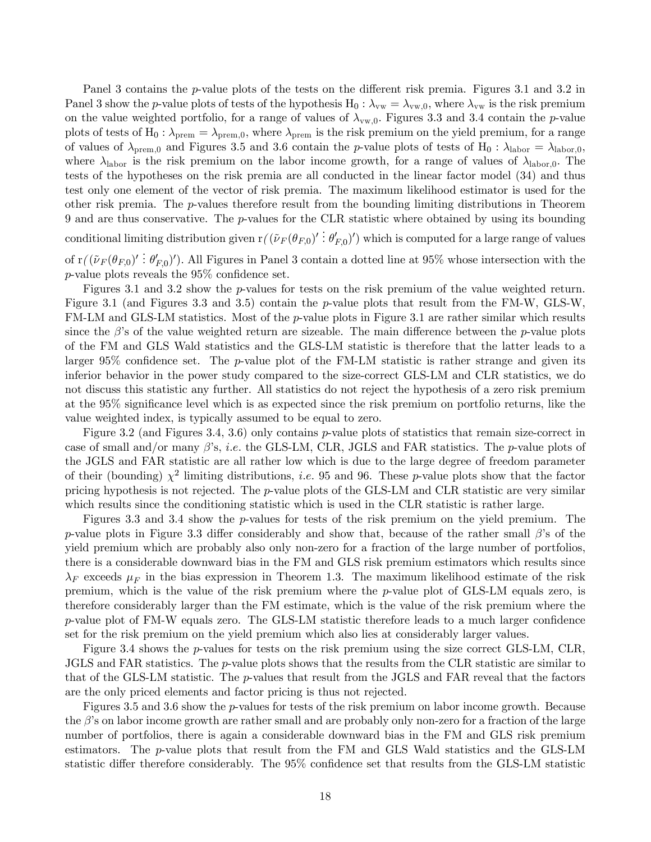Panel 3 contains the p-value plots of the tests on the different risk premia. Figures 3.1 and 3.2 in Panel 3 show the p-value plots of tests of the hypothesis  $H_0$  :  $\lambda_{vw} = \lambda_{vw,0}$ , where  $\lambda_{vw}$  is the risk premium on the value weighted portfolio, for a range of values of  $\lambda_{vw,0}$ . Figures 3.3 and 3.4 contain the *p*-value plots of tests of H<sub>0</sub> :  $\lambda_{\text{prem}} = \lambda_{\text{prem},0}$ , where  $\lambda_{\text{prem}}$  is the risk premium on the yield premium, for a range of values of  $\lambda_{\text{prem},0}$  and Figures 3.5 and 3.6 contain the p-value plots of tests of H<sub>0</sub> :  $\lambda_{\text{labor}} = \lambda_{\text{labor},0}$ , where  $\lambda_{\rm labor}$  is the risk premium on the labor income growth, for a range of values of  $\lambda_{\rm labor,0}$ . The tests of the hypotheses on the risk premia are all conducted in the linear factor model (34) and thus test only one element of the vector of risk premia. The maximum likelihood estimator is used for the other risk premia. The  $p$ -values therefore result from the bounding limiting distributions in Theorem 9 and are thus conservative. The p-values for the CLR statistic where obtained by using its bounding conditional limiting distribution given  $r((\tilde{\nu}_F(\theta_{F,0})' ; \theta'_{F,0})')$  which is computed for a large range of values

of  $r((\tilde{\nu}_F(\theta_{F,0})':\theta'_{F,0})')$ . All Figures in Panel 3 contain a dotted line at 95% whose intersection with the p-value plots reveals the 95% confidence set.

Figures 3.1 and 3.2 show the p-values for tests on the risk premium of the value weighted return. Figure 3.1 (and Figures 3.3 and 3.5) contain the p-value plots that result from the FM-W, GLS-W, FM-LM and GLS-LM statistics. Most of the *p*-value plots in Figure 3.1 are rather similar which results since the  $\beta$ 's of the value weighted return are sizeable. The main difference between the p-value plots of the FM and GLS Wald statistics and the GLS-LM statistic is therefore that the latter leads to a larger 95% confidence set. The  $p$ -value plot of the FM-LM statistic is rather strange and given its inferior behavior in the power study compared to the size-correct GLS-LM and CLR statistics, we do not discuss this statistic any further. All statistics do not reject the hypothesis of a zero risk premium at the 95% significance level which is as expected since the risk premium on portfolio returns, like the value weighted index, is typically assumed to be equal to zero.

Figure 3.2 (and Figures 3.4, 3.6) only contains p-value plots of statistics that remain size-correct in case of small and/or many  $\beta$ 's, *i.e.* the GLS-LM, CLR, JGLS and FAR statistics. The p-value plots of the JGLS and FAR statistic are all rather low which is due to the large degree of freedom parameter of their (bounding)  $\chi^2$  limiting distributions, *i.e.* 95 and 96. These p-value plots show that the factor pricing hypothesis is not rejected. The p-value plots of the GLS-LM and CLR statistic are very similar which results since the conditioning statistic which is used in the CLR statistic is rather large.

Figures 3.3 and 3.4 show the p-values for tests of the risk premium on the yield premium. The p-value plots in Figure 3.3 differ considerably and show that, because of the rather small  $\beta$ 's of the yield premium which are probably also only non-zero for a fraction of the large number of portfolios, there is a considerable downward bias in the FM and GLS risk premium estimators which results since  $\lambda_F$  exceeds  $\mu_F$  in the bias expression in Theorem 1.3. The maximum likelihood estimate of the risk premium, which is the value of the risk premium where the p-value plot of GLS-LM equals zero, is therefore considerably larger than the FM estimate, which is the value of the risk premium where the p-value plot of FM-W equals zero. The GLS-LM statistic therefore leads to a much larger confidence set for the risk premium on the yield premium which also lies at considerably larger values.

Figure 3.4 shows the p-values for tests on the risk premium using the size correct GLS-LM, CLR, JGLS and FAR statistics. The p-value plots shows that the results from the CLR statistic are similar to that of the GLS-LM statistic. The p-values that result from the JGLS and FAR reveal that the factors are the only priced elements and factor pricing is thus not rejected.

Figures 3.5 and 3.6 show the p-values for tests of the risk premium on labor income growth. Because the β's on labor income growth are rather small and are probably only non-zero for a fraction of the large number of portfolios, there is again a considerable downward bias in the FM and GLS risk premium estimators. The p-value plots that result from the FM and GLS Wald statistics and the GLS-LM statistic differ therefore considerably. The 95% confidence set that results from the GLS-LM statistic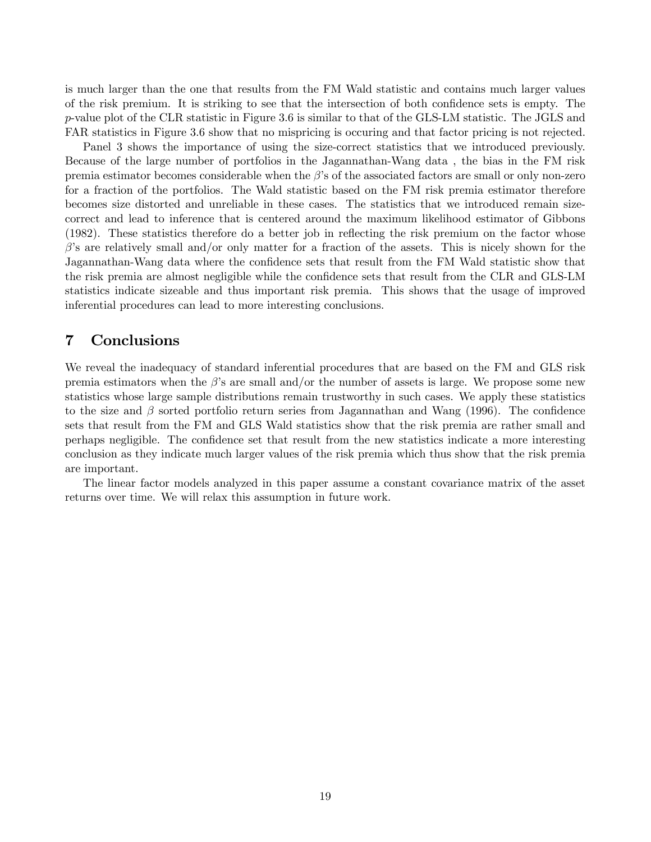is much larger than the one that results from the FM Wald statistic and contains much larger values of the risk premium. It is striking to see that the intersection of both confidence sets is empty. The p-value plot of the CLR statistic in Figure 3.6 is similar to that of the GLS-LM statistic. The JGLS and FAR statistics in Figure 3.6 show that no mispricing is occuring and that factor pricing is not rejected.

Panel 3 shows the importance of using the size-correct statistics that we introduced previously. Because of the large number of portfolios in the Jagannathan-Wang data , the bias in the FM risk premia estimator becomes considerable when the  $\beta$ 's of the associated factors are small or only non-zero for a fraction of the portfolios. The Wald statistic based on the FM risk premia estimator therefore becomes size distorted and unreliable in these cases. The statistics that we introduced remain sizecorrect and lead to inference that is centered around the maximum likelihood estimator of Gibbons (1982). These statistics therefore do a better job in reflecting the risk premium on the factor whose  $\beta$ 's are relatively small and/or only matter for a fraction of the assets. This is nicely shown for the Jagannathan-Wang data where the confidence sets that result from the FM Wald statistic show that the risk premia are almost negligible while the confidence sets that result from the CLR and GLS-LM statistics indicate sizeable and thus important risk premia. This shows that the usage of improved inferential procedures can lead to more interesting conclusions.

#### 7 Conclusions

We reveal the inadequacy of standard inferential procedures that are based on the FM and GLS risk premia estimators when the  $\beta$ 's are small and/or the number of assets is large. We propose some new statistics whose large sample distributions remain trustworthy in such cases. We apply these statistics to the size and  $\beta$  sorted portfolio return series from Jagannathan and Wang (1996). The confidence sets that result from the FM and GLS Wald statistics show that the risk premia are rather small and perhaps negligible. The confidence set that result from the new statistics indicate a more interesting conclusion as they indicate much larger values of the risk premia which thus show that the risk premia are important.

The linear factor models analyzed in this paper assume a constant covariance matrix of the asset returns over time. We will relax this assumption in future work.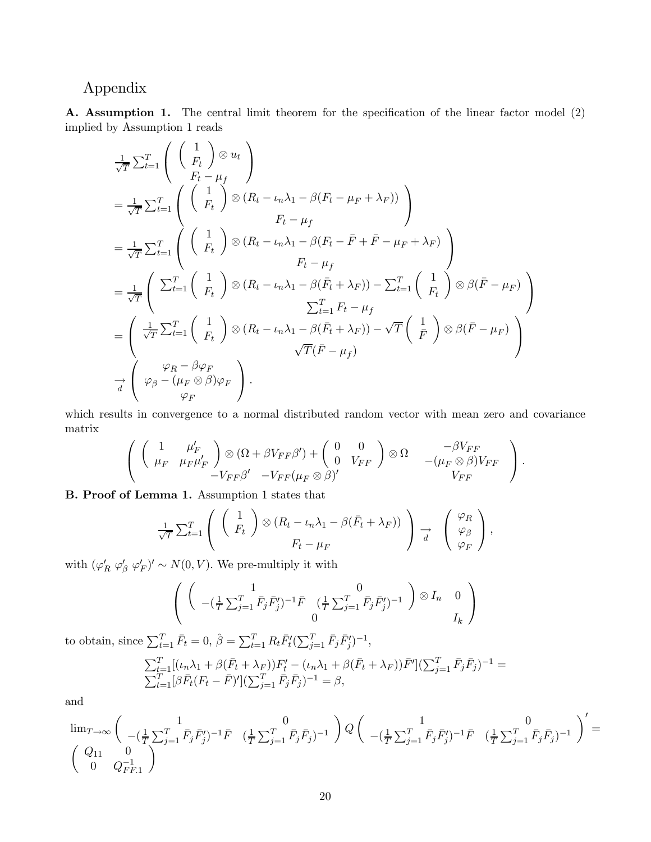#### Appendix

A. Assumption 1. The central limit theorem for the specification of the linear factor model (2) implied by Assumption 1 reads

$$
\frac{1}{\sqrt{T}} \sum_{t=1}^{T} \left( \begin{pmatrix} 1 \\ F_t \end{pmatrix} \otimes u_t \right)
$$
\n
$$
= \frac{1}{\sqrt{T}} \sum_{t=1}^{T} \left( \begin{pmatrix} 1 \\ F_t \end{pmatrix} \otimes (R_t - \iota_n \lambda_1 - \beta (F_t - \mu_F + \lambda_F)) \right)
$$
\n
$$
= \frac{1}{\sqrt{T}} \sum_{t=1}^{T} \left( \begin{pmatrix} 1 \\ F_t \end{pmatrix} \otimes (R_t - \iota_n \lambda_1 - \beta (F_t - \bar{F} + \bar{F} - \mu_F + \lambda_F)) \right)
$$
\n
$$
= \frac{1}{\sqrt{T}} \left( \sum_{t=1}^{T} \begin{pmatrix} 1 \\ F_t \end{pmatrix} \otimes (R_t - \iota_n \lambda_1 - \beta (F_t - \bar{F} + \bar{F} - \mu_F + \lambda_F) \right)
$$
\n
$$
= \frac{1}{\sqrt{T}} \left( \sum_{t=1}^{T} \begin{pmatrix} 1 \\ F_t \end{pmatrix} \otimes (R_t - \iota_n \lambda_1 - \beta (\bar{F}_t + \lambda_F)) - \sum_{t=1}^{T} \begin{pmatrix} 1 \\ F_t \end{pmatrix} \otimes \beta (\bar{F} - \mu_F) \right)
$$
\n
$$
= \left( \frac{1}{\sqrt{T}} \sum_{t=1}^{T} \begin{pmatrix} 1 \\ F_t \end{pmatrix} \otimes (R_t - \iota_n \lambda_1 - \beta (\bar{F}_t + \lambda_F)) - \sqrt{T} \begin{pmatrix} 1 \\ \bar{F} \end{pmatrix} \otimes \beta (\bar{F} - \mu_F) \right)
$$
\n
$$
\overrightarrow{d} \left( \varphi_B - \beta \varphi_F \right)
$$
\n
$$
\overrightarrow{d} \left( \varphi_B - (\mu_F \otimes \beta) \varphi_F \right).
$$

which results in convergence to a normal distributed random vector with mean zero and covariance matrix

$$
\left( \begin{array}{cc} \left( \begin{array}{cc} 1 & \mu_F' \\ \mu_F & \mu_F \mu_F' \end{array} \right) \otimes (\Omega + \beta V_{FF} \beta') + \begin{pmatrix} 0 & 0 \\ 0 & V_{FF} \end{pmatrix} \otimes \Omega - \begin{array}{cc} -\beta V_{FF} \\ -(\mu_F \otimes \beta) V_{FF} \end{array} \right). V_{FF} \end{array} \right).
$$

B. Proof of Lemma 1. Assumption 1 states that

$$
\frac{1}{\sqrt{T}}\sum_{t=1}^{T} \left( \begin{array}{c} \left( \begin{array}{c} 1 \\ F_t \end{array} \right) \otimes \left( R_t - \iota_n \lambda_1 - \beta(\bar{F}_t + \lambda_F) \right) \\ F_t - \mu_F \end{array} \right) \rightarrow \left( \begin{array}{c} \varphi_R \\ \varphi_\beta \\ \varphi_F \end{array} \right),
$$

with  $(\varphi'_R \varphi'_\beta \varphi'_F)' \sim N(0, V)$ . We pre-multiply it with

$$
\left( \begin{array}{cc} 1 & 0 \\ -(\frac{1}{T} \sum_{j=1}^{T} \bar{F}_j \bar{F}_j')^{-1} \bar{F} & (\frac{1}{T} \sum_{j=1}^{T} \bar{F}_j \bar{F}_j')^{-1} \end{array} \right) \otimes I_n \quad 0 \atop I_k \right)
$$

to obtain, since  $\sum_{t=1}^{T} \bar{F}_t = 0$ ,  $\hat{\beta} = \sum_{t=1}^{T} R_t \bar{F}'_t (\sum_{j=1}^{T} \bar{F}_j \bar{F}'_j)^{-1}$ ,

$$
\sum_{t=1}^{T} [(\iota_n \lambda_1 + \beta(\bar{F}_t + \lambda_F))F'_t - (\iota_n \lambda_1 + \beta(\bar{F}_t + \lambda_F))\bar{F}'](\sum_{j=1}^{T} \bar{F}_j \bar{F}_j)^{-1} = \sum_{t=1}^{T} [\beta \bar{F}_t (F_t - \bar{F})'](\sum_{j=1}^{T} \bar{F}_j \bar{F}_j)^{-1} = \beta,
$$

and

$$
\lim_{T \to \infty} \begin{pmatrix} 1 & 0 \\ -(\frac{1}{T} \sum_{j=1}^{T} \bar{F}_{j} \bar{F}_{j}')^{-1} \bar{F} & (\frac{1}{T} \sum_{j=1}^{T} \bar{F}_{j} \bar{F}_{j})^{-1} \end{pmatrix} Q \begin{pmatrix} 1 & 0 \\ -(\frac{1}{T} \sum_{j=1}^{T} \bar{F}_{j} \bar{F}_{j}')^{-1} \bar{F} & (\frac{1}{T} \sum_{j=1}^{T} \bar{F}_{j} \bar{F}_{j})^{-1} \end{pmatrix} = \begin{pmatrix} Q_{11} & 0 \\ 0 & Q_{FF,1}^{-1} \end{pmatrix}
$$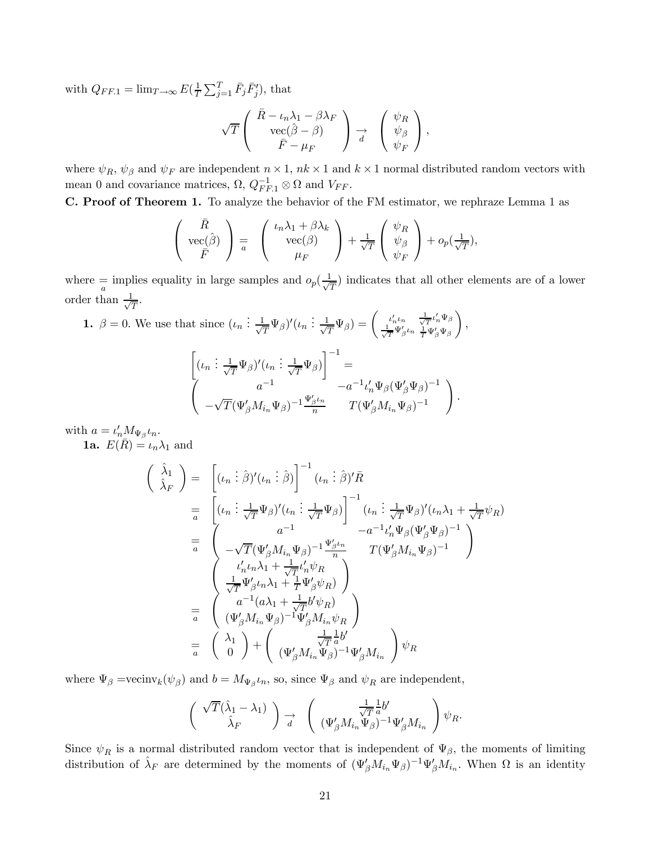with  $Q_{FF.1} = \lim_{T \to \infty} E\left(\frac{1}{T} \sum_{j=1}^{T} \bar{F}_j \bar{F}'_j\right)$ , that

$$
\sqrt{T}\left(\begin{array}{c}\bar{R}-\iota_{n}\lambda_{1}-\beta\lambda_{F}\\ {\rm vec}(\hat{\beta}-\beta)\\ \bar{F}-\mu_{F}\end{array}\right)\underset{d}{\rightarrow}\left(\begin{array}{c}\psi_{R}\\ \psi_{\beta}\\ \psi_{F}\end{array}\right),
$$

where  $\psi_R$ ,  $\psi_\beta$  and  $\psi_F$  are independent  $n \times 1$ ,  $nk \times 1$  and  $k \times 1$  normal distributed random vectors with mean 0 and covariance matrices,  $\Omega$ ,  $Q_{FF,1}^{-1} \otimes \Omega$  and  $V_{FF}$ .

C. Proof of Theorem 1. To analyze the behavior of the FM estimator, we rephraze Lemma 1 as

$$
\begin{pmatrix}\n\bar{R} \\
\text{vec}(\hat{\beta}) \\
\bar{F}\n\end{pmatrix} = \begin{pmatrix}\n\iota_n \lambda_1 + \beta \lambda_k \\
\text{vec}(\beta) \\
\mu_F\n\end{pmatrix} + \frac{1}{\sqrt{T}} \begin{pmatrix}\n\psi_R \\
\psi_\beta \\
\psi_F\n\end{pmatrix} + o_p(\frac{1}{\sqrt{T}}),
$$

where  $\frac{1}{a}$  implies equality in large samples and  $o_p(\frac{1}{\sqrt{T}})$  indicates that all other elements are of a lower order than  $\frac{1}{\sqrt{T}}$ .

1. 
$$
\beta = 0
$$
. We use that since  $(\iota_n : \frac{1}{\sqrt{T}} \Psi_\beta)'(\iota_n : \frac{1}{\sqrt{T}} \Psi_\beta) = \begin{pmatrix} \iota'_n \iota_n & \frac{1}{\sqrt{T}} \iota'_n \Psi_\beta \\ \frac{1}{\sqrt{T}} \Psi'_\beta \iota_n & \frac{1}{T} \Psi'_\beta \Psi_\beta \end{pmatrix}$ ,  
\n
$$
\begin{bmatrix} (\iota_n : \frac{1}{\sqrt{T}} \Psi_\beta)'(\iota_n : \frac{1}{\sqrt{T}} \Psi_\beta) \end{bmatrix}^{-1} = -a^{-1} \iota'_n \Psi_\beta (\Psi'_\beta \Psi_\beta)^{-1}
$$
\n
$$
-\sqrt{T} (\Psi'_\beta M_{i_n} \Psi_\beta)^{-1} \Psi'_\beta \iota_n \Psi_\beta)^{-1}
$$

with  $a = \iota'_n M_{\Psi_\beta} \iota_n$ .

**1a.**  $E(\bar{R}) = \iota_n \lambda_1$  and

$$
\begin{aligned}\n\left(\begin{array}{c}\n\hat{\lambda}_{1} \\
\hat{\lambda}_{F}\n\end{array}\right) &= \left[ (\iota_{n} : \hat{\beta})' (\iota_{n} : \hat{\beta}) \right]^{-1} (\iota_{n} : \hat{\beta})' \bar{R} \\
&= \left[ (\iota_{n} : \frac{1}{\sqrt{T}} \Psi_{\beta})' (\iota_{n} : \frac{1}{\sqrt{T}} \Psi_{\beta}) \right]^{-1} (\iota_{n} : \frac{1}{\sqrt{T}} \Psi_{\beta})' (\iota_{n} \lambda_{1} + \frac{1}{\sqrt{T}} \psi_{R}) \\
&= \left( \begin{array}{cc} a^{-1} & -a^{-1} \iota'_{n} \Psi_{\beta} (\Psi'_{\beta} \Psi_{\beta})^{-1} \\
-\sqrt{T} (\Psi'_{\beta} M_{i_{n}} \Psi_{\beta})^{-1} \frac{\Psi'_{\beta} \iota_{n}}{n} & T (\Psi'_{\beta} M_{i_{n}} \Psi_{\beta})^{-1} \\
\frac{\iota'_{n} \iota_{n} \lambda_{1} + \frac{1}{\sqrt{T}} \iota'_{n} \psi_{R}}{\sqrt{T}} \frac{\Psi'_{\beta} \iota_{n} \lambda_{1} + \frac{1}{T} \Psi'_{\beta} \psi_{R}}{\sqrt{T}} \frac{\iota^{-1} (\alpha \lambda_{1} + \frac{1}{\sqrt{T}} b' \psi_{R})}{\Psi'_{\beta} M_{i_{n}} \Psi_{\beta}} \right) \\
&= \left( \begin{array}{c} a^{-1} (\alpha \lambda_{1} + \frac{1}{\sqrt{T}} b' \psi_{R}) \\
(\Psi'_{\beta} M_{i_{n}} \Psi_{\beta})^{-1} \Psi'_{\beta} M_{i_{n}} \psi_{R} \\
\frac{1}{\sqrt{T}} \frac{1}{a} b' \\
(\Psi'_{\beta} M_{i_{n}} \Psi_{\beta})^{-1} \Psi'_{\beta} M_{i_{n}} \end{array}\right) \psi_{R}\n\end{aligned}
$$

where  $\Psi_{\beta} = \text{vecinv}_k(\psi_{\beta})$  and  $b = M_{\Psi_{\beta}} \iota_n$ , so, since  $\Psi_{\beta}$  and  $\psi_R$  are independent,

$$
\begin{pmatrix}\n\sqrt{T}(\hat{\lambda}_1 - \lambda_1) \\
\hat{\lambda}_F\n\end{pmatrix} \xrightarrow[d]{} \begin{pmatrix}\n\frac{1}{\sqrt{T}} \frac{1}{a} b' \\
(\Psi_{\beta} M_{i_n} \Psi_{\beta})^{-1} \Psi_{\beta}' M_{i_n}\n\end{pmatrix} \psi_R.
$$

Since  $\psi_R$  is a normal distributed random vector that is independent of  $\Psi_\beta$ , the moments of limiting distribution of  $\hat{\lambda}_F$  are determined by the moments of  $(\Psi'_\beta M_{i_n}\Psi_\beta)^{-1}\Psi'_\beta M_{i_n}$ . When  $\Omega$  is an identity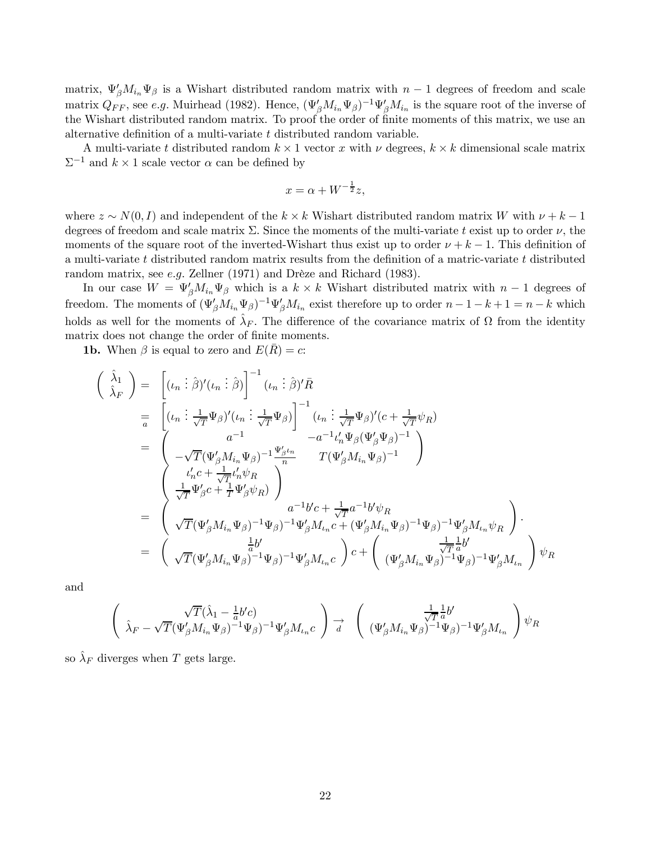matrix,  $\Psi_{\beta}' M_{i_n} \Psi_{\beta}$  is a Wishart distributed random matrix with  $n-1$  degrees of freedom and scale matrix  $Q_{FF}$ , see e.g. Muirhead (1982). Hence,  $(\Psi_{\beta}^{\prime} M_{i_n} \Psi_{\beta})^{-1} \Psi_{\beta}^{\prime} M_{i_n}$  is the square root of the inverse of the Wishart distributed random matrix. To proof the order of finite moments of this matrix, we use an alternative definition of a multi-variate t distributed random variable.

A multi-variate t distributed random  $k \times 1$  vector x with  $\nu$  degrees,  $k \times k$  dimensional scale matrix  $\Sigma^{-1}$  and  $k \times 1$  scale vector  $\alpha$  can be defined by

$$
x = \alpha + W^{-\frac{1}{2}}z,
$$

where  $z \sim N(0, I)$  and independent of the  $k \times k$  Wishart distributed random matrix W with  $\nu + k - 1$ degrees of freedom and scale matrix  $\Sigma$ . Since the moments of the multi-variate t exist up to order  $\nu$ , the moments of the square root of the inverted-Wishart thus exist up to order  $\nu + k - 1$ . This definition of a multi-variate t distributed random matrix results from the definition of a matric-variate t distributed random matrix, see e.g. Zellner (1971) and Drèze and Richard (1983).

In our case  $W = \Psi_{\beta}' M_{i_n} \Psi_{\beta}$  which is a  $k \times k$  Wishart distributed matrix with  $n-1$  degrees of freedom. The moments of  $(\Psi'_\beta M_{i_n}\Psi_\beta)^{-1}\Psi'_\beta M_{i_n}$  exist therefore up to order  $n-1-k+1=n-k$  which holds as well for the moments of  $\hat{\lambda}_F$ . The difference of the covariance matrix of  $\Omega$  from the identity matrix does not change the order of finite moments.

**1b.** When  $\beta$  is equal to zero and  $E(R) = c$ :

$$
\begin{split}\n\left(\begin{array}{c}\n\hat{\lambda}_{1} \\
\hat{\lambda}_{F}\n\end{array}\right) &= \left[\left(\iota_{n} : \hat{\beta}\right)'(\iota_{n} : \hat{\beta})\right]^{-1}(\iota_{n} : \hat{\beta})'\bar{R} \\
&= \left[\left(\iota_{n} : \frac{1}{\sqrt{T}}\Psi_{\beta}\right)'(\iota_{n} : \frac{1}{\sqrt{T}}\Psi_{\beta})\right]^{-1}(\iota_{n} : \frac{1}{\sqrt{T}}\Psi_{\beta})'(\mathbf{c} + \frac{1}{\sqrt{T}}\psi_{R}) \\
&= \left(\begin{array}{cc} a^{-1} & -a^{-1}\iota'_{n}\Psi_{\beta}(\Psi'_{\beta}\Psi_{\beta})^{-1} \\
-\sqrt{T}(\Psi'_{\beta}M_{i_{n}}\Psi_{\beta})^{-1}\frac{\Psi'_{\beta}\iota_{n}}{n} & T(\Psi'_{\beta}M_{i_{n}}\Psi_{\beta})^{-1}\n\end{array}\right) \\
&= \left(\begin{array}{c}\n\iota'_{n}\mathbf{c} + \frac{1}{\sqrt{T}}\iota'_{n}\psi_{R} \\
\frac{1}{\sqrt{T}}\Psi'_{\beta}\mathbf{c} + \frac{1}{T}\Psi'_{\beta}\psi_{R}\n\end{array}\right) \\
&= \left(\begin{array}{c}\n\iota''_{n}\mathbf{c} + \frac{1}{\sqrt{T}}\iota'_{n}\psi_{R} \\
\sqrt{T}(\Psi'_{\beta}M_{i_{n}}\Psi_{\beta})^{-1}\Psi_{\beta}\end{array}\right)^{-1}\Psi'_{\beta}M_{i_{n}}\mathbf{c} + (\Psi'_{\beta}M_{i_{n}}\Psi_{\beta})^{-1}\Psi'_{\beta}M_{i_{n}}\psi_{R} \\
\sqrt{T}(\Psi'_{\beta}M_{i_{n}}\Psi_{\beta})^{-1}\Psi_{\beta}\end{array}\right) \cdot \nabla_{F} \\
\end{split}
$$

and

$$
\begin{pmatrix}\n\sqrt{T}(\hat{\lambda}_1 - \frac{1}{a}b'c) \\
\hat{\lambda}_F - \sqrt{T}(\Psi_{\beta}^{\prime}M_{i_n}\Psi_{\beta})^{-1}\Psi_{\beta})^{-1}\Psi_{\beta}^{\prime}M_{i_n}c\n\end{pmatrix} \xrightarrow[d]{} \begin{pmatrix}\n\frac{1}{\sqrt{T}a}b' \\
(\Psi_{\beta}^{\prime}M_{i_n}\Psi_{\beta})^{-1}\Psi_{\beta})^{-1}\Psi_{\beta}^{\prime}M_{i_n}\n\end{pmatrix} \psi_R
$$

so  $\lambda_F$  diverges when T gets large.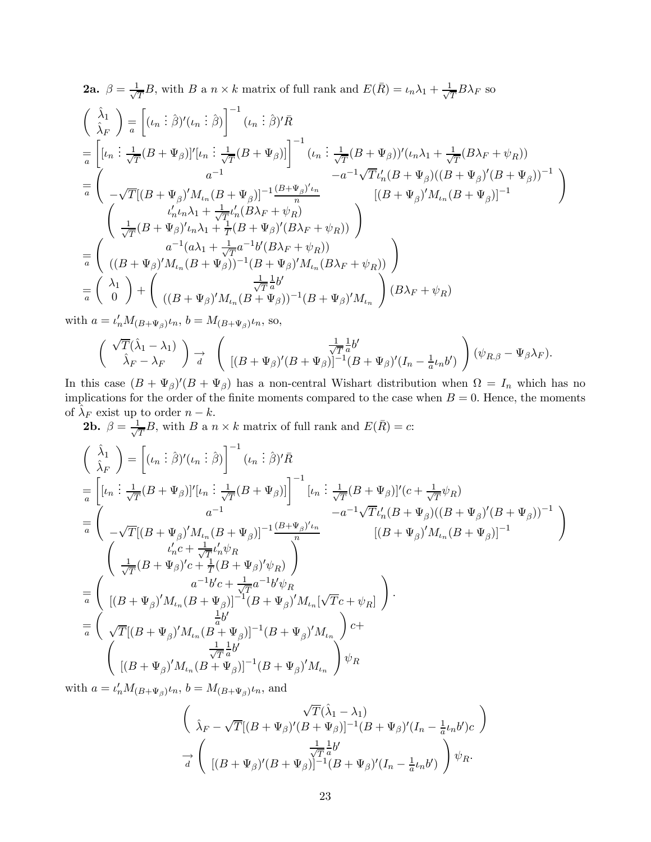**2a.** 
$$
\beta = \frac{1}{\sqrt{T}}B
$$
, with  $B$  a  $n \times k$  matrix of full rank and  $E(\bar{R}) = \iota_n \lambda_1 + \frac{1}{\sqrt{T}}B\lambda_F$  so  
\n
$$
\begin{pmatrix}\n\hat{\lambda}_1 \\
\hat{\lambda}_F\n\end{pmatrix} = \begin{bmatrix}\n(\iota_n : \hat{\beta})'(\iota_n : \hat{\beta})\n\end{bmatrix}^{-1} (\iota_n : \hat{\beta})' \bar{R}
$$
\n
$$
= \begin{bmatrix}\n[\iota_n : \frac{1}{\sqrt{T}}(B + \Psi_{\beta})]'[\iota_n : \frac{1}{\sqrt{T}}(B + \Psi_{\beta})]\n\end{bmatrix}^{-1} (\iota_n : \frac{1}{\sqrt{T}}(B + \Psi_{\beta}))'(\iota_n \lambda_1 + \frac{1}{\sqrt{T}}(B\lambda_F + \psi_R))
$$
\n
$$
-a^{-1}\sqrt{T}\iota'_n(B + \Psi_{\beta})((B + \Psi_{\beta})'(B + \Psi_{\beta}))^{-1}
$$
\n
$$
= \begin{pmatrix}\n\alpha^{-1} \\
-\sqrt{T}[(B + \Psi_{\beta})'M_{\iota_n}(B + \Psi_{\beta})]^{-1}(\frac{(B + \Psi_{\beta})'\iota_n}{n} & [(B + \Psi_{\beta})'M_{\iota_n}(B + \Psi_{\beta})]^{-1} \\
\frac{\iota'_n \iota_n \lambda_1 + \frac{1}{\sqrt{T}}\iota'_n(B\lambda_F + \psi_R)}{\sqrt{T}}(\frac{B + \Psi_{\beta})'(\iota_n \lambda_F + \psi_R)}\n\end{pmatrix}
$$
\n
$$
= \begin{pmatrix}\na^{-1}(a\lambda_1 + \frac{1}{\sqrt{T}}a^{-1}b'(B\lambda_F + \psi_R)) \\
((B + \Psi_{\beta})'M_{\iota_n}(B + \Psi_{\beta})^{-1}(B + \Psi_{\beta})'M_{\iota_n}(B\lambda_F + \psi_R))\n\end{pmatrix}
$$
\n
$$
= \begin{pmatrix}\n\lambda_1 \\
0\n\end{pmatrix} + \begin{pmatrix}\n\frac{1}{\sqrt{T}}a^U(\iota_n + \iota_n \lambda_1 + \psi_{\beta})'M_{\iota_n}(B + \psi_{\beta}) - \iota_B(\iota_n \lambda_F + \psi_{\beta})'\n\end{pmatrix}
$$
\n
$$

$$

with  $a = \iota'_n M_{(B+\Psi_\beta)} \iota_n, b = M_{(B+\Psi_\beta)} \iota_n$ , so,

$$
\begin{pmatrix}\n\sqrt{T}(\hat{\lambda}_1 - \lambda_1) \\
\hat{\lambda}_F - \lambda_F\n\end{pmatrix} \xrightarrow[d]{} \begin{pmatrix}\n\frac{1}{\sqrt{T}}\frac{1}{a}b' \\
[(B + \Psi_{\beta})'(B + \Psi_{\beta})]^{-1}(B + \Psi_{\beta})'(I_n - \frac{1}{a}\iota_n b')\n\end{pmatrix} (\psi_{R,\beta} - \Psi_{\beta}\lambda_F).
$$

In this case  $(B + \Psi_{\beta})'(B + \Psi_{\beta})$  has a non-central Wishart distribution when  $\Omega = I_n$  which has no implications for the order of the finite moments compared to the case when  $B = 0$ . Hence, the moments of  $\hat{\lambda}_F$  exist up to order  $n - k$ .

**2b.**  $\beta = \frac{1}{\sqrt{T}}B$ , with B a  $n \times k$  matrix of full rank and  $E(\bar{R}) = c$ :

$$
\left(\begin{array}{c}\n\hat{\lambda}_{1} \\
\hat{\lambda}_{F}\n\end{array}\right) = \left[ (\iota_{n} : \hat{\beta})' (\iota_{n} : \hat{\beta}) \right]^{-1} (\iota_{n} : \hat{\beta})' \bar{R} \n= \left[ [\iota_{n} : \frac{1}{\sqrt{T}} (B + \Psi_{\beta})]' [\iota_{n} : \frac{1}{\sqrt{T}} (B + \Psi_{\beta})] \right]^{-1} [\iota_{n} : \frac{1}{\sqrt{T}} (B + \Psi_{\beta})]' (c + \frac{1}{\sqrt{T}} \psi_{R}) \n= \left(\begin{array}{cc} a^{-1} & -a^{-1} \sqrt{T} \iota'_{n} (B + \Psi_{\beta})' (B + \Psi_{\beta})' (B + \Psi_{\beta})^{-1} \\ -\sqrt{T} [(B + \Psi_{\beta})' M_{\iota_{n}} (B + \Psi_{\beta})]^{-1} \frac{(B + \Psi_{\beta})' \iota_{n}}{n} & [(B + \Psi_{\beta})' M_{\iota_{n}} (B + \Psi_{\beta})]^{-1} \end{array}\right) \n= \left(\begin{array}{cc} \iota'_{n} c + \frac{1}{\sqrt{T}} \iota'_{n} \psi_{R} \\
\frac{1}{\sqrt{T}} (B + \Psi_{\beta})' c + \frac{1}{T} (B + \Psi_{\beta})' \psi_{R} \\
(a^{-1} b' c + \frac{1}{\sqrt{T}} a^{-1} b' \psi_{R} \\
[(B + \Psi_{\beta})' M_{\iota_{n}} (B + \Psi_{\beta})]^{-1} (B + \Psi_{\beta})' M_{\iota_{n}} [\sqrt{T} c + \psi_{R}] \end{array}\right) \n= \left(\begin{array}{cc} \iota & \frac{1}{b} b' \\
\sqrt{T} [(B + \Psi_{\beta})' M_{\iota_{n}} (B + \Psi_{\beta})]^{-1} (B + \Psi_{\beta})' M_{\iota_{n}} \end{array}\right) c + \n\left( \begin{array}{cc} \iota & \frac{1}{\sqrt{T}} a^{1} b' \\
[(B + \Psi_{\beta})' M_{\iota_{n}} (B + \Psi_{\beta})]^{-1} (B + \Psi_{\beta})' M_{\iota_{n}} \end{array}\right) \psi_{R}\n\end{array}
$$

with  $a = \iota'_n M_{(B+\Psi_\beta)} \iota_n$ ,  $b = M_{(B+\Psi_\beta)} \iota_n$ , and

$$
\begin{pmatrix}\n\sqrt{T}(\hat{\lambda}_1 - \lambda_1) \\
\hat{\lambda}_F - \sqrt{T}[(B + \Psi_{\beta})'(B + \Psi_{\beta})]^{-1}(B + \Psi_{\beta})'(I_n - \frac{1}{a}\iota_n b')c\n\end{pmatrix}
$$

$$
\vec{d} \begin{pmatrix}\n\frac{1}{\sqrt{T}}\frac{1}{a}b' \\
[(B + \Psi_{\beta})'(B + \Psi_{\beta})]^{-1}(B + \Psi_{\beta})'(I_n - \frac{1}{a}\iota_n b')\n\end{pmatrix} \psi_R.
$$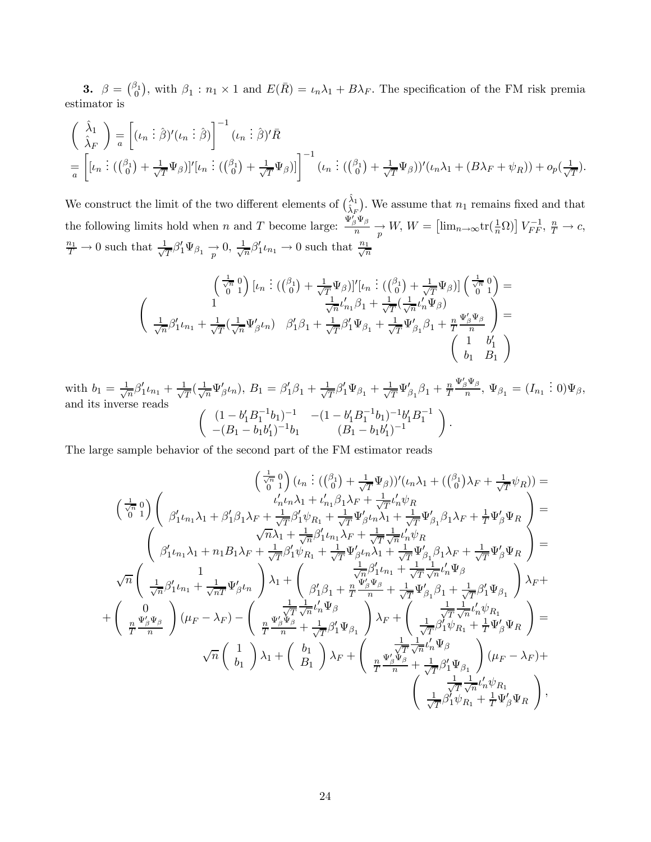**3.**  $\beta = \binom{\beta_1}{0}$ , with  $\beta_1 : n_1 \times 1$  and  $E(\bar{R}) = \iota_n \lambda_1 + B\lambda_F$ . The specification of the FM risk premia estimator is

$$
\begin{aligned}\n&\left(\begin{array}{c}\n\hat{\lambda}_1 \\
\hat{\lambda}_F\n\end{array}\right) = \left[ (\iota_n \vdots \hat{\beta})' (\iota_n \vdots \hat{\beta}) \right]^{-1} (\iota_n \vdots \hat{\beta})' \bar{R} \\
&= \left[ [\iota_n \vdots ((\beta_1) + \frac{1}{\sqrt{T}} \Psi_\beta)]' [\iota_n \vdots ((\beta_1) + \frac{1}{\sqrt{T}} \Psi_\beta)] \right]^{-1} (\iota_n \vdots ((\beta_1) + \frac{1}{\sqrt{T}} \Psi_\beta))' (\iota_n \lambda_1 + (B\lambda_F + \psi_R)) + o_p(\frac{1}{\sqrt{T}}).\n\end{aligned}
$$

We construct the limit of the two different elements of  $\binom{\hat{\lambda}_1}{\hat{\lambda}_F}$ . We assume that  $n_1$  remains fixed and that the following limits hold when n and T become large:  $\frac{\Psi_{\beta}'\Psi_{\beta}}{n}$  $\frac{p}{n} \frac{\Psi_{\beta}}{p} \to W, W = \left[ \lim_{n \to \infty} \text{tr}(\frac{1}{n} \Omega) \right] V_{FF}^{-1}, \frac{n}{T} \to c,$  $\frac{n_1}{T} \to 0$  such that  $\frac{1}{\sqrt{T}} \beta'_1 \Psi_{\beta_1} \to 0$ ,  $\frac{1}{\sqrt{n}} \beta'_1 \iota_{n_1} \to 0$  such that  $\frac{n_1}{\sqrt{n}}$ 

$$
\begin{pmatrix}\n\frac{1}{\sqrt{n}} & 0 \\
0 & 1\n\end{pmatrix}\n\begin{bmatrix}\n\iota_n \\
\vdots \\
0\n\end{bmatrix} + \frac{1}{\sqrt{T}}\Psi_{\beta}\n\end{pmatrix}\n\begin{bmatrix}\n\iota_n \\
\iota_n \\
\vdots \\
0\n\end{bmatrix} + \frac{1}{\sqrt{T}}\Psi_{\beta}\n\end{pmatrix}\n\begin{bmatrix}\n\frac{1}{\sqrt{n}} & 0 \\
0 & 1\n\end{bmatrix} =
$$
\n
$$
\begin{pmatrix}\n1 & \frac{1}{\sqrt{n}}\iota'_{n_1}\beta_1 + \frac{1}{\sqrt{T}}\left(\frac{1}{\sqrt{n}}\iota'_n\Psi_{\beta}\right) \\
\frac{1}{\sqrt{n}}\beta'_1\iota_{n_1} + \frac{1}{\sqrt{T}}\left(\frac{1}{\sqrt{n}}\Psi'_{\beta}\iota_n\right) & \beta'_1\beta_1 + \frac{1}{\sqrt{T}}\beta'_1\Psi_{\beta_1} + \frac{1}{\sqrt{T}}\Psi'_{\beta_1}\beta_1 + \frac{n}{T}\frac{\Psi'_{\beta}\Psi_{\beta}}{n}\n\end{pmatrix} =
$$
\n
$$
\begin{pmatrix}\n1 & b'_1 \\
b_1 & B_1\n\end{pmatrix}
$$

with  $b_1 = \frac{1}{\sqrt{n}} \beta'_1 \iota_{n_1} + \frac{1}{\sqrt{T}} (\frac{1}{\sqrt{n}} \Psi'_\beta \iota_n), B_1 = \beta'_1 \beta_1 + \frac{1}{\sqrt{T}} \beta'_1 \Psi_{\beta_1} + \frac{1}{\sqrt{T}} \Psi'_{\beta_1} \beta_1 + \frac{n}{T}$  $\frac{\Psi_{\beta}'\Psi_{\beta}}{n}$ ,  $\Psi_{\beta_1} = (I_{n_1} \ \vdots \ 0)\Psi_{\beta}$ , and its inverse reads  $\begin{pmatrix} (1-b'_1B_1^{-1}b_1)^{-1} & -(1-b'_1B_1^{-1}b_1)^{-1}b'_1B_1^{-1} \end{pmatrix}$  $-(B_1 - b_1b'_1)^{-1}b_1$   $(B_1 - b_1b'_1)^{-1}$  $\setminus$ .

The large sample behavior of the second part of the FM estimator reads

$$
\begin{aligned}\n&\left(\frac{1}{\sqrt{n}}\,0\right)(\iota_n\,\vdots\,(\iota_0^{\beta_1})+\frac{1}{\sqrt{T}}\Psi_{\beta})\big)'(\iota_n\lambda_1+(\iota_0^{\beta_1})\lambda_F+\frac{1}{\sqrt{T}}\psi_R\big) \\
&\left(\frac{1}{\sqrt{n}}\,0\right)\n\end{aligned}
$$
\n
$$
\begin{aligned}\n&\left(\frac{1}{\sqrt{n}}\,0\,\right)\n\begin{pmatrix}\n\beta'_{1}\iota_{n_{1}}\lambda_{1}+\beta'_{1}\beta_{1}\lambda_{F}+\frac{1}{\sqrt{T}}\beta'_{1}\psi_{R_{1}}+\frac{1}{\sqrt{T}}\Psi'_{\beta}\iota_{n}\lambda_{1}+\frac{1}{\sqrt{T}}\Psi'_{\beta_{1}}\beta_{1}\lambda_{F}+\frac{1}{\sqrt{T}}\Psi'_{\beta}\psi_{R} \\
\beta'_{1}\iota_{n_{1}}\lambda_{1}+\beta'_{1}\beta_{1}\lambda_{F}+\frac{1}{\sqrt{T}}\beta'_{1}\psi_{R_{1}}+\frac{1}{\sqrt{T}}\Psi'_{\beta}\iota_{n}\lambda_{1}+\frac{1}{\sqrt{T}}\Psi'_{\beta_{1}}\beta_{1}\lambda_{F}+\frac{1}{\sqrt{T}}\Psi'_{\beta}\Psi_{R} \\
\beta'_{1}\iota_{n_{1}}\lambda_{1}+\eta_{1}B_{1}\lambda_{F}+\frac{1}{\sqrt{T}}\beta'_{1}\psi_{R_{1}}+\frac{1}{\sqrt{T}}\Psi'_{\beta}\iota_{n}\lambda_{1}+\frac{1}{\sqrt{T}}\Psi'_{\beta_{1}}\beta_{1}\lambda_{F}+\frac{1}{\sqrt{T}}\Psi'_{\beta}\Psi_{R} \\
\end{aligned}
$$
\n
$$
\begin{aligned}\n&\sqrt{n}\begin{pmatrix}\n\beta'_{1}\iota_{n_{1}}\lambda_{1}+\beta'_{1}\beta_{1}\lambda_{F}+\frac{1}{\sqrt{T}}\beta'_{1}\psi_{R_{1}}+\frac{1}{\sqrt{T}}\Psi'_{\beta}\iota_{n}\lambda_{1}+\frac{1}{\sqrt{T}}\Psi'_{\beta_{1}}\beta_{1}\lambda_{F}+\frac{1}{\sqrt{T}}\psi'_{\beta}\psi_{R} \\
\frac{1}{\sqrt{n}}\beta'_{1}\iota_{n_{1}}+\frac{1}{\sqrt{n}}\beta'_{1}\psi_{R} \\
\frac{1}{\sqrt{n}}\beta'_{1}\iota_{n
$$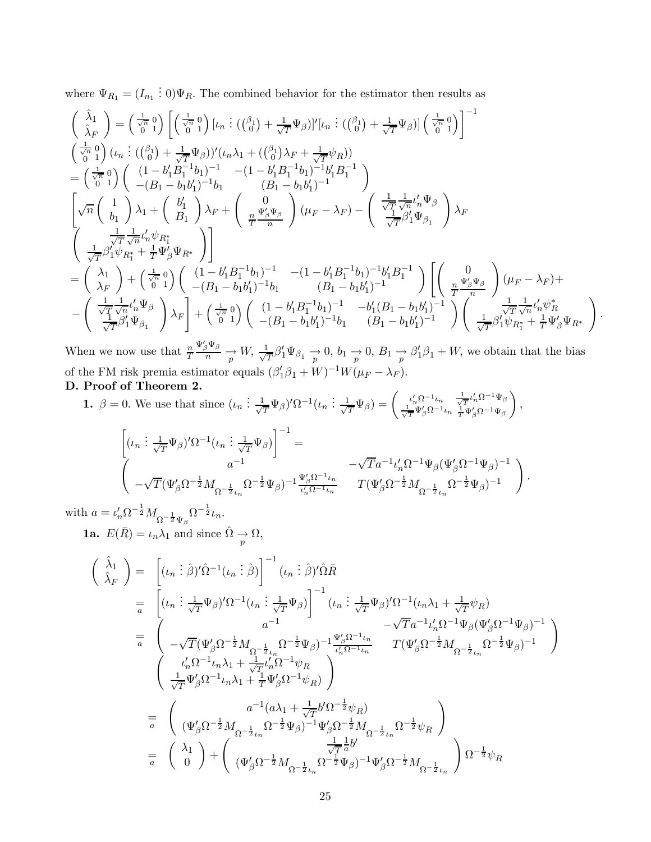where  $\Psi_{R_1} = (I_{n_1} \, \vdots \, 0)\Psi_R$ . The combined behavior for the estimator then results as

$$
\begin{split}\n&\left(\begin{array}{c}\n\hat{\lambda}_{1} \\
\hat{\lambda}_{F}\n\end{array}\right) = \left(\frac{1}{\sqrt{0}} 0\right) \left[\left(\frac{1}{\sqrt{0}} 0\right) [ \iota_{n} : ((\beta_{1}) + \frac{1}{\sqrt{T}} \Psi_{\beta})]' [\iota_{n} : ((\beta_{0}) + \frac{1}{\sqrt{T}} \Psi_{\beta})] \left(\frac{1}{\sqrt{0}} 0\right)\right]^{-1} \\
&\left(\frac{1}{\sqrt{0}} 0\right) (\iota_{n} : ((\beta_{0}) + \frac{1}{\sqrt{T}} \Psi_{\beta}))' (\iota_{n} \lambda_{1} + ((\beta_{0}) \lambda_{F} + \frac{1}{\sqrt{T}} \psi_{R})) \\
&= \left(\frac{1}{\sqrt{0}} 0\right) \left(\begin{array}{c} (1 - b_{1}' B_{1}^{-1} b_{1})^{-1} & -(1 - b_{1}' B_{1}^{-1} b_{1})^{-1} b_{1}' B_{1}^{-1} \\
-(B_{1} - b_{1} b_{1}')^{-1} b_{1} & (B_{1} - b_{1} b_{1}')^{-1} \end{array}\right) \\
&\left[\sqrt{n} \left(\begin{array}{c} 1 \\ b_{1} \end{array}\right) \lambda_{1} + \left(\begin{array}{c} b_{1}' \\ B_{1} \end{array}\right) \lambda_{F} + \left(\begin{array}{c} 0 \\ \frac{n}{T} \frac{w_{\beta} w_{\beta}}{n} \end{array}\right) (\mu_{F} - \lambda_{F}) - \left(\begin{array}{c} \frac{1}{\sqrt{T}} \frac{1}{\sqrt{n}} \iota_{n}' \Psi_{\beta} \\
\frac{1}{\sqrt{T}} \beta_{1}' \Psi_{\beta_{1}} \\ \frac{1}{\sqrt{T}} \beta_{1}' \psi_{R_{1}^{*}} + \frac{1}{T} \Psi_{\beta}' \Psi_{R^{*}} \\
\frac{1}{\sqrt{T}} \beta_{1}' \psi_{R_{1}^{*}} + \frac{1}{T} \Psi_{\beta}' \Psi_{R^{*}}\n\end{array}\right)\right] \\
&= \left(\begin{array}{c} \lambda_{1} \\ \lambda_{F} \end{array}\right) + \left(\begin{array}{c} \frac{1}{\sqrt{0}} 0 \\ 0 \end{array}\right) \left(\begin{array}{c} (1 - b_{1}' B_{1}^{-1} b_{1})^{-1} & -(1 - b
$$

When we now use that  $\frac{n}{T}$  $\Psi'_\beta \Psi_\beta$  $\frac{p_{\mathcal{B}}\mathcal{P}_{\beta}}{p} \rightarrow W$ ,  $\frac{1}{\sqrt{T}}\beta_1'\Psi_{\beta_1} \rightarrow 0$ ,  $b_1 \rightarrow 0$ ,  $B_1 \rightarrow \beta_1'\beta_1 + W$ , we obtain that the bias of the FM risk premia estimator equals  $(\beta'_1 \beta_1 + W)^{-1} W(\mu_F - \lambda_F)$ . D. Proof of Theorem 2.

1.  $\beta = 0$ . We use that since  $(\iota_n : \frac{1}{\sqrt{T}} \Psi_\beta)' \Omega^{-1}(\iota_n : \frac{1}{\sqrt{T}} \Psi_\beta) = \begin{pmatrix} \iota'_n \Omega^{-1} \iota_n \\ \frac{1}{\sqrt{T}} \Psi'_\beta \Omega^{-1} \end{pmatrix}$  $\frac{1}{\sqrt{T}}\Psi'_{\beta}\Omega^{-1}\iota_n$  $\frac{1}{\sqrt{T}} \iota'_n \Omega^{-1} \Psi_\beta$  $\frac{1}{T} \Psi_{\beta}' \Omega^{-1} \Psi_{\beta}$  $\setminus$ ,

$$
\begin{aligned}\n\left[ (\iota_n \; &\; \frac{1}{\sqrt{T}} \Psi_\beta)' \Omega^{-1} (\iota_n \; &\; \frac{1}{\sqrt{T}} \Psi_\beta) \right]^{-1} = \\
& \left( \begin{array}{cc} a^{-1} & \sqrt{T} a^{-1} \iota_n' \Omega^{-1} \Psi_\beta (\Psi_\beta' \Omega^{-1} \Psi_\beta)^{-1} \\ -\sqrt{T} (\Psi_\beta' \Omega^{-\frac{1}{2}} M_{\Omega^{-\frac{1}{2}} \iota_n} \Omega^{-\frac{1}{2}} \Psi_\beta)^{-1} \frac{\Psi_\beta' \Omega^{-1} \iota_n}{\iota_n' \Omega^{-1} \iota_n} & T (\Psi_\beta' \Omega^{-\frac{1}{2}} M_{\Omega^{-\frac{1}{2}} \iota_n} \Omega^{-\frac{1}{2}} \Psi_\beta)^{-1} \end{array} \right).\n\end{aligned}
$$

with  $a = \iota'_n \Omega^{-\frac{1}{2}} M_{\Omega^{-\frac{1}{2}} \Psi_\beta} \Omega^{-\frac{1}{2}} \iota_n$ .

**1a.**  $E(\bar{R}) = \iota_n \lambda_1$  and since  $\hat{\Omega} \to \Omega$ ,

$$
\begin{aligned}\n\left(\begin{array}{c}\n\hat{\lambda}_{1} \\
\hat{\lambda}_{F}\n\end{array}\right) &= \left[\left(\iota_{n}:\hat{\beta}\right)^{\prime}\hat{\Omega}^{-1}\left(\iota_{n}:\hat{\beta}\right)\right]^{-1}\left(\iota_{n}:\hat{\beta}\right)^{\prime}\hat{\Omega}\bar{R} \\
&= \left[\left(\iota_{n}:\frac{1}{\sqrt{T}}\Psi_{\beta}\right)^{\prime}\Omega^{-1}\left(\iota_{n}:\frac{1}{\sqrt{T}}\Psi_{\beta}\right)\right]^{-1}\left(\iota_{n}:\frac{1}{\sqrt{T}}\Psi_{\beta}\right)^{\prime}\Omega^{-1}\left(\iota_{n}\lambda_{1}+\frac{1}{\sqrt{T}}\psi_{R}\right) \\
&= \left(\begin{array}{cc} a^{-1} & -\sqrt{T}a^{-1}\iota'_{n}\Omega^{-1}\Psi_{\beta}(\Psi'_{\beta}\Omega^{-1}\Psi_{\beta})^{-1} \\
-\sqrt{T}(\Psi'_{\beta}\Omega^{-\frac{1}{2}}M_{\Omega^{-\frac{1}{2}}}\bar{\Psi}_{\beta})^{-1}\frac{\Psi'_{\beta}\Omega^{-1}\iota_{n}}{\iota'_{n}\Omega^{-1}\iota_{n}} & T(\Psi'_{\beta}\Omega^{-\frac{1}{2}}M_{\Omega^{-\frac{1}{2}}}\bar{\Psi}_{\beta})^{-1}\end{array}\right) \\
&= \left(\begin{array}{cc} \iota'_{n}\Omega^{-1}\iota_{n}\lambda_{1}+\frac{1}{\sqrt{T}}\iota'_{n}\Omega^{-1}\psi_{R} \\
\frac{1}{\sqrt{T}}\Psi'_{\beta}\Omega^{-1}\iota_{n}\lambda_{1}+\frac{1}{T}\Psi'_{\beta}\Omega^{-1}\psi_{R}\end{array}\right) \\
&= \left(\begin{array}{cc} a^{-1}(a\lambda_{1}+\frac{1}{\sqrt{T}}b^{\prime}\Omega^{-\frac{1}{2}}\psi_{R}) \\
(\Psi'_{\beta}\Omega^{-\frac{1}{2}}M_{\Omega^{-\frac{1}{2}}}\bar{\Psi}_{\beta})^{-1}\Psi'_{\beta}\Omega^{-\frac{1}{2}}\psi_{R}\end{array}\right) \\
&= \left(\begin{array}{cc} \lambda_{1} \\
0\end{array}\right) + \left(\begin{array}{cc} \frac{1}{\sqrt{T}}\lambda_{1}^{0}\lambda_{1}+\frac{1}{\sqrt{T}}\lambda_{1}^{0}\lambda_{1}+\lambda_{1}^{0}\lambda_{1}+\lambda_{1}^{0}\lambda_{
$$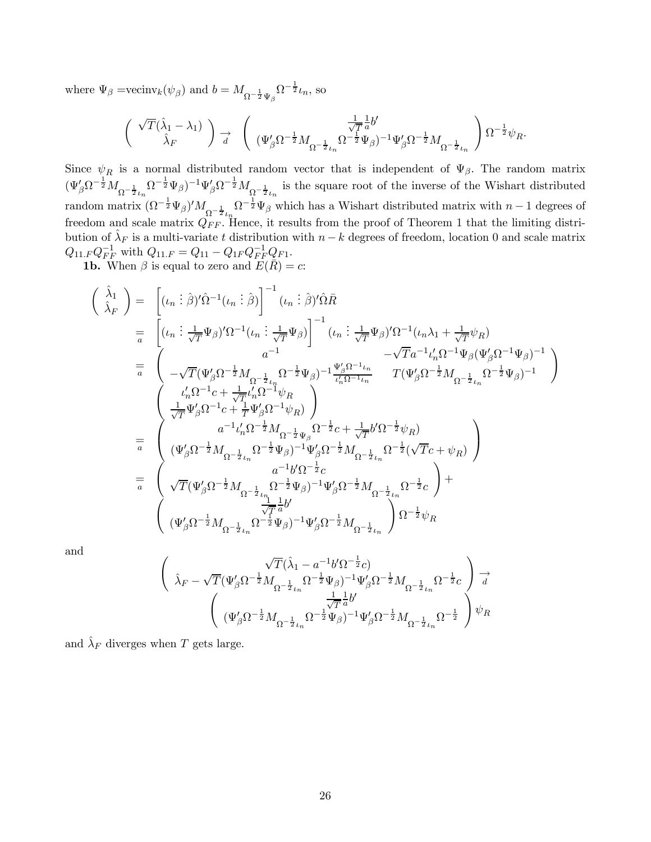where  $\Psi_{\beta} = \text{vecinv}_k(\psi_{\beta})$  and  $b = M_{\Omega^{-\frac{1}{2}}\Psi_{\beta}} \Omega^{-\frac{1}{2}}\iota_n$ , so

$$
\left(\begin{array}{cc} \sqrt{T}(\widehat{\lambda}_1-\lambda_1) \\ \widehat{\lambda}_F \end{array} \right) \underset{d}{\rightarrow} \quad \left(\begin{array}{cc} \frac{1}{\sqrt{T}}\frac{1}{a}b' \\ (\Psi_{\beta}'\Omega^{-\frac{1}{2}}M_{\Omega^{-\frac{1}{2}}\mu} \Omega^{-\frac{1}{2}}\Psi_{\beta})^{-1}\Psi_{\beta}'\Omega^{-\frac{1}{2}}M_{\Omega^{-\frac{1}{2}}\iota_n} \end{array} \right) \Omega^{-\frac{1}{2}}\psi_R.
$$

Since  $\psi_R$  is a normal distributed random vector that is independent of  $\Psi_{\beta}$ . The random matrix  $(\Psi'_\beta \Omega^{-\frac{1}{2}} M_{\Omega^{-\frac{1}{2}}\mu} \Omega^{-\frac{1}{2}} \Psi_\beta)^{-1} \Psi'_\beta \Omega^{-\frac{1}{2}} M_{\Omega^{-\frac{1}{2}}\iota_n}$  is the square root of the inverse of the Wishart distributed random matrix  $(\Omega^{-\frac{1}{2}}\Psi_{\beta})'M_{\Omega^{-\frac{1}{2}}\iota_n}\Omega^{-\frac{1}{2}}\Psi_{\beta}$  which has a Wishart distributed matrix with  $n-1$  degrees of freedom and scale matrix  $Q_{FF}$ . Hence, it results from the proof of Theorem 1 that the limiting distribution of  $\hat{\lambda}_F$  is a multi-variate t distribution with  $n - k$  degrees of freedom, location 0 and scale matrix  $Q_{11.F}Q_{FF}^{-1}$  with  $Q_{11.F} = Q_{11} - Q_{1F}Q_{FF}^{-1}Q_{F1}$ .

**1b.** When  $\beta$  is equal to zero and  $E(\bar{R}) = c$ :

$$
\left(\begin{array}{c}\n\hat{\lambda}_{1} \\
\hat{\lambda}_{F}\n\end{array}\right) = \left[ (\iota_{n} : \hat{\beta})'\hat{\Omega}^{-1}(\iota_{n} : \hat{\beta})\right]^{-1} (\iota_{n} : \hat{\beta})'\hat{\Omega}\bar{R} \n= \left[ (\iota_{n} : \frac{1}{\sqrt{T}}\Psi_{\beta})'\Omega^{-1}(\iota_{n} : \frac{1}{\sqrt{T}}\Psi_{\beta})\right]^{-1} (\iota_{n} : \frac{1}{\sqrt{T}}\Psi_{\beta})'\Omega^{-1}(\iota_{n}\lambda_{1} + \frac{1}{\sqrt{T}}\psi_{R}) \n- \sqrt{T}a^{-1}\iota'_{n}\Omega^{-1}\Psi_{\beta}(\Psi'_{\beta}\Omega^{-1}\Psi_{\beta})^{-1} \n- \sqrt{T}a^{-1}\iota'_{n}\Omega^{-1}\Psi_{\beta}(\Psi'_{\beta}\Omega^{-1}\Psi_{\beta})^{-1} \n- \sqrt{T}a^{-1}\iota'_{n}\Omega^{-1}\Psi_{\beta}(\Psi'_{\beta}\Omega^{-1}\Psi_{\beta})^{-1} \n- \sqrt{T}a^{-1}\iota'_{n}\Omega^{-1}\Psi_{\beta}(\Psi'_{\beta}\Omega^{-1}\Psi_{\beta})^{-1} \n- \sqrt{T}a^{-1}\iota'_{n}\Omega^{-1}\Psi_{\beta}(\Psi'_{\beta}\Omega^{-1}\Psi_{\beta})^{-1} \n- \sqrt{T}a^{-1}\iota'_{n}\Omega^{-1}\Psi_{\beta}(\Psi'_{\beta}\Omega^{-1}\Psi_{\beta})^{-1} \n- \sqrt{T}a^{-1}\iota'_{n}\Omega^{-1}\Psi_{\beta}(\Psi'_{\beta}\Omega^{-1}\Psi_{\beta}) \right] \n= \left(\begin{array}{c} a^{-1}\iota'_{n}\Omega^{-\frac{1}{2}}M_{\Omega^{-\frac{1}{2}}}\psi_{\beta}\Omega^{-1}\psi_{R} \end{array}\right) \n= \left(\begin{array}{c} a^{-1}\iota'_{n}\Omega^{-\frac{1}{2}}M_{\Omega^{-\frac{1}{2}}}\psi_{\beta}\Omega^{-\frac{1}{2}}\zeta + \frac{1}{\sqrt{T}}b'\Omega^{-\frac{1}{2}}\psi_{R} \end{array}\right) \n= \left(\begin{array}{c} a^{-1}\iota'_{n}\Omega^{-\frac{1}{2}}M_{\Omega^{-\frac{1}{2}}}\zeta - \frac{1}{2}\iota
$$

and

$$
\begin{split} \left( \begin{array}{c} \sqrt{T}(\hat{\lambda}_1 - a^{-1} b' \Omega^{-\frac{1}{2}} c) \\ \hat{\lambda}_F - \sqrt{T} (\Psi_\beta' \Omega^{-\frac{1}{2}} M_{\Omega^{-\frac{1}{2}} \iota_n} \Omega^{-\frac{1}{2}} \Psi_\beta)^{-1} \Psi_\beta' \Omega^{-\frac{1}{2}} M_{\Omega^{-\frac{1}{2}} \iota_n} \Omega^{-\frac{1}{2}} c \end{array} \right) \stackrel{\longrightarrow}{d} \\ \left( \begin{array}{c} \frac{1}{\sqrt{T}} \frac{1}{a} b' \\ (\Psi_\beta' \Omega^{-\frac{1}{2}} M_{\Omega^{-\frac{1}{2}} \iota_n} \Omega^{-\frac{1}{2}} \Psi_\beta)^{-1} \Psi_\beta' \Omega^{-\frac{1}{2}} M_{\Omega^{-\frac{1}{2}} \iota_n} \Omega^{-\frac{1}{2}} \end{array} \right) \psi_R \end{split}
$$

and  $\hat{\lambda}_F$  diverges when T gets large.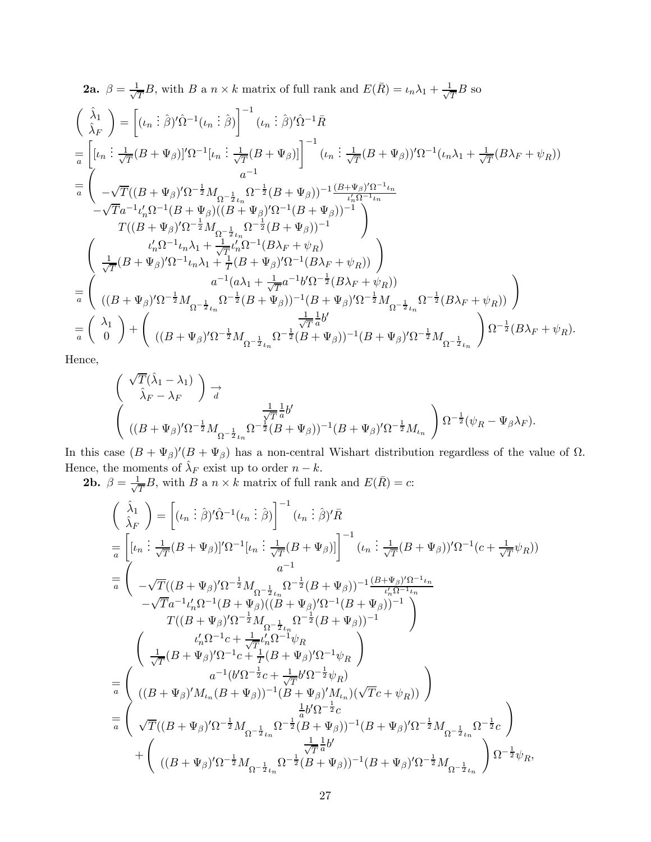2a. 
$$
\beta = \frac{1}{\sqrt{T}}B
$$
, with  $B$  a  $n \times k$  matrix of full rank and  $E(\bar{R}) = \iota_n \lambda_1 + \frac{1}{\sqrt{T}}B$  so  
\n
$$
\begin{pmatrix}\n\hat{\lambda}_1 \\
\hat{\lambda}_F\n\end{pmatrix} = \left[ (\iota_n \, \hat{i} \, \hat{\beta})' \hat{\Omega}^{-1} (\iota_n \, \hat{i} \, \hat{\beta}) \right]^{-1} (\iota_n \, \hat{i} \, \hat{\beta})' \hat{\Omega}^{-1} \bar{R}
$$
\n
$$
= \left[ [\iota_n \, \hat{i} \, \frac{1}{\sqrt{T}} (B + \Psi_\beta)]' \Omega^{-1} [\iota_n \, \hat{i} \, \frac{1}{\sqrt{T}} (B + \Psi_\beta)] \right]^{-1} (\iota_n \, \hat{i} \, \frac{1}{\sqrt{T}} (B + \Psi_\beta))' \Omega^{-1} (\iota_n \lambda_1 + \frac{1}{\sqrt{T}} (B \lambda_F + \psi_R))
$$
\n
$$
= \left( \begin{array}{cc} -\sqrt{T} ((B + \Psi_\beta)') \Omega^{-\frac{1}{2}} M_{\Omega^{-\frac{1}{2}} \iota_n} \Omega^{-\frac{1}{2}} (B + \Psi_\beta))^{-1} \frac{(B + \Psi_\beta) \Omega^{-1} \iota_n}{\iota_n^{\ell} \Omega^{-1} \iota_n} \\ -\sqrt{T} a^{-1} \iota'_n \Omega^{-1} (B + \Psi_\beta) ((B + \Psi_\beta)') \Omega^{-1} (B + \Psi_\beta))^{-1} \end{array} \right)
$$
\n
$$
= \left( \begin{array}{cc} \iota'_n \Omega^{-1} \iota_n \lambda_1 + \frac{1}{\sqrt{T}} \iota_n^{\ell} \Omega^{-1} (B \lambda_F + \psi_R) \\ \frac{1}{\sqrt{T}} (B + \Psi_\beta)^{\ell} \Omega^{-1} \iota_n \lambda_1 + \frac{1}{T} (B + \Psi_\beta)^{\ell} \Omega^{-1} (B \lambda_F + \psi_R) \end{array} \right)
$$
\n
$$
= \left( \begin{array}{cc} \iota'_n \Omega^{-1} \iota_n \lambda_1 + \frac{1}{\sqrt{T}} (\iota_n \Psi_\beta)^{\ell} \Omega^{-1} (B \lambda_F + \psi_R) \\ \frac{1}{\sqrt{T}} (B + \Psi_\beta)^{\ell}
$$

Hence,

$$
\begin{aligned} &\left(\begin{array}{c} \sqrt{T}(\hat{\lambda}_1-\lambda_1)\\ \hat{\lambda}_F-\lambda_F \end{array}\right) \underset{d}{\rightarrow} \\ &\left(\begin{array}{c} \frac{1}{\sqrt{T}}\frac{1}{a}b'\\ ((B+\Psi_{\beta})'\Omega^{-\frac{1}{2}}M_{\Omega^{-\frac{1}{2}}\iota_n}\Omega^{-\frac{1}{2}}(B+\Psi_{\beta}))^{-1}(B+\Psi_{\beta})'\Omega^{-\frac{1}{2}}M_{\iota_n} \end{array}\right) \Omega^{-\frac{1}{2}}(\psi_R-\Psi_{\beta}\lambda_F). \end{aligned}
$$

In this case  $(B + \Psi_{\beta})'(B + \Psi_{\beta})$  has a non-central Wishart distribution regardless of the value of  $\Omega$ . Hence, the moments of  $\hat{\lambda}_F$  exist up to order  $n - k$ .

**2b.**  $\beta = \frac{1}{\sqrt{T}}B$ , with B a  $n \times k$  matrix of full rank and  $E(\bar{R}) = c$ :

$$
\left(\begin{array}{c}\n\hat{\lambda}_{1} \\
\hat{\lambda}_{F}\n\end{array}\right) = \left[ (\iota_{n} : \hat{\beta})'\hat{\Omega}^{-1}(\iota_{n} : \hat{\beta}) \right]^{-1} (\iota_{n} : \hat{\beta})'\bar{R} \n= \left[ [\iota_{n} : \frac{1}{\sqrt{T}}(B + \Psi_{\beta})]' \Omega^{-1} [\iota_{n} : \frac{1}{\sqrt{T}}(B + \Psi_{\beta})] \right]^{-1} (\iota_{n} : \frac{1}{\sqrt{T}}(B + \Psi_{\beta}))'\Omega^{-1}(c + \frac{1}{\sqrt{T}}\psi_{R})) \n= \left( \begin{array}{cc} a^{-1} \\
-\sqrt{T}((B + \Psi_{\beta})'\Omega^{-\frac{1}{2}}M_{\Omega^{-\frac{1}{2}}\iota_{n}}\Omega^{-\frac{1}{2}}(B + \Psi_{\beta}))^{-1} \frac{(B + \Psi_{\beta})'\Omega^{-1}\iota_{n}}{\iota_{n}'\Omega^{-1}\iota_{n}} \\
-\sqrt{T}a^{-1}\iota_{n}'\Omega^{-1}(B + \Psi_{\beta})(B + \Psi_{\beta})'\Omega^{-1}(B + \Psi_{\beta}))^{-1} \end{array} \right) \n\qquad T((B + \Psi_{\beta})')\Omega^{-\frac{1}{2}}M_{\Omega^{-\frac{1}{2}}\iota_{n}}\Omega^{-\frac{1}{2}}(B + \Psi_{\beta}))^{-1} \right) \n= \left( \begin{array}{c} \iota_{n}'\Omega^{-1}c + \frac{1}{\sqrt{T}}\iota_{n}'\Omega^{-1}\psi_{R} \\
\frac{1}{\sqrt{T}}(B + \Psi_{\beta})'\Omega^{-1}c + \frac{1}{T}(B + \Psi_{\beta})'\Omega^{-1}\psi_{R} \end{array} \right) \n= \left( \begin{array}{c} a^{-1}(b'\Omega^{-\frac{1}{2}}c + \frac{1}{\sqrt{T}}b'\Omega^{-\frac{1}{2}}\psi_{R}) \\
((B + \Psi_{\beta})'M_{\iota_{n}}(B + \Psi_{\beta}))^{-1}(B + \Psi_{\beta})'M_{\iota_{n}})(\sqrt{T}c + \psi_{R})\n\end{array} \right) \n= \left( \begin{array}{c} \sqrt{T}((B + \Psi_{\beta})')\Omega^{-\frac{1}{2}}M_{\Omega^{-\frac{1}{2}}\iota_{n}}\Omega^{-\frac{1
$$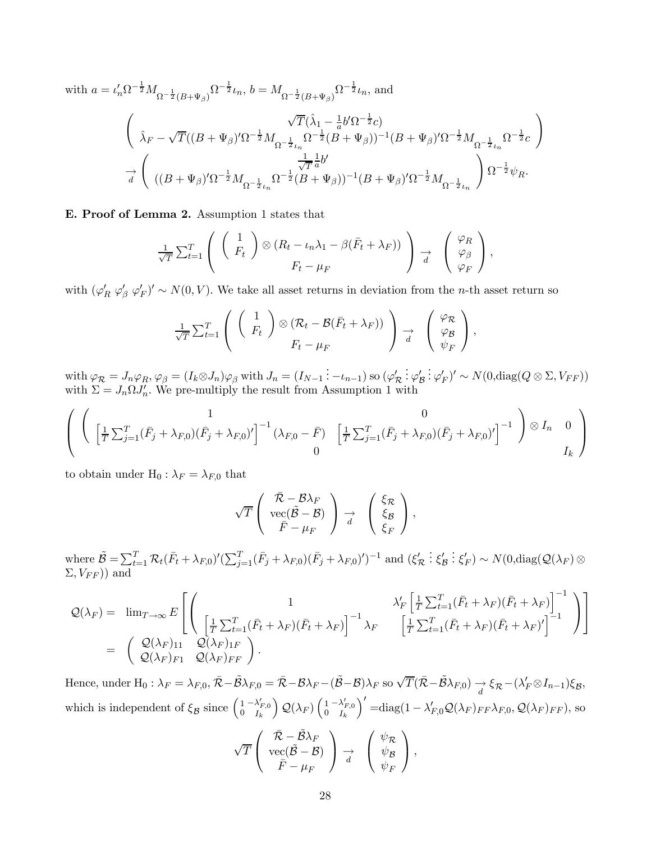with  $a = \iota'_n \Omega^{-\frac{1}{2}} M_{\Omega^{-\frac{1}{2}}(B+\Psi_{\beta})} \Omega^{-\frac{1}{2}} \iota_n$ ,  $b = M_{\Omega^{-\frac{1}{2}}(B+\Psi_{\beta})} \Omega^{-\frac{1}{2}} \iota_n$ , and

$$
\begin{aligned}&\sqrt{T}(\hat{\lambda}_{1}-\tfrac{1}{a}b'\Omega^{-\frac{1}{2}}c)\\ \hat{\lambda}_{F}-\sqrt{T}((B+\Psi_{\beta})'\Omega^{-\frac{1}{2}}M_{\Omega^{-\frac{1}{2}}\iota_{n}}\Omega^{-\frac{1}{2}}(B+\Psi_{\beta}))^{-1}(B+\Psi_{\beta})'\Omega^{-\frac{1}{2}}M_{\Omega^{-\frac{1}{2}}\iota_{n}}\Omega^{-\frac{1}{2}}c\end{aligned}\Big)\\ \xrightarrow[d\left((B+\Psi_{\beta})'\Omega^{-\frac{1}{2}}M_{\Omega^{-\frac{1}{2}}\iota_{n}}\Omega^{-\frac{1}{2}}\iota_{n}\Omega^{-\frac{1}{2}}(B+\Psi_{\beta}))^{-1}(B+\Psi_{\beta})'\Omega^{-\frac{1}{2}}M_{\Omega^{-\frac{1}{2}}\iota_{n}}\right)\Omega^{-\frac{1}{2}}\psi_{R}.\end{aligned}
$$

E. Proof of Lemma 2. Assumption 1 states that

$$
\frac{1}{\sqrt{T}}\sum_{t=1}^{T} \left( \begin{array}{c} 1 \\ F_t \end{array} \right) \otimes (R_t - \iota_n \lambda_1 - \beta(\bar{F}_t + \lambda_F)) \bigg) \rightarrow \left( \begin{array}{c} \varphi_R \\ \varphi_\beta \\ \varphi_F \end{array} \right),
$$

with  $(\varphi'_R \varphi'_\beta \varphi'_F)' \sim N(0, V)$ . We take all asset returns in deviation from the *n*-th asset return so

$$
\frac{1}{\sqrt{T}}\sum_{t=1}^T\left(\begin{array}{c}1\\F_t\end{array}\right)\otimes\left(\mathcal{R}_t-\mathcal{B}(\bar{F}_t+\lambda_F)\right)\right)\underset{d}{\rightarrow}\left(\begin{array}{c}\varphi_{\mathcal{R}}\\\varphi_{\mathcal{B}}\\\psi_F\end{array}\right),
$$

with  $\varphi_{\mathcal{R}} = J_n \varphi_R$ ,  $\varphi_{\beta} = (I_k \otimes J_n) \varphi_{\beta}$  with  $J_n = (I_{N-1} : -\iota_{n-1})$  so  $(\varphi_{\mathcal{R}}')$  $\vdots \varphi'_{\mathcal{B}}$  $\frac{1}{2} \varphi'_F)' \sim N(0, \text{diag}(Q \otimes \Sigma, V_{FF}))$ with  $\Sigma = J_n \Omega J'_n$ . We pre-multiply the result from Assumption 1 with

$$
\left( \begin{array}{cc} 1 & 0 \\ \left[ \frac{1}{T} \sum_{j=1}^{T} (\bar{F}_{j} + \lambda_{F,0}) (\bar{F}_{j} + \lambda_{F,0})' \right]^{-1} (\lambda_{F,0} - \bar{F}) & \left[ \frac{1}{T} \sum_{j=1}^{T} (\bar{F}_{j} + \lambda_{F,0}) (\bar{F}_{j} + \lambda_{F,0})' \right]^{-1} \end{array} \right) \otimes I_{n} \quad 0
$$

to obtain under  $H_0: \lambda_F = \lambda_{F,0}$  that

$$
\sqrt{T}\left(\begin{array}{c}\bar{\mathcal{R}}-\mathcal{B}\lambda_F\\ {\rm vec}(\tilde{\mathcal{B}}-\mathcal{B})\\ \bar{F}-\mu_F\end{array}\right)\underset{d}{\rightarrow}\left(\begin{array}{c}\xi_{\mathcal{R}}\\ \xi_{\mathcal{B}}\\ \xi_F\end{array}\right),
$$

where  $\tilde{\mathcal{B}} = \sum_{t=1}^T \mathcal{R}_t (\bar{F}_t + \lambda_{F,0})' (\sum_{j=1}^T (\bar{F}_j + \lambda_{F,0}) (\bar{F}_j + \lambda_{F,0})')^{-1}$  and  $(\xi_{\mathcal{R}}')$ :  $\xi'_{\mathcal{B}}$  $\mathcal{L} \colon \xi_F' \sim N(0, \text{diag}(\mathcal{Q}(\lambda_F) \otimes$  $\Sigma, V_{FF}$ ) and

$$
\mathcal{Q}(\lambda_F) = \lim_{T \to \infty} E \left[ \begin{pmatrix} 1 & \lambda'_F \left[ \frac{1}{T} \sum_{t=1}^T (\bar{F}_t + \lambda_F)(\bar{F}_t + \lambda_F) \right]^{-1} \\ \left[ \frac{1}{T} \sum_{t=1}^T (\bar{F}_t + \lambda_F)(\bar{F}_t + \lambda_F) \right]^{-1} \lambda_F & \left[ \frac{1}{T} \sum_{t=1}^T (\bar{F}_t + \lambda_F)(\bar{F}_t + \lambda_F)' \right]^{-1} \end{pmatrix} \right] \\ = \begin{pmatrix} \mathcal{Q}(\lambda_F)_{11} & \mathcal{Q}(\lambda_F)_{FF} \\ \mathcal{Q}(\lambda_F)_{F1} & \mathcal{Q}(\lambda_F)_{FF} \end{pmatrix}.
$$

Hence, under  $H_0: \lambda_F = \lambda_{F,0}, \bar{\mathcal{R}} - \tilde{\mathcal{B}}\lambda_{F,0} = \bar{\mathcal{R}} - \mathcal{B}\lambda_F - (\tilde{\mathcal{B}} - \mathcal{B})\lambda_F$  so  $\sqrt{T}(\bar{\mathcal{R}} - \tilde{\mathcal{B}}\lambda_{F,0}) \rightarrow \xi_{\mathcal{R}} - (\lambda'_F \otimes I_{n-1})\xi_{\mathcal{B}},$ which is independent of  $\xi_{\mathcal{B}}$  since  $\begin{pmatrix} 1 & -\lambda'_{F,0} \\ 0 & I_k \end{pmatrix}$  $\Big)$   $\mathcal{Q}(\lambda_F)$   $\Big(\begin{smallmatrix} 1 \ 0 \end{smallmatrix}$  $\frac{1-\lambda_{F,0}^{\prime}}{I_k}$  $\int'$  =diag(1 –  $\lambda'_{F,0} \mathcal{Q}(\lambda_F)_{FF} \lambda_{F,0}, \mathcal{Q}(\lambda_F)_{FF}$ ), so

$$
\sqrt{T}\left(\begin{array}{c}\bar{\mathcal{R}}-\tilde{\mathcal{B}}\lambda_F\\ {\rm vec}(\tilde{\mathcal{B}}-\mathcal{B})\\ \bar{F}-\mu_F\end{array}\right)\underset{d}{\rightarrow}\left(\begin{array}{c}\psi_{\mathcal{R}}\\ \psi_{\mathcal{B}}\\ \psi_F\end{array}\right),
$$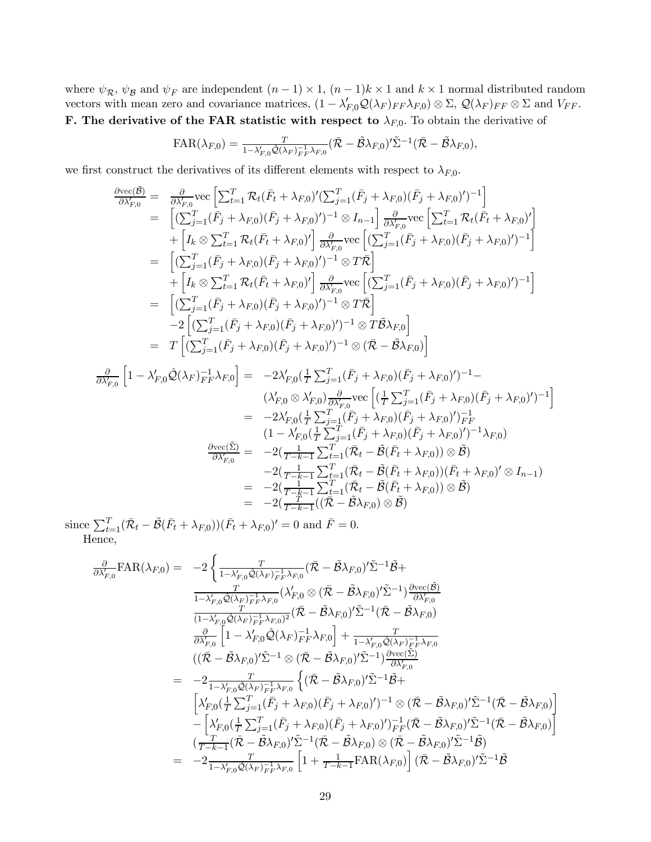where  $\psi_{\mathcal{R}}$ ,  $\psi_{\mathcal{B}}$  and  $\psi_F$  are independent  $(n-1) \times 1$ ,  $(n-1)k \times 1$  and  $k \times 1$  normal distributed random vectors with mean zero and covariance matrices,  $(1 - \lambda'_{F,0} Q(\lambda_F)_{FF} \lambda_{F,0}) \otimes \Sigma$ ,  $Q(\lambda_F)_{FF} \otimes \Sigma$  and  $V_{FF}$ . **F.** The derivative of the FAR statistic with respect to  $\lambda_{F,0}$ . To obtain the derivative of

$$
FAR(\lambda_{F,0}) = \frac{T}{1-\lambda'_{F,0}\hat{\mathcal{Q}}(\lambda_F)_{F,F}^{-1}\lambda_{F,0}}(\bar{\mathcal{R}} - \tilde{\mathcal{B}}\lambda_{F,0})'\tilde{\Sigma}^{-1}(\bar{\mathcal{R}} - \tilde{\mathcal{B}}\lambda_{F,0}),
$$

we first construct the derivatives of its different elements with respect to  $\lambda_{F,0}$ .

$$
\frac{\partial \text{vec}(\tilde{B})}{\partial \lambda_{F,0}} = \frac{\partial}{\partial \lambda_{F,0}} \text{vec} \left[ \sum_{t=1}^{T} \mathcal{R}_{t} (\bar{F}_{t} + \lambda_{F,0})' (\sum_{j=1}^{T} (\bar{F}_{j} + \lambda_{F,0}) (\bar{F}_{j} + \lambda_{F,0})')^{-1} \right]
$$
\n
$$
= \left[ (\sum_{j=1}^{T} (\bar{F}_{j} + \lambda_{F,0}) (\bar{F}_{j} + \lambda_{F,0})')^{-1} \otimes I_{n-1} \right] \frac{\partial}{\partial \lambda_{F,0}} \text{vec} \left[ \sum_{t=1}^{T} \mathcal{R}_{t} (\bar{F}_{t} + \lambda_{F,0})' \right]
$$
\n
$$
+ \left[ I_{k} \otimes \sum_{t=1}^{T} \mathcal{R}_{t} (\bar{F}_{t} + \lambda_{F,0})' \right] \frac{\partial}{\partial \lambda_{F,0}} \text{vec} \left[ (\sum_{j=1}^{T} (\bar{F}_{j} + \lambda_{F,0}) (\bar{F}_{j} + \lambda_{F,0})')^{-1} \right]
$$
\n
$$
= \left[ (\sum_{j=1}^{T} (\bar{F}_{j} + \lambda_{F,0}) (\bar{F}_{j} + \lambda_{F,0})')^{-1} \otimes T \bar{\mathcal{R}} \right]
$$
\n
$$
+ \left[ I_{k} \otimes \sum_{t=1}^{T} \mathcal{R}_{t} (\bar{F}_{t} + \lambda_{F,0})' \right] \frac{\partial}{\partial \lambda_{F,0}} \text{vec} \left[ (\sum_{j=1}^{T} (\bar{F}_{j} + \lambda_{F,0}) (\bar{F}_{j} + \lambda_{F,0})')^{-1} \right]
$$
\n
$$
= \left[ (\sum_{j=1}^{T} (\bar{F}_{j} + \lambda_{F,0}) (\bar{F}_{j} + \lambda_{F,0})')^{-1} \otimes T \bar{\mathcal{B}} \right]
$$
\n
$$
- 2 \left[ (\sum_{j=1}^{T} (\bar{F}_{j} + \lambda_{F,0}) (\bar{F}_{j} + \lambda_{F,0})')^{-1} \otimes (\bar{\mathcal{R}} - \tilde{\mathcal{B}} \lambda_{F,0}) \right]
$$
\n
$$
\frac{\partial}{\partial \lambda
$$

since  $\sum_{t=1}^{T} (\bar{\mathcal{R}}_t - \tilde{\mathcal{B}}(\bar{F}_t + \lambda_{F,0}))(\bar{F}_t + \lambda_{F,0})' = 0$  and  $\bar{F} = 0$ . Hence,

$$
\frac{\partial}{\partial \lambda'_{F,0}}\text{FAR}(\lambda_{F,0}) = -2\left\{\frac{T}{1-\lambda'_{F,0}\hat{Q}(\lambda_{F})_{F}^{-1}\lambda_{F,0}}(\bar{\mathcal{R}}-\tilde{\mathcal{B}}\lambda_{F,0})'\tilde{\Sigma}^{-1}\tilde{\mathcal{B}}+\frac{T}{1-\lambda'_{F,0}\hat{Q}(\lambda_{F})_{F}^{-1}\lambda_{F,0}}(\lambda'_{F,0}\otimes(\bar{\mathcal{R}}-\tilde{\mathcal{B}}\lambda_{F,0})'\tilde{\Sigma}^{-1})\frac{\partial \text{vec}(\tilde{\mathcal{B}})}{\partial \lambda'_{F,0}}\right\}\frac{T}{(1-\lambda'_{F,0}\hat{Q}(\lambda_{F})_{F}^{-1}\lambda_{F,0})^2}(\bar{\mathcal{R}}-\tilde{\mathcal{B}}\lambda_{F,0})'\tilde{\Sigma}^{-1}(\bar{\mathcal{R}}-\tilde{\mathcal{B}}\lambda_{F,0})
$$
\n
$$
\frac{\partial}{\partial \lambda'_{F,0}}\left[1-\lambda'_{F,0}\hat{Q}(\lambda_{F})_{F}^{-1}\lambda_{F,0}\right]+\frac{T}{1-\lambda'_{F,0}\hat{Q}(\lambda_{F})_{F}^{-1}\lambda_{F,0}}\right\}\n((\bar{\mathcal{R}}-\tilde{\mathcal{B}}\lambda_{F,0})'\tilde{\Sigma}^{-1}\otimes(\bar{\mathcal{R}}-\tilde{\mathcal{B}}\lambda_{F,0})'\tilde{\Sigma}^{-1})\frac{\partial \text{vec}(\Sigma)}{\partial \lambda'_{F,0}}\n=\frac{-2}{1-\lambda'_{F,0}\hat{Q}(\lambda_{F})_{F}^{-1}\lambda_{F,0}}\left\{((\bar{\mathcal{R}}-\tilde{\mathcal{B}}\lambda_{F,0})'\tilde{\Sigma}^{-1}\tilde{\mathcal{B}}+\\ \left[\lambda'_{F,0}(\frac{1}{T}\sum_{j=1}^{T}(\bar{F}_{j}+\lambda_{F,0})(\bar{F}_{j}+\lambda_{F,0})')^{-1}\otimes(\bar{\mathcal{R}}-\tilde{\mathcal{B}}\lambda_{F,0})'\tilde{\Sigma}^{-1}(\bar{\mathcal{R}}-\tilde{\mathcal{B}}\lambda_{F,0})\right]\n-\left[\lambda'_{F,0}(\frac{1}{T}\sum_{j=1}^{T}(\bar{F}_{j}+\lambda_{F,0})(\bar{F}_{
$$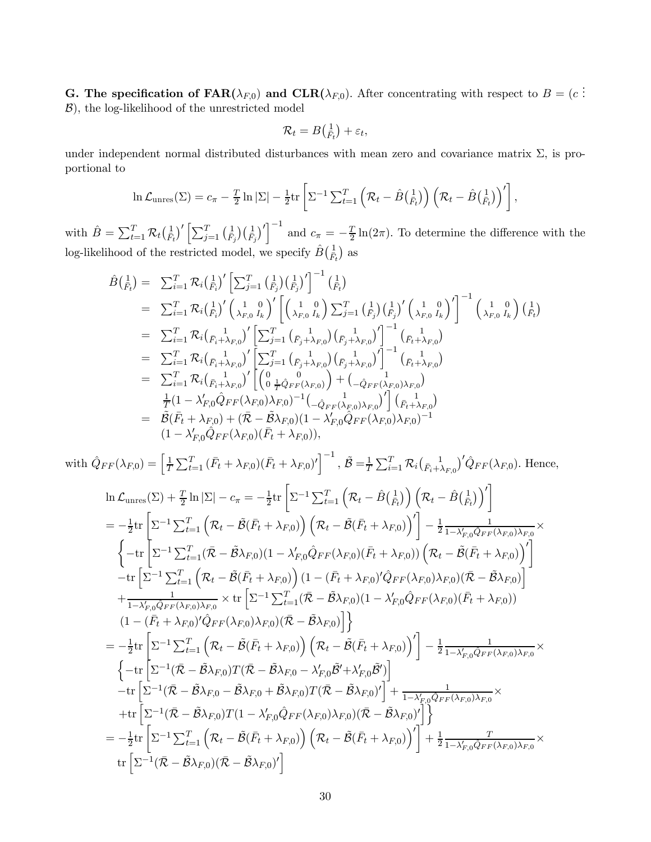**G.** The specification of  $\text{FAR}(\lambda_{F,0})$  and  $\text{CLR}(\lambda_{F,0})$ . After concentrating with respect to  $B = (c \cdot \hat{B})$ . B), the log-likelihood of the unrestricted model

$$
\mathcal{R}_t = B\left(\frac{1}{F_t}\right) + \varepsilon_t,
$$

under independent normal distributed disturbances with mean zero and covariance matrix  $\Sigma$ , is proportional to

$$
\ln \mathcal{L}_{\text{unres}}(\Sigma) = c_{\pi} - \frac{T}{2} \ln |\Sigma| - \frac{1}{2} \text{tr} \left[ \Sigma^{-1} \sum_{t=1}^{T} \left( \mathcal{R}_{t} - \hat{B} \left( \frac{1}{\bar{F}_{t}} \right) \right) \left( \mathcal{R}_{t} - \hat{B} \left( \frac{1}{\bar{F}_{t}} \right) \right)' \right],
$$

with  $\hat{B} = \sum_{t=1}^{T} \mathcal{R}_t \left(\frac{1}{F_t}\right)' \left[\sum_{j=1}^{T} \left(\frac{1}{F_j}\right)' \right]^{-1}$  and  $c_{\pi} = -\frac{T}{2} \ln(2\pi)$ . To determine the difference with the log-likelihood of the restricted model, we specify  $\hat{B}(\frac{1}{F_t})$  as

$$
\hat{B}(\frac{1}{\bar{F}_{t}}) = \sum_{i=1}^{T} \mathcal{R}_{i}(\frac{1}{\bar{F}_{i}})^{'} \left[\sum_{j=1}^{T} (\frac{1}{\bar{F}_{j}}) (\frac{1}{\bar{F}_{j}})^{'}\right]^{-1} (\frac{1}{\bar{F}_{t}}) \n= \sum_{i=1}^{T} \mathcal{R}_{i}(\frac{1}{\bar{F}_{i}})^{'} (\lambda_{F,0} \frac{1}{I_{k}})^{'} \left[(\lambda_{F,0} \frac{1}{I_{k}}) \sum_{j=1}^{T} (\frac{1}{\bar{F}_{j}}) (\frac{1}{\bar{F}_{j}})^{'} (\lambda_{F,0} \frac{1}{I_{k}})^{'}\right]^{-1} (\lambda_{F,0} \frac{1}{I_{k}}) (\frac{1}{\bar{F}_{t}}) \n= \sum_{i=1}^{T} \mathcal{R}_{i}(\frac{1}{\bar{F}_{i} + \lambda_{F,0}})^{'} \left[\sum_{j=1}^{T} (\frac{1}{\bar{F}_{j} + \lambda_{F,0}}) (\frac{1}{\bar{F}_{j} + \lambda_{F,0}})^{'}\right]^{-1} (\bar{F}_{t} + \lambda_{F,0}) \n= \sum_{i=1}^{T} \mathcal{R}_{i}(\frac{1}{\bar{F}_{i} + \lambda_{F,0}})^{'} \left[\sum_{j=1}^{T} (\frac{1}{\bar{F}_{j} + \lambda_{F,0}}) (\frac{1}{\bar{F}_{j} + \lambda_{F,0}})^{'}\right]^{-1} (\bar{F}_{t} + \lambda_{F,0}) \n= \sum_{i=1}^{T} \mathcal{R}_{i}(\frac{1}{\bar{F}_{i} + \lambda_{F,0}})^{'} \left[(\begin{array}{cc} 0 & 0 & 1 \\ 0 & \frac{1}{T} \end{array} \right] + (\Delta_{F,0} \lambda_{F,0}) \lambda_{F,0}) \n= \tilde{B}(\bar{F}_{t} + \lambda_{F,0}) + (\bar{R} - \tilde{B} \lambda_{F,0})(1 - \lambda'_{F,0} \tilde{Q}_{FF}(\lambda_{F,0}) \lambda_{F,0})^{-1} \n(1 - \lambda'_{F,0} \tilde{Q}_{FF}(\lambda_{F,0})(\bar{F}_{t} + \lambda_{F,0})),
$$

with  $\hat{Q}_{FF}(\lambda_{F,0}) = \left[\frac{1}{7}\right]$  $\frac{1}{T} \sum_{t=1}^{T} (\bar{F}_t + \lambda_{F,0}) (\bar{F}_t + \lambda_{F,0})'$ <sup>-1</sup>,  $\tilde{\mathcal{B}} = \frac{1}{T} \sum_{i=1}^{T} \mathcal{R}_i (\frac{1}{\bar{F}_i + \lambda_{F,0}})' \hat{Q}_{FF}(\lambda_{F,0})$ . Hence,

$$
\ln \mathcal{L}_{\text{unres}}(\Sigma) + \frac{T}{2} \ln |\Sigma| - c_{\pi} = -\frac{1}{2} \text{tr} \left[ \Sigma^{-1} \sum_{t=1}^{T} \left( \mathcal{R}_{t} - \hat{B} \left( \frac{1}{F_{t}} \right) \right) \left( \mathcal{R}_{t} - \hat{B} \left( \frac{1}{F_{t}} \right) \right) \right]
$$
\n
$$
= -\frac{1}{2} \text{tr} \left[ \Sigma^{-1} \sum_{t=1}^{T} \left( \mathcal{R}_{t} - \hat{B}(\bar{F}_{t} + \lambda_{F,0}) \right) \left( \mathcal{R}_{t} - \hat{B}(\bar{F}_{t} + \lambda_{F,0}) \right) \right] - \frac{1}{2} \frac{1}{1 - \lambda_{F,0}^{r} \hat{Q}_{FF}(\lambda_{F,0}) \lambda_{F,0}} \times \left\{ -\text{tr} \left[ \Sigma^{-1} \sum_{t=1}^{T} \left( \mathcal{R}_{t} - \hat{B} \lambda_{F,0} \right) (1 - \lambda_{F,0}^{r} \hat{Q}_{FF}(\lambda_{F,0}) (\bar{F}_{t} + \lambda_{F,0}) \right) \left( \mathcal{R}_{t} - \hat{B}(\bar{F}_{t} + \lambda_{F,0}) \right) \right] \right\} - \text{tr} \left[ \Sigma^{-1} \sum_{t=1}^{T} \left( \mathcal{R}_{t} - \hat{B}(\bar{F}_{t} + \lambda_{F,0}) \right) (1 - (\bar{F}_{t} + \lambda_{F,0})^{r} \hat{Q}_{FF}(\lambda_{F,0}) \lambda_{F,0}) (\bar{\mathcal{R}} - \hat{B} \lambda_{F,0}) \right] + \frac{1}{1 - \lambda_{F,0}^{r} \hat{Q}_{FF}(\lambda_{F,0}) \lambda_{F,0}} \times \text{tr} \left[ \Sigma^{-1} \sum_{t=1}^{T} (\bar{\mathcal{R}} - \hat{B} \lambda_{F,0}) (1 - \lambda_{F,0}^{r} \hat{Q}_{FF}(\lambda_{F,0}) (\bar{F}_{t} + \lambda_{F,0}) \right) \times \left( 1 - (\bar{F}_{t} + \lambda_{F,0})^{r} \hat{Q}_{FF}(\lambda_{F,0}) \lambda_{F,0} \right) (\bar{\mathcal{R}} - \hat
$$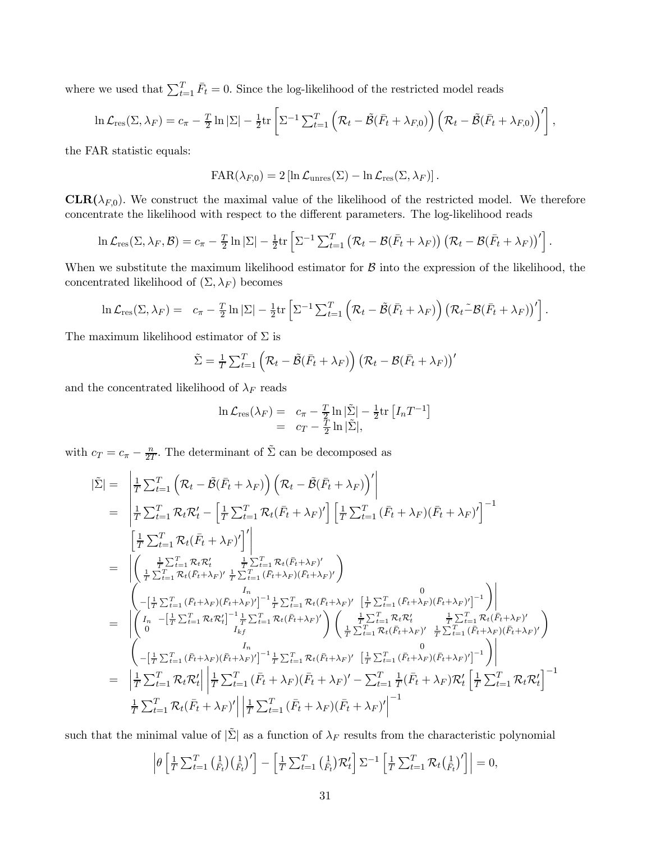where we used that  $\sum_{t=1}^{T} \bar{F}_t = 0$ . Since the log-likelihood of the restricted model reads

$$
\ln \mathcal{L}_{\text{res}}(\Sigma, \lambda_F) = c_{\pi} - \frac{T}{2} \ln |\Sigma| - \frac{1}{2} \text{tr} \left[ \Sigma^{-1} \sum_{t=1}^{T} \left( \mathcal{R}_t - \tilde{\mathcal{B}}(\bar{F}_t + \lambda_{F,0}) \right) \left( \mathcal{R}_t - \tilde{\mathcal{B}}(\bar{F}_t + \lambda_{F,0}) \right)' \right]
$$

,

the FAR statistic equals:

$$
\text{FAR}(\lambda_{F,0}) = 2 \left[ \ln \mathcal{L}_{\text{unres}}(\Sigma) - \ln \mathcal{L}_{\text{res}}(\Sigma, \lambda_F) \right].
$$

**CLR**( $\lambda_{F,0}$ ). We construct the maximal value of the likelihood of the restricted model. We therefore concentrate the likelihood with respect to the different parameters. The log-likelihood reads

$$
\ln \mathcal{L}_{\text{res}}(\Sigma, \lambda_F, \mathcal{B}) = c_{\pi} - \frac{T}{2} \ln |\Sigma| - \frac{1}{2} \text{tr} \left[ \Sigma^{-1} \sum_{t=1}^T (\mathcal{R}_t - \mathcal{B}(\bar{F}_t + \lambda_F)) (\mathcal{R}_t - \mathcal{B}(\bar{F}_t + \lambda_F))' \right].
$$

When we substitute the maximum likelihood estimator for  $\beta$  into the expression of the likelihood, the concentrated likelihood of  $(\Sigma, \lambda_F)$  becomes

$$
\ln \mathcal{L}_{\text{res}}(\Sigma, \lambda_F) = c_{\pi} - \frac{T}{2} \ln |\Sigma| - \frac{1}{2} \text{tr} \left[ \Sigma^{-1} \sum_{t=1}^{T} \left( \mathcal{R}_t - \tilde{\mathcal{B}}(\bar{F}_t + \lambda_F) \right) \left( \mathcal{R}_t - \mathcal{B}(\bar{F}_t + \lambda_F) \right)' \right].
$$

The maximum likelihood estimator of  $\Sigma$  is

$$
\tilde{\Sigma} = \frac{1}{T} \sum_{t=1}^{T} \left( \mathcal{R}_t - \tilde{\mathcal{B}}(\bar{F}_t + \lambda_F) \right) \left( \mathcal{R}_t - \mathcal{B}(\bar{F}_t + \lambda_F) \right)'
$$

and the concentrated likelihood of  $\lambda_F$  reads

$$
\ln \mathcal{L}_{\text{res}}(\lambda_F) = c_{\pi} - \frac{T}{2} \ln |\tilde{\Sigma}| - \frac{1}{2} \text{tr} [I_n T^{-1}]
$$
  
=  $c_T - \frac{T}{2} \ln |\tilde{\Sigma}|,$ 

with  $c_T = c_{\pi} - \frac{n}{2T}$ . The determinant of  $\tilde{\Sigma}$  can be decomposed as

$$
\begin{split}\n\left|\tilde{\Sigma}\right| &= \left|\frac{1}{T}\sum_{t=1}^{T}\left(\mathcal{R}_{t}-\tilde{\mathcal{B}}(\bar{F}_{t}+\lambda_{F})\right)\left(\mathcal{R}_{t}-\tilde{\mathcal{B}}(\bar{F}_{t}+\lambda_{F})\right)'\right| \\
&= \left|\frac{1}{T}\sum_{t=1}^{T}\mathcal{R}_{t}\mathcal{R}_{t}' - \left[\frac{1}{T}\sum_{t=1}^{T}\mathcal{R}_{t}(\bar{F}_{t}+\lambda_{F})'\right]\left[\frac{1}{T}\sum_{t=1}^{T}\left(\bar{F}_{t}+\lambda_{F}\right)\left(\bar{F}_{t}+\lambda_{F}\right)'\right]^{-1} \\
&= \left|\left(\frac{\frac{1}{T}\sum_{t=1}^{T}\mathcal{R}_{t}(\bar{F}_{t}+\lambda_{F})'}{\frac{1}{T}\sum_{t=1}^{T}\mathcal{R}_{t}(\bar{F}_{t}+\lambda_{F})}\right)^{2}\right| \\
&= \left|\left(\frac{\frac{1}{T}\sum_{t=1}^{T}\mathcal{R}_{t}(\bar{F}_{t}+\lambda_{F})'}{\frac{1}{T}\sum_{t=1}^{T}\left(\bar{F}_{t}+\lambda_{F}\right)\left(\bar{F}_{t}+\lambda_{F}\right)}\right)\right| \\
&= \left|\left(\frac{I_{\mathcal{B}}}{T}\sum_{t=1}^{T}\mathcal{R}_{t}(\bar{F}_{t}+\lambda_{F})'\right)\frac{I_{\mathcal{B}}}{I_{\mathcal{B}}}\sum_{t=1}^{T}\mathcal{R}_{t}(\bar{F}_{t}+\lambda_{F})'\left[\frac{1}{T}\sum_{t=1}^{T}\left(\bar{F}_{t}+\lambda_{F}\right)\left(\bar{F}_{t}+\lambda_{F}\right)'\right]^{-1}\right)\right| \\
&= \left|\left(I_{\mathcal{B}}-\left[\frac{1}{T}\sum_{t=1}^{T}\mathcal{R}_{t}\mathcal{R}_{t}'\right]^{-1}\frac{1}{T}\sum_{t=1}^{T}\mathcal{R}_{t}(\bar{F}_{t}+\lambda_{F})'\right]\left(\frac{1}{T}\sum_{t=1}^{T}\mathcal{R}_{t}\mathcal{R}_{t}'\right)^{2}\frac{1}{T}\sum_{t=1}^{T}\mathcal{R}_{t}(\bar{F}_{t}+\lambda_{F})'\right)\right| \\
&= \left|\left(I_{\
$$

such that the minimal value of  $|\tilde{\Sigma}|$  as a function of  $\lambda_F$  results from the characteristic polynomial

$$
\left|\theta\left[\frac{1}{T}\sum_{t=1}^T\left(\frac{1}{F_t}\right)\left(\frac{1}{F_t}\right)'\right]-\left[\frac{1}{T}\sum_{t=1}^T\left(\frac{1}{F_t}\right)\mathcal{R}'_t\right]\sum^{-1}\left[\frac{1}{T}\sum_{t=1}^T\mathcal{R}_t\left(\frac{1}{F_t}\right)'\right]\right|=0,
$$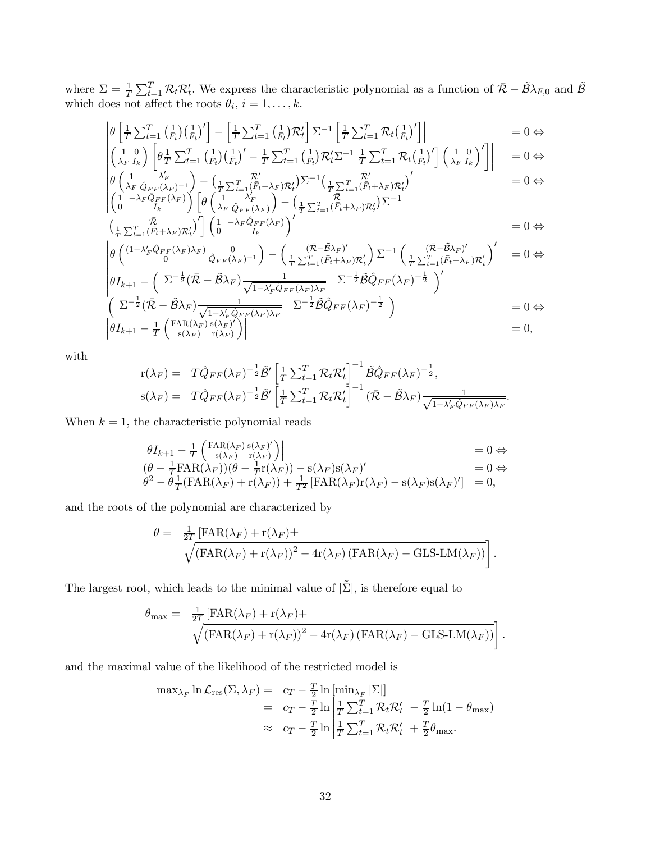where  $\Sigma = \frac{1}{T} \sum_{t=1}^{T} \mathcal{R}_t \mathcal{R}_t'$ . We express the characteristic polynomial as a function of  $\bar{\mathcal{R}} - \tilde{\mathcal{B}} \lambda_{F,0}$  and  $\tilde{\mathcal{B}}$ which does not affect the roots  $\theta_i$ ,  $i = 1, \ldots, k$ .

$$
\begin{vmatrix}\n\theta \left[ \frac{1}{T} \sum_{t=1}^{T} \left( \frac{1}{F_t} \right) \left( \frac{1}{F_t} \right)^{\prime} \right] - \left[ \frac{1}{T} \sum_{t=1}^{T} \left( \frac{1}{F_t} \right) \mathcal{R}_t^{\prime} \right] \Sigma^{-1} \left[ \frac{1}{T} \sum_{t=1}^{T} \mathcal{R}_t \left( \frac{1}{F_t} \right)^{\prime} \right] & = 0 \Leftrightarrow \\
\left( \begin{array}{c} 1 & 0 \\ \lambda_F I_k \end{array} \right) \left[ \theta \frac{1}{T} \sum_{t=1}^{T} \left( \frac{1}{F_t} \right) \left( \frac{1}{F_t} \right)^{\prime} - \frac{1}{T} \sum_{t=1}^{T} \left( \frac{1}{F_t} \right) \mathcal{R}_t^{\prime} \Sigma^{-1} \frac{1}{T} \sum_{t=1}^{T} \mathcal{R}_t \left( \frac{1}{F_t} \right)^{\prime} \right] \left( \begin{array}{c} 1 & 0 \\ \lambda_F I_k \end{array} \right)^{\prime} \right] \right] = 0 \Leftrightarrow \\
\theta \left( \begin{array}{cc} 1 & \lambda_F^{\prime} \\ \lambda_F \hat{Q}_{FF}(\lambda_F) - 1 \end{array} \right) - \left( \frac{1}{T} \sum_{t=1}^{T} \left( \bar{F}_t + \lambda_F \right) \mathcal{R}_t^{\prime} \right) \Sigma^{-1} \left( \frac{1}{T} \sum_{t=1}^{T} \left( \bar{F}_t + \lambda_F \right) \mathcal{R}_t^{\prime} \right)^{\prime} \right] & = 0 \Leftrightarrow \\
\left( \begin{array}{cc} 1 & -\lambda_F \hat{Q}_{FF}(\lambda_F) \\ 0 & I_k \end{array} \right) \left[ \theta \left( \begin{array}{c} 1 & \lambda_F^{\prime} \\ \lambda_F \hat{Q}_{FF}(\lambda_F) \end{array} \right) - \left( \frac{1}{T} \sum_{t=1}^{T} \left( \bar{F}_t + \lambda_F \right) \mathcal{R}_t^{\prime} \right) \Sigma^{-1} \\
 & = 0 \Leftrightarrow \\
\left( \begin{array}{c} \bar{\mathcal{R}} \\ \bar{\mathcal{R}} \end{array} \right)^{\prime}
$$

$$
\begin{aligned}\n\left(\frac{\bar{\mathcal{R}}}{\bar{T}} \sum_{t=1}^{T} (\bar{F}_t + \lambda_F) \mathcal{R}'_t \right)' & \left(1 - \lambda_F \hat{Q}_{FF}(\lambda_F)\right)' & \\
& \times \left( (1 - \lambda') \hat{Q}_{TT}(\lambda_F) \right) \left( 1 - \lambda_F \hat{Q}_{FF}(\lambda_F) \right)' & \\
& \times \left( (1 - \lambda') \hat{Q}_{TT}(\lambda_F) \right) \left( 1 - \lambda_F \hat{Q}_{FF}(\lambda_F) \right)' & \\
& \times \left( (1 - \lambda') \hat{Q}_{TT}(\lambda_F) \right) \left( 1 - \lambda_F \hat{Q}_{FF}(\lambda_F) \right)' & \\
& \times \left( (1 - \lambda') \hat{Q}_{TT}(\lambda_F) \right) \left( 1 - \lambda_F \hat{Q}_{FF}(\lambda_F) \right)' & \\
& \times \left( (1 - \lambda') \hat{Q}_{TT}(\lambda_F) \right) \left( 1 - \lambda_F \hat{Q}_{FF}(\lambda_F) \right)' & \\
& \times \left( (1 - \lambda') \hat{Q}_{TT}(\lambda_F) \right) \left( 1 - \lambda_F \hat{Q}_{FF}(\lambda_F) \right)' & \\
& \times \left( (1 - \lambda') \hat{Q}_{TT}(\lambda_F) \right) \left( 1 - \lambda_F \hat{Q}_{FF}(\lambda_F) \right)' & \\
& \times \left( (1 - \lambda') \hat{Q}_{TT}(\lambda_F) \right) \left( 1 - \lambda_F \hat{Q}_{FF}(\lambda_F) \right)' & \\
& \times \left( (1 - \lambda') \hat{Q}_{TT}(\lambda_F) \right) \left( 1 - \lambda_F \hat{Q}_{FF}(\lambda_F) \right)' & \\
& \times \left( (1 - \lambda') \hat{Q}_{TT}(\lambda_F) \right) \left( 1 - \lambda_F \hat{Q}_{FF}(\lambda_F) \right)' & \\
& \times \left( (1 - \lambda') \hat{Q}_{TT}(\lambda_F) \right) \left( 1 - \lambda_F \hat{Q}_{FF}(\lambda_F) \right)' & \\
& \times \left( (1 - \lambda') \hat{Q}_{TT}(\lambda_F) \right) \left( 1 - \lambda_F \hat{Q}_{FF}(\lambda_F) \right)' & \\
& \times \left( (1 - \lambda') \hat{Q}_{TT}(\lambda_F) \right) \left( 1 - \lambda_F \hat{Q}_{FF}(\lambda_F) \right)' & \\
& \times \left( (1 - \lambda') \hat{Q}_{TT
$$

$$
\begin{aligned}\n&\left|\theta\left(\frac{(1-\lambda'_F\hat{Q}_{FF}(\lambda_F)\lambda_F)}{0}\hat{Q}_{FF}(\lambda_F)^{-1}\right)-\left(\frac{(\bar{\mathcal{R}}-\tilde{\mathcal{B}}\lambda_F)'}{\frac{1}{T}\sum_{t=1}^T(\bar{F}_t+\lambda_F)\mathcal{R}'_t}\right)\Sigma^{-1}\left(\frac{(\bar{\mathcal{R}}-\tilde{\mathcal{B}}\lambda_F)'}{\frac{1}{T}\sum_{t=1}^T(\bar{F}_t+\lambda_F)\mathcal{R}'_t}\right)'\right| &= 0 \Leftrightarrow \\
&\left|\theta I_{k+1}-\left(\sum_{t=1}^T(\bar{\mathcal{R}}-\tilde{\mathcal{B}}\lambda_F)\frac{1}{\sqrt{1-\lambda'_F\hat{Q}_{FF}(\lambda_F)\lambda_F}}\right)\Sigma^{-\frac{1}{2}}\tilde{\mathcal{B}}\hat{Q}_{FF}(\lambda_F)^{-\frac{1}{2}}\right)' \\
&\left(\sum_{t=1}^T(\bar{\mathcal{R}}-\tilde{\mathcal{B}}\lambda_F)\frac{1}{\sqrt{1-\lambda'_F\hat{Q}_{FF}(\lambda_F)\lambda_F}}\right)\Sigma^{-\frac{1}{2}}\tilde{\mathcal{B}}\hat{Q}_{FF}(\lambda_F)^{-\frac{1}{2}}\right)\right| &= 0 \Leftrightarrow \\
&\left|\theta I_{k+1}-\frac{1}{T}\left(\frac{\text{FAR}(\lambda_F)\,\text{s}(\lambda_F)'}{\text{s}(\lambda_F)}\right)\left|\begin{matrix}\end{matrix}\right.\right)\n\end{aligned}
$$

with

$$
\begin{array}{lll}\nr(\lambda_F) = & T\hat{Q}_{FF}(\lambda_F)^{-\frac{1}{2}}\tilde{\mathcal{B}}'\left[\frac{1}{T}\sum_{t=1}^T\mathcal{R}_t\mathcal{R}_t'\right]^{-1}\tilde{\mathcal{B}}\hat{Q}_{FF}(\lambda_F)^{-\frac{1}{2}},\\ \ns(\lambda_F) = & T\hat{Q}_{FF}(\lambda_F)^{-\frac{1}{2}}\tilde{\mathcal{B}}'\left[\frac{1}{T}\sum_{t=1}^T\mathcal{R}_t\mathcal{R}_t'\right]^{-1}(\bar{\mathcal{R}}-\tilde{\mathcal{B}}\lambda_F)\frac{1}{\sqrt{1-\lambda_F'\hat{Q}_{FF}(\lambda_F)\lambda_F}}.\n\end{array}
$$

When  $k = 1$ , the characteristic polynomial reads

$$
\begin{vmatrix}\n\theta I_{k+1} - \frac{1}{T} \begin{pmatrix} \text{FAR}(\lambda_F) \ s(\lambda_F)' \\ s(\lambda_F) & \text{r}(\lambda_F)\n\end{pmatrix} & = 0 \Leftrightarrow \\
(\theta - \frac{1}{T} \text{FAR}(\lambda_F))(\theta - \frac{1}{T} \text{r}(\lambda_F)) - s(\lambda_F) s(\lambda_F)' & = 0 \Leftrightarrow \\
\theta^2 - \theta \frac{1}{T} (\text{FAR}(\lambda_F) + \text{r}(\lambda_F)) + \frac{1}{T^2} [\text{FAR}(\lambda_F) \text{r}(\lambda_F) - s(\lambda_F) s(\lambda_F)'] & = 0,\n\end{vmatrix}
$$

and the roots of the polynomial are characterized by

$$
\theta = \frac{1}{2T} \left[ \text{FAR}(\lambda_F) + \text{r}(\lambda_F) \pm \sqrt{\left( \text{FAR}(\lambda_F) + \text{r}(\lambda_F) \right)^2 - 4\text{r}(\lambda_F) \left( \text{FAR}(\lambda_F) - \text{GLS-LM}(\lambda_F) \right)} \right].
$$

The largest root, which leads to the minimal value of  $|\tilde{\Sigma}|$ , is therefore equal to

$$
\theta_{\max} = \frac{1}{2T} \left[ FAR(\lambda_F) + r(\lambda_F) + \sqrt{\left( FAR(\lambda_F) + r(\lambda_F) \right)^2 - 4r(\lambda_F) \left( FAR(\lambda_F) - GLS\text{-}LM(\lambda_F) \right)} \right].
$$

and the maximal value of the likelihood of the restricted model is

$$
\max_{\lambda_F} \ln \mathcal{L}_{\text{res}}(\Sigma, \lambda_F) = c_T - \frac{T}{2} \ln \left[ \min_{\lambda_F} |\Sigma| \right]
$$
  
=  $c_T - \frac{T}{2} \ln \left| \frac{1}{T} \sum_{t=1}^T \mathcal{R}_t \mathcal{R}_t' \right| - \frac{T}{2} \ln(1 - \theta_{\text{max}})$   

$$
\approx c_T - \frac{T}{2} \ln \left| \frac{1}{T} \sum_{t=1}^T \mathcal{R}_t \mathcal{R}_t' \right| + \frac{T}{2} \theta_{\text{max}}.
$$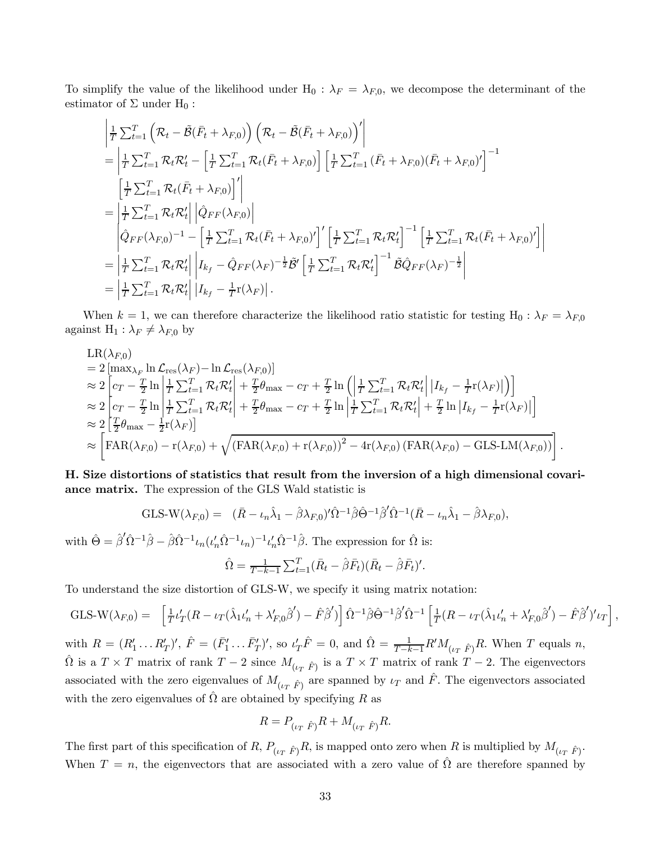To simplify the value of the likelihood under  $H_0$ :  $\lambda_F = \lambda_{F,0}$ , we decompose the determinant of the estimator of  $\Sigma$  under  $H_0$ :

$$
\begin{split}\n&\left|\frac{1}{T}\sum_{t=1}^{T}\left(\mathcal{R}_{t}-\tilde{\mathcal{B}}(\bar{F}_{t}+\lambda_{F,0})\right)\left(\mathcal{R}_{t}-\tilde{\mathcal{B}}(\bar{F}_{t}+\lambda_{F,0})\right)'\right| \\
&=\left|\frac{1}{T}\sum_{t=1}^{T}\mathcal{R}_{t}\mathcal{R}_{t}'-\left[\frac{1}{T}\sum_{t=1}^{T}\mathcal{R}_{t}(\bar{F}_{t}+\lambda_{F,0})\right]\left[\frac{1}{T}\sum_{t=1}^{T}\left(\bar{F}_{t}+\lambda_{F,0}\right)\left(\bar{F}_{t}+\lambda_{F,0}\right)'\right]^{-1} \\
&=\left|\frac{1}{T}\sum_{t=1}^{T}\mathcal{R}_{t}(\bar{F}_{t}+\lambda_{F,0})\right|'\right| \\
&=\left|\frac{1}{T}\sum_{t=1}^{T}\mathcal{R}_{t}\mathcal{R}_{t}'\right|\left|\hat{Q}_{FF}(\lambda_{F,0})\right| \\
&\left|\hat{Q}_{FF}(\lambda_{F,0})^{-1}-\left[\frac{1}{T}\sum_{t=1}^{T}\mathcal{R}_{t}(\bar{F}_{t}+\lambda_{F,0})'\right]'\left[\frac{1}{T}\sum_{t=1}^{T}\mathcal{R}_{t}\mathcal{R}_{t}'\right]^{-1}\left[\frac{1}{T}\sum_{t=1}^{T}\mathcal{R}_{t}(\bar{F}_{t}+\lambda_{F,0})'\right]\right| \\
&=\left|\frac{1}{T}\sum_{t=1}^{T}\mathcal{R}_{t}\mathcal{R}_{t}'\right|\left|\mathbf{I}_{k_{f}}-\hat{Q}_{FF}(\lambda_{F})^{-\frac{1}{2}}\tilde{\mathcal{B}}'\left[\frac{1}{T}\sum_{t=1}^{T}\mathcal{R}_{t}\mathcal{R}_{t}'\right]^{-1}\tilde{\mathcal{B}}\hat{Q}_{FF}(\lambda_{F})^{-\frac{1}{2}}\right| \\
&=\left|\frac{1}{T}\sum_{t=1}^{T}\mathcal{R}_{t}\mathcal{R}_{t}'\right|\left|\mathbf{I}_{k_{f}}-\frac{1}{T}\mathbf{r}(\lambda_{F})\right|.\n\end{split}
$$

When  $k = 1$ , we can therefore characterize the likelihood ratio statistic for testing H<sub>0</sub> :  $\lambda_F = \lambda_{F,0}$ against  $H_1: \lambda_F \neq \lambda_{F,0}$  by

$$
LR(\lambda_{F,0})
$$
  
\n
$$
= 2 \left[ \max_{\lambda_F} \ln \mathcal{L}_{res}(\lambda_F) - \ln \mathcal{L}_{res}(\lambda_{F,0}) \right]
$$
  
\n
$$
\approx 2 \left[ c_T - \frac{T}{2} \ln \left| \frac{1}{T} \sum_{t=1}^T \mathcal{R}_t \mathcal{R}_t' \right| + \frac{T}{2} \theta_{\text{max}} - c_T + \frac{T}{2} \ln \left( \left| \frac{1}{T} \sum_{t=1}^T \mathcal{R}_t \mathcal{R}_t' \right| | I_{k_f} - \frac{1}{T} \Gamma(\lambda_F) | \right) \right]
$$
  
\n
$$
\approx 2 \left[ c_T - \frac{T}{2} \ln \left| \frac{1}{T} \sum_{t=1}^T \mathcal{R}_t \mathcal{R}_t' \right| + \frac{T}{2} \theta_{\text{max}} - c_T + \frac{T}{2} \ln \left| \frac{1}{T} \sum_{t=1}^T \mathcal{R}_t \mathcal{R}_t' \right| + \frac{T}{2} \ln | I_{k_f} - \frac{1}{T} \Gamma(\lambda_F) | \right]
$$
  
\n
$$
\approx 2 \left[ \frac{T}{2} \theta_{\text{max}} - \frac{1}{2} \Gamma(\lambda_F) \right]
$$
  
\n
$$
\approx \left[ \text{FAR}(\lambda_{F,0}) - \Gamma(\lambda_{F,0}) + \sqrt{(\text{FAR}(\lambda_{F,0}) + \Gamma(\lambda_{F,0}))^2 - 4 \Gamma(\lambda_{F,0}) (\text{FAR}(\lambda_{F,0}) - \text{GLS-LM}(\lambda_{F,0}))} \right].
$$

H. Size distortions of statistics that result from the inversion of a high dimensional covariance matrix. The expression of the GLS Wald statistic is

GLS-W(
$$
\lambda_{F,0}
$$
) =  $(\bar{R} - \iota_n \hat{\lambda}_1 - \hat{\beta} \lambda_{F,0})' \hat{\Omega}^{-1} \hat{\beta} \hat{\Theta}^{-1} \hat{\beta}' \hat{\Omega}^{-1} (\bar{R} - \iota_n \hat{\lambda}_1 - \hat{\beta} \lambda_{F,0}),$ 

with  $\hat{\Theta} = \hat{\beta}' \hat{\Omega}^{-1} \hat{\beta} - \hat{\beta} \hat{\Omega}^{-1} \iota_n (\iota'_n \hat{\Omega}^{-1} \iota_n)^{-1} \iota'_n \hat{\Omega}^{-1} \hat{\beta}$ . The expression for  $\hat{\Omega}$  is:

$$
\hat{\Omega} = \frac{1}{T-k-1} \sum_{t=1}^{T} (\bar{R}_t - \hat{\beta} \bar{F}_t)(\bar{R}_t - \hat{\beta} \bar{F}_t)'.
$$

To understand the size distortion of GLS-W, we specify it using matrix notation:

$$
\text{GLS-W}(\lambda_{F,0}) = \left[ \frac{1}{T} \iota_T (R - \iota_T (\hat{\lambda}_1 \iota_n' + \lambda_{F,0}' \hat{\beta}') - \hat{F} \hat{\beta}') \right] \hat{\Omega}^{-1} \hat{\beta} \hat{\Theta}^{-1} \hat{\beta}' \hat{\Omega}^{-1} \left[ \frac{1}{T} (R - \iota_T (\hat{\lambda}_1 \iota_n' + \lambda_{F,0}' \hat{\beta}') - \hat{F} \hat{\beta}')' \iota_T \right],
$$

with  $R = (R'_1 \dots R'_T)'$ ,  $\hat{F} = (\bar{F}'_1 \dots \bar{F}'_T)'$ , so  $\iota'_T \hat{F} = 0$ , and  $\hat{\Omega} = \frac{1}{T-k-1} R' M_{(\iota_T \hat{F})} R$ . When T equals n,  $\hat{\Omega}$  is a  $T \times T$  matrix of rank  $T - 2$  since  $M_{(\iota_T \hat{F})}$  is a  $T \times T$  matrix of rank  $T - 2$ . The eigenvectors associated with the zero eigenvalues of  $M_{(l_T \hat{F})}$  are spanned by  $l_T$  and  $\hat{F}$ . The eigenvectors associated with the zero eigenvalues of  $\Omega$  are obtained by specifying R as

$$
R = P_{(\iota_T \ \hat{F})} R + M_{(\iota_T \ \hat{F})} R.
$$

The first part of this specification of R,  $P_{(l_T \hat{F})}R$ , is mapped onto zero when R is multiplied by  $M_{(l_T \hat{F})}$ . When  $T = n$ , the eigenvectors that are associated with a zero value of  $\Omega$  are therefore spanned by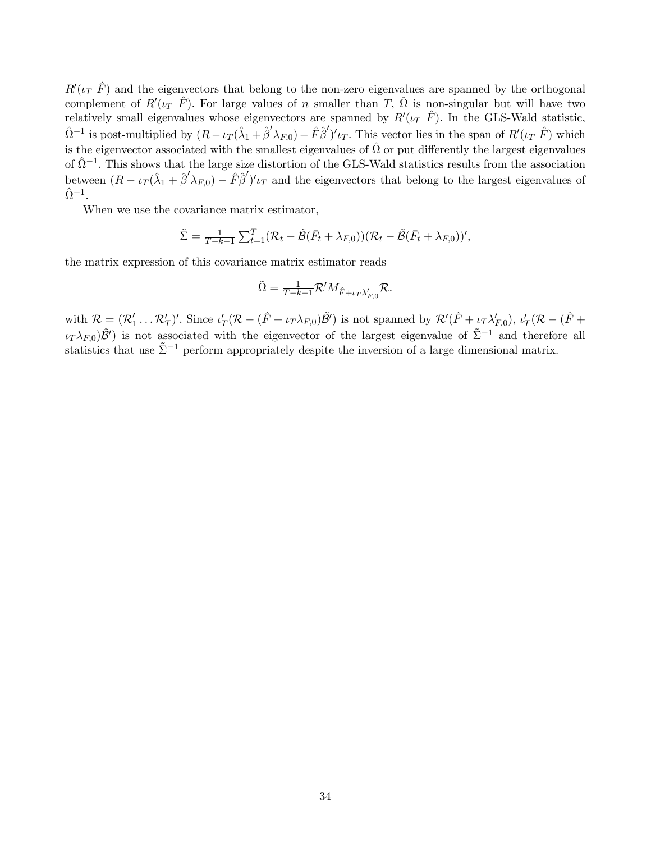$R^{\prime}(\iota_T \hat{F})$  and the eigenvectors that belong to the non-zero eigenvalues are spanned by the orthogonal complement of  $R'(i_T \hat{F})$ . For large values of n smaller than T,  $\hat{\Omega}$  is non-singular but will have two relatively small eigenvalues whose eigenvectors are spanned by  $R'(\iota_T \hat{F})$ . In the GLS-Wald statistic,  $\hat{\Omega}^{-1}$  is post-multiplied by  $(R - \iota_T(\hat{\lambda}_1 + \hat{\beta}' \lambda_{F,0}) - \hat{F}\hat{\beta}')' \iota_T$ . This vector lies in the span of  $R'(\iota_T \hat{F})$  which is the eigenvector associated with the smallest eigenvalues of  $\hat{\Omega}$  or put differently the largest eigenvalues of  $\hat{\Omega}^{-1}$ . This shows that the large size distortion of the GLS-Wald statistics results from the association between  $(R - \iota_T(\hat{\lambda}_1 + \hat{\beta}' \lambda_{F,0}) - \hat{F}\hat{\beta}')' \iota_T$  and the eigenvectors that belong to the largest eigenvalues of  $\hat{\Omega}^{-1}$ .

When we use the covariance matrix estimator,

$$
\tilde{\Sigma} = \frac{1}{T-k-1} \sum_{t=1}^{T} (\mathcal{R}_t - \tilde{\mathcal{B}}(\bar{F}_t + \lambda_{F,0}))(\mathcal{R}_t - \tilde{\mathcal{B}}(\bar{F}_t + \lambda_{F,0}))',
$$

the matrix expression of this covariance matrix estimator reads

$$
\tilde{\Omega} = \frac{1}{T - k - 1} \mathcal{R}' M_{\hat{F} + \iota_T \lambda'_{F,0}} \mathcal{R}.
$$

with  $\mathcal{R} = (\mathcal{R}'_1 \dots \mathcal{R}'_T)'$ . Since  $\iota'_T(\mathcal{R} - (\hat{F} + \iota_T \lambda_{F,0})\tilde{\mathcal{B}}')$  is not spanned by  $\mathcal{R}'(\hat{F} + \iota_T \lambda'_{F,0})$ ,  $\iota'_T(\mathcal{R} - (\hat{F} + \iota_T \lambda'_{F,0}))$  $(\iota_T \lambda_{F,0})\tilde{\mathcal{B}}'$  is not associated with the eigenvector of the largest eigenvalue of  $\tilde{\Sigma}^{-1}$  and therefore all statistics that use  $\tilde{\Sigma}^{-1}$  perform appropriately despite the inversion of a large dimensional matrix.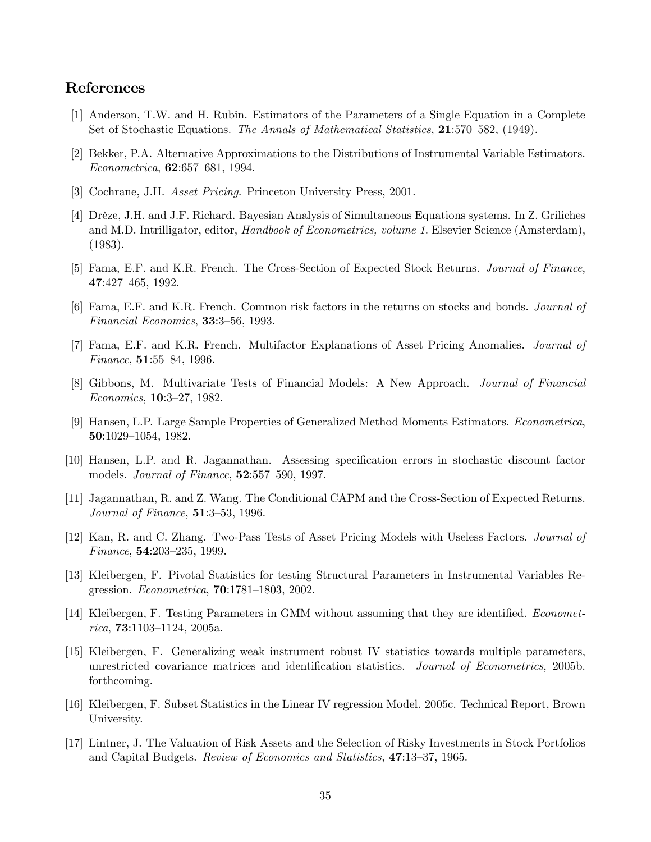#### References

- [1] Anderson, T.W. and H. Rubin. Estimators of the Parameters of a Single Equation in a Complete Set of Stochastic Equations. The Annals of Mathematical Statistics, 21:570—582, (1949).
- [2] Bekker, P.A. Alternative Approximations to the Distributions of Instrumental Variable Estimators. Econometrica, 62:657—681, 1994.
- [3] Cochrane, J.H. Asset Pricing. Princeton University Press, 2001.
- [4] Drèze, J.H. and J.F. Richard. Bayesian Analysis of Simultaneous Equations systems. In Z. Griliches and M.D. Intrilligator, editor, Handbook of Econometrics, volume 1. Elsevier Science (Amsterdam), (1983).
- [5] Fama, E.F. and K.R. French. The Cross-Section of Expected Stock Returns. Journal of Finance, 47:427—465, 1992.
- [6] Fama, E.F. and K.R. French. Common risk factors in the returns on stocks and bonds. Journal of Financial Economics, 33:3—56, 1993.
- [7] Fama, E.F. and K.R. French. Multifactor Explanations of Asset Pricing Anomalies. Journal of Finance, 51:55—84, 1996.
- [8] Gibbons, M. Multivariate Tests of Financial Models: A New Approach. Journal of Financial Economics, 10:3—27, 1982.
- [9] Hansen, L.P. Large Sample Properties of Generalized Method Moments Estimators. Econometrica, 50:1029—1054, 1982.
- [10] Hansen, L.P. and R. Jagannathan. Assessing specification errors in stochastic discount factor models. *Journal of Finance*, **52**:557–590, 1997.
- [11] Jagannathan, R. and Z. Wang. The Conditional CAPM and the Cross-Section of Expected Returns. Journal of Finance, 51:3—53, 1996.
- [12] Kan, R. and C. Zhang. Two-Pass Tests of Asset Pricing Models with Useless Factors. Journal of Finance, 54:203—235, 1999.
- [13] Kleibergen, F. Pivotal Statistics for testing Structural Parameters in Instrumental Variables Regression. Econometrica, 70:1781—1803, 2002.
- [14] Kleibergen, F. Testing Parameters in GMM without assuming that they are identified. Economet $rica, 73:1103-1124, 2005a.$
- [15] Kleibergen, F. Generalizing weak instrument robust IV statistics towards multiple parameters, unrestricted covariance matrices and identification statistics. Journal of Econometrics, 2005b. forthcoming.
- [16] Kleibergen, F. Subset Statistics in the Linear IV regression Model. 2005c. Technical Report, Brown University.
- [17] Lintner, J. The Valuation of Risk Assets and the Selection of Risky Investments in Stock Portfolios and Capital Budgets. Review of Economics and Statistics, 47:13—37, 1965.